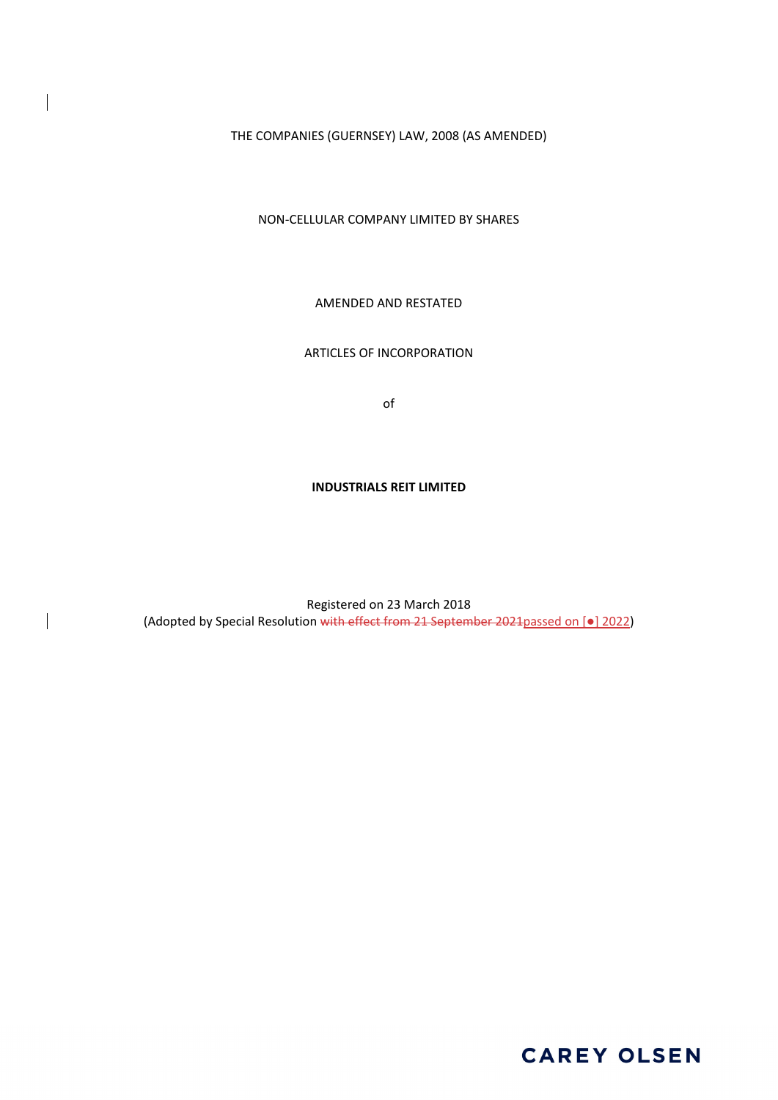THE COMPANIES (GUERNSEY) LAW, 2008 (AS AMENDED)

NON‐CELLULAR COMPANY LIMITED BY SHARES

AMENDED AND RESTATED

# ARTICLES OF INCORPORATION

of

#### **INDUSTRIALS REIT LIMITED**

Registered on 23 March 2018 (Adopted by Special Resolution with effect from 21 September 2021passed on [●] 2022)

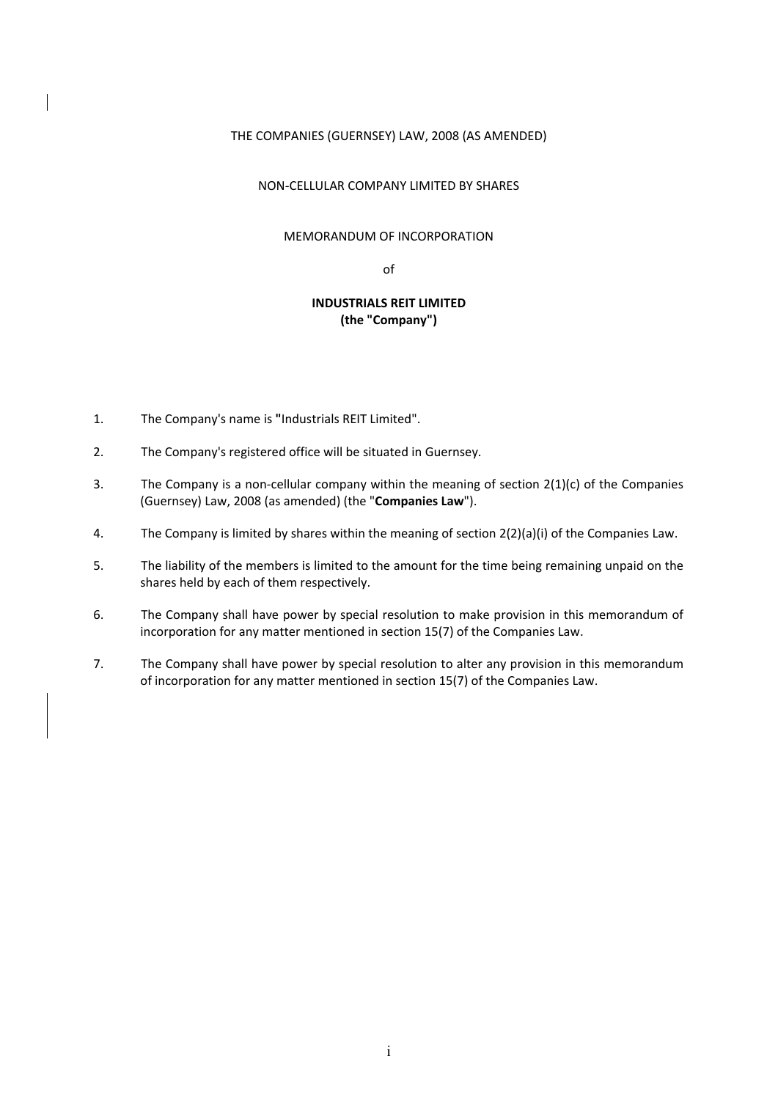## THE COMPANIES (GUERNSEY) LAW, 2008 (AS AMENDED)

### NON‐CELLULAR COMPANY LIMITED BY SHARES

## MEMORANDUM OF INCORPORATION

of

# **INDUSTRIALS REIT LIMITED (the "Company")**

- 1. The Company's name is **"**Industrials REIT Limited".
- 2. The Company's registered office will be situated in Guernsey.
- 3. The Company is a non-cellular company within the meaning of section  $2(1)(c)$  of the Companies (Guernsey) Law, 2008 (as amended) (the "**Companies Law**").
- 4. The Company is limited by shares within the meaning of section 2(2)(a)(i) of the Companies Law.
- 5. The liability of the members is limited to the amount for the time being remaining unpaid on the shares held by each of them respectively.
- 6. The Company shall have power by special resolution to make provision in this memorandum of incorporation for any matter mentioned in section 15(7) of the Companies Law.
- 7. The Company shall have power by special resolution to alter any provision in this memorandum of incorporation for any matter mentioned in section 15(7) of the Companies Law.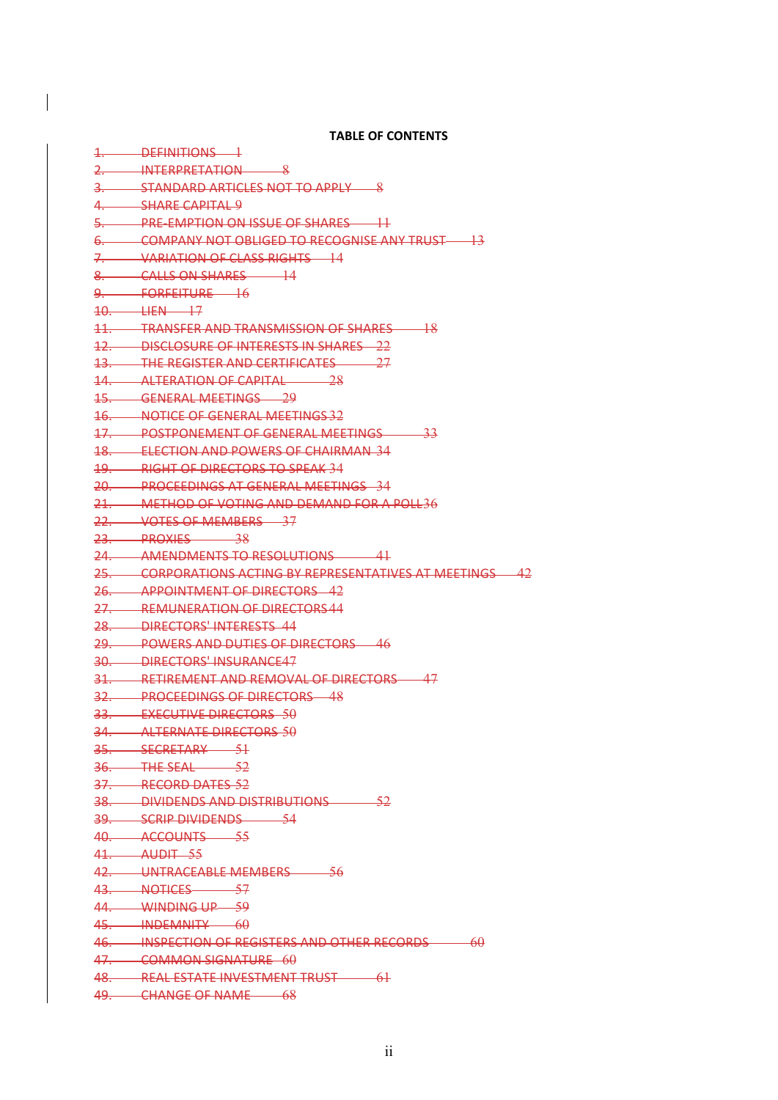**TABLE OF CONTENTS**

 $\overline{\phantom{a}}$ 

| 1. DEFINITIONS 1                                             |
|--------------------------------------------------------------|
| 2. INTERPRETATION 8                                          |
| 3. STANDARD ARTICLES NOT TO APPLY 8                          |
| 4. SHARE CAPITAL 9                                           |
| 5. PRE-EMPTION ON ISSUE OF SHARES 1                          |
| 6. COMPANY NOT OBLIGED TO RECOGNISE ANY TRUST 13             |
| 7. VARIATION OF CLASS RIGHTS 14                              |
| 8. CALLS ON SHARES 14                                        |
| 9. FORFEITURE 16                                             |
| $10.$ $\qquad \qquad \text{HER}$ $\qquad \qquad \text{17}$   |
| 11. TRANSFER AND TRANSMISSION OF SHARES 18                   |
| 12. DISCLOSURE OF INTERESTS IN SHARES 22                     |
| 13. THE REGISTER AND CERTIFICATES 27                         |
| 14. ALTERATION OF CAPITAL 28                                 |
| 15. GENERAL MEETINGS 29                                      |
| 16. NOTICE OF GENERAL MEETINGS 32                            |
| 17. POSTPONEMENT OF GENERAL MEETINGS 33                      |
| 18. ELECTION AND POWERS OF CHAIRMAN 34                       |
| 19. RIGHT OF DIRECTORS TO SPEAK 34                           |
| 20. PROCEEDINGS AT GENERAL MEETINGS 34                       |
| 21. METHOD OF VOTING AND DEMAND FOR A POLL36                 |
| 22. VOTES OF MEMBERS 37                                      |
| 23. PROXIES 38                                               |
| 24. AMENDMENTS TO RESOLUTIONS 41                             |
| 25. CORPORATIONS ACTING BY REPRESENTATIVES AT MEETINGS 42    |
| 26. APPOINTMENT OF DIRECTORS 42                              |
| 27. REMUNERATION OF DIRECTORS44                              |
| 28. DIRECTORS' INTERESTS 44                                  |
| 29. POWERS AND DUTIES OF DIRECTORS 46                        |
| 30. DIRECTORS' INSURANCE47                                   |
| 31. RETIREMENT AND REMOVAL OF DIRECTORS 47                   |
| 32. PROCEEDINGS OF DIRECTORS 48                              |
| 33. EXECUTIVE DIRECTORS 50                                   |
| 34. ALTERNATE DIRECTORS 50                                   |
| 35. SECRETARY 51<br>36. THE SEAL 52                          |
| 37. RECORD DATES 52                                          |
|                                                              |
| 38. DIVIDENDS AND DISTRIBUTIONS 52<br>39. SCRIP DIVIDENDS 54 |
| 40. ACCOUNTS 55                                              |
| $41.$ AUDIT 55                                               |
| 42. UNTRACEABLE MEMBERS 56                                   |
| 43. NOTICES 57                                               |
| 44. WINDING UP 59                                            |
| 45. INDEMNITY 60                                             |
| 46. INSPECTION OF REGISTERS AND OTHER RECORDS 60             |
|                                                              |
|                                                              |
| 47. COMMON SIGNATURE 60                                      |
| 48. REAL ESTATE INVESTMENT TRUST 61<br>49. CHANGE OF NAME 68 |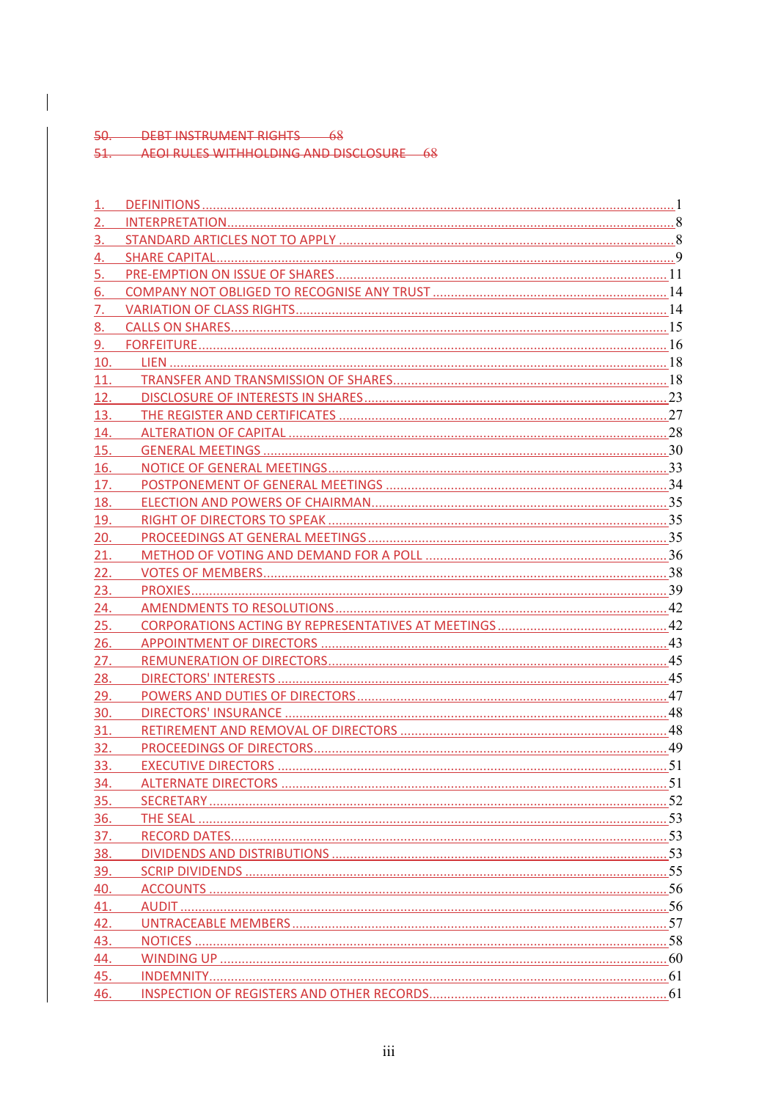50. DEBT INSTRUMENT RIGHTS 68<br>51. AEOI RULES WITHHOLDING AND DISCLOSURE 68

| 2.  |  |
|-----|--|
| 3.  |  |
| 4.  |  |
| 5.  |  |
| 6.  |  |
| 7.  |  |
| 8.  |  |
| 9.  |  |
|     |  |
|     |  |
|     |  |
| 13. |  |
| 14. |  |
| 15. |  |
| 16. |  |
| 17. |  |
| 18. |  |
| 19. |  |
| 20. |  |
| 21. |  |
| 22. |  |
| 23. |  |
| 24. |  |
| 25. |  |
| 26. |  |
| 27. |  |
| 28. |  |
| 29. |  |
| 30. |  |
| 31. |  |
| 32. |  |
| 33. |  |
| 34. |  |
| 35. |  |
| 36. |  |
| 37. |  |
| 38. |  |
| 39. |  |
| 40. |  |
| 41. |  |
| 42. |  |
| 43. |  |
| 44. |  |
| 45. |  |
| 46. |  |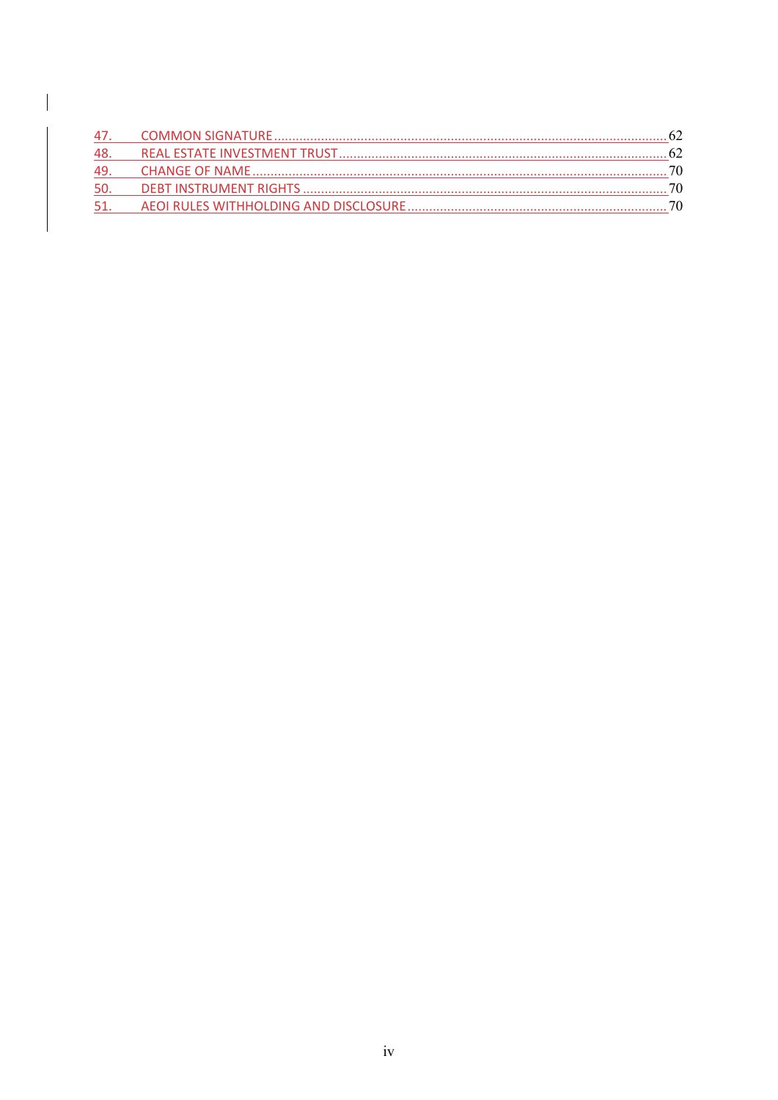| 48.  |  |
|------|--|
|      |  |
| -50. |  |
| -51. |  |

 $\overline{\phantom{a}}$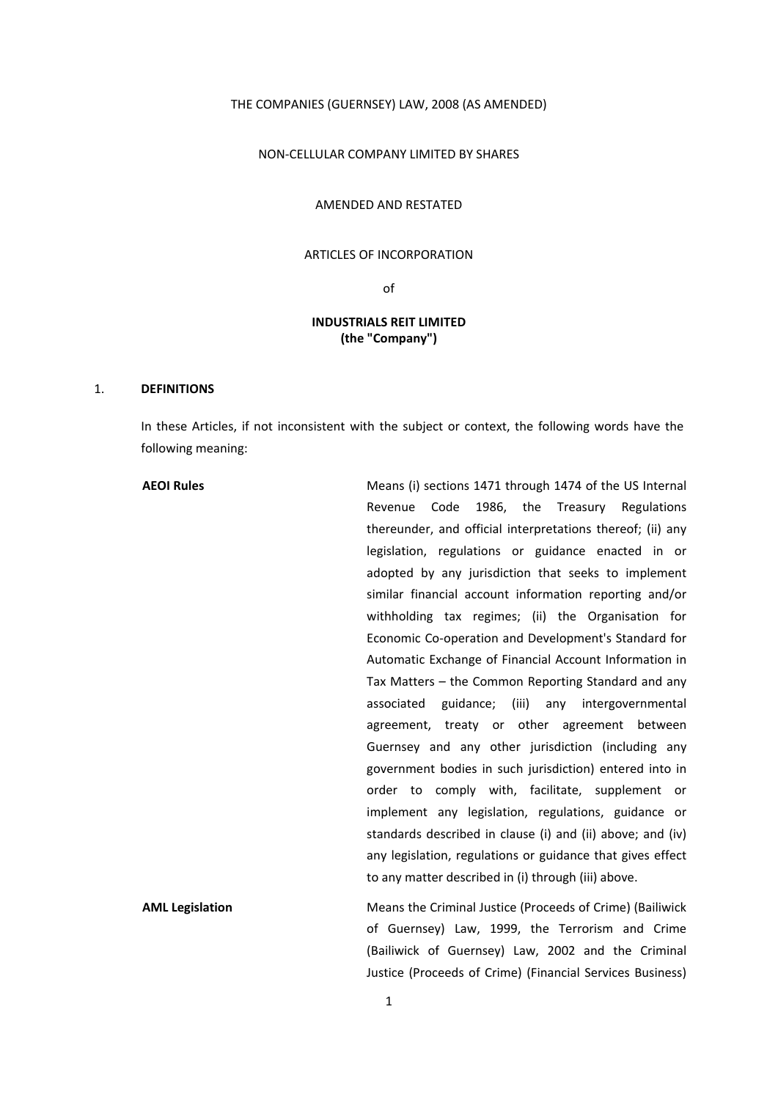# THE COMPANIES (GUERNSEY) LAW, 2008 (AS AMENDED)

## NON‐CELLULAR COMPANY LIMITED BY SHARES

#### AMENDED AND RESTATED

# ARTICLES OF INCORPORATION

of

# **INDUSTRIALS REIT LIMITED (the "Company")**

### 1. **DEFINITIONS**

In these Articles, if not inconsistent with the subject or context, the following words have the following meaning:

| <b>AEOI Rules</b>      | Means (i) sections 1471 through 1474 of the US Internal    |
|------------------------|------------------------------------------------------------|
|                        | Revenue Code 1986, the Treasury Regulations                |
|                        | thereunder, and official interpretations thereof; (ii) any |
|                        | legislation, regulations or guidance enacted in or         |
|                        | adopted by any jurisdiction that seeks to implement        |
|                        | similar financial account information reporting and/or     |
|                        | withholding tax regimes; (ii) the Organisation for         |
|                        | Economic Co-operation and Development's Standard for       |
|                        | Automatic Exchange of Financial Account Information in     |
|                        | Tax Matters – the Common Reporting Standard and any        |
|                        | associated guidance; (iii) any intergovernmental           |
|                        | agreement, treaty or other agreement between               |
|                        | Guernsey and any other jurisdiction (including any         |
|                        | government bodies in such jurisdiction) entered into in    |
|                        | order to comply with, facilitate, supplement or            |
|                        | implement any legislation, regulations, guidance or        |
|                        | standards described in clause (i) and (ii) above; and (iv) |
|                        | any legislation, regulations or guidance that gives effect |
|                        | to any matter described in (i) through (iii) above.        |
| <b>AML Legislation</b> | Means the Criminal Justice (Proceeds of Crime) (Bailiwick  |
|                        | of Guernsey) Law, 1999, the Terrorism and Crime            |

(Bailiwick of Guernsey) Law, 2002 and the Criminal Justice (Proceeds of Crime) (Financial Services Business)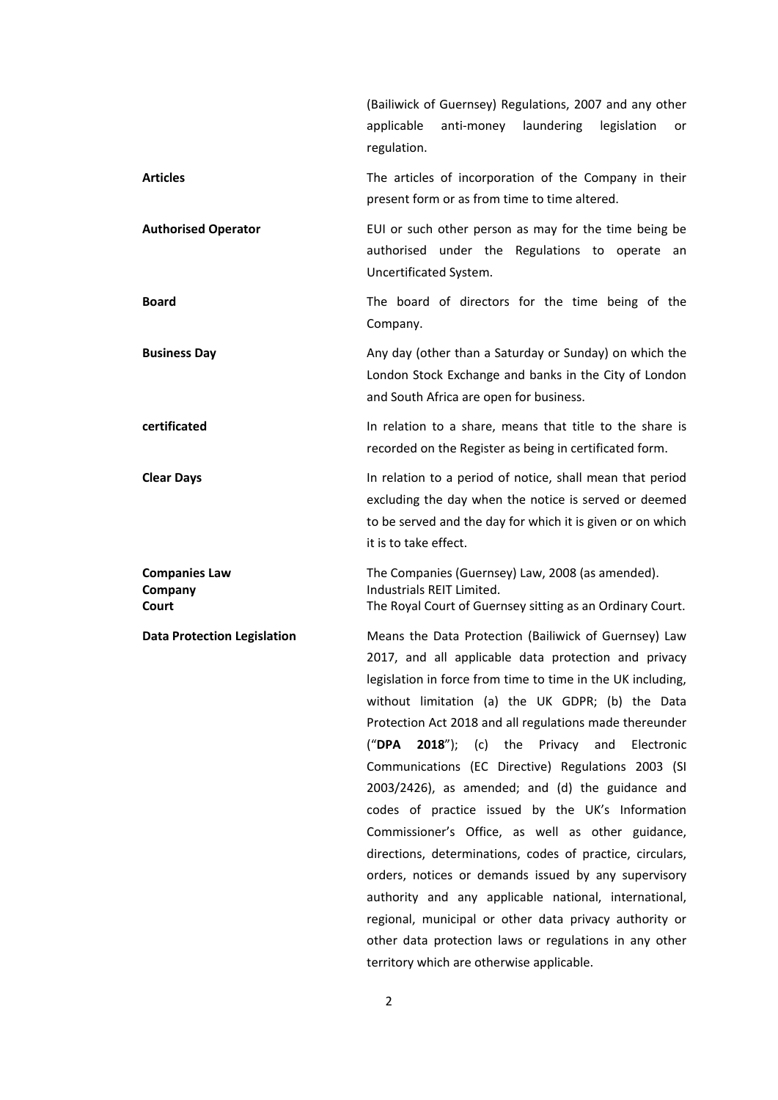|                                          | (Bailiwick of Guernsey) Regulations, 2007 and any other<br>anti-money<br>laundering<br>legislation<br>applicable<br>or<br>regulation.                                                                                                                                                                                                                                                                                                                                                                                                                                                                                                                                                                                                                                                                                                                                                                                 |
|------------------------------------------|-----------------------------------------------------------------------------------------------------------------------------------------------------------------------------------------------------------------------------------------------------------------------------------------------------------------------------------------------------------------------------------------------------------------------------------------------------------------------------------------------------------------------------------------------------------------------------------------------------------------------------------------------------------------------------------------------------------------------------------------------------------------------------------------------------------------------------------------------------------------------------------------------------------------------|
| <b>Articles</b>                          | The articles of incorporation of the Company in their<br>present form or as from time to time altered.                                                                                                                                                                                                                                                                                                                                                                                                                                                                                                                                                                                                                                                                                                                                                                                                                |
| <b>Authorised Operator</b>               | EUI or such other person as may for the time being be<br>authorised under the Regulations to operate an<br>Uncertificated System.                                                                                                                                                                                                                                                                                                                                                                                                                                                                                                                                                                                                                                                                                                                                                                                     |
| <b>Board</b>                             | The board of directors for the time being of the<br>Company.                                                                                                                                                                                                                                                                                                                                                                                                                                                                                                                                                                                                                                                                                                                                                                                                                                                          |
| <b>Business Day</b>                      | Any day (other than a Saturday or Sunday) on which the<br>London Stock Exchange and banks in the City of London<br>and South Africa are open for business.                                                                                                                                                                                                                                                                                                                                                                                                                                                                                                                                                                                                                                                                                                                                                            |
| certificated                             | In relation to a share, means that title to the share is<br>recorded on the Register as being in certificated form.                                                                                                                                                                                                                                                                                                                                                                                                                                                                                                                                                                                                                                                                                                                                                                                                   |
| <b>Clear Days</b>                        | In relation to a period of notice, shall mean that period<br>excluding the day when the notice is served or deemed<br>to be served and the day for which it is given or on which<br>it is to take effect.                                                                                                                                                                                                                                                                                                                                                                                                                                                                                                                                                                                                                                                                                                             |
| <b>Companies Law</b><br>Company<br>Court | The Companies (Guernsey) Law, 2008 (as amended).<br>Industrials REIT Limited.<br>The Royal Court of Guernsey sitting as an Ordinary Court.                                                                                                                                                                                                                                                                                                                                                                                                                                                                                                                                                                                                                                                                                                                                                                            |
| <b>Data Protection Legislation</b>       | Means the Data Protection (Bailiwick of Guernsey) Law<br>2017, and all applicable data protection and privacy<br>legislation in force from time to time in the UK including,<br>without limitation (a) the UK GDPR; (b) the Data<br>Protection Act 2018 and all regulations made thereunder<br>("DPA<br>$2018'$ ; (c) the Privacy and<br>Electronic<br>Communications (EC Directive) Regulations 2003 (SI<br>2003/2426), as amended; and (d) the guidance and<br>codes of practice issued by the UK's Information<br>Commissioner's Office, as well as other guidance,<br>directions, determinations, codes of practice, circulars,<br>orders, notices or demands issued by any supervisory<br>authority and any applicable national, international,<br>regional, municipal or other data privacy authority or<br>other data protection laws or regulations in any other<br>territory which are otherwise applicable. |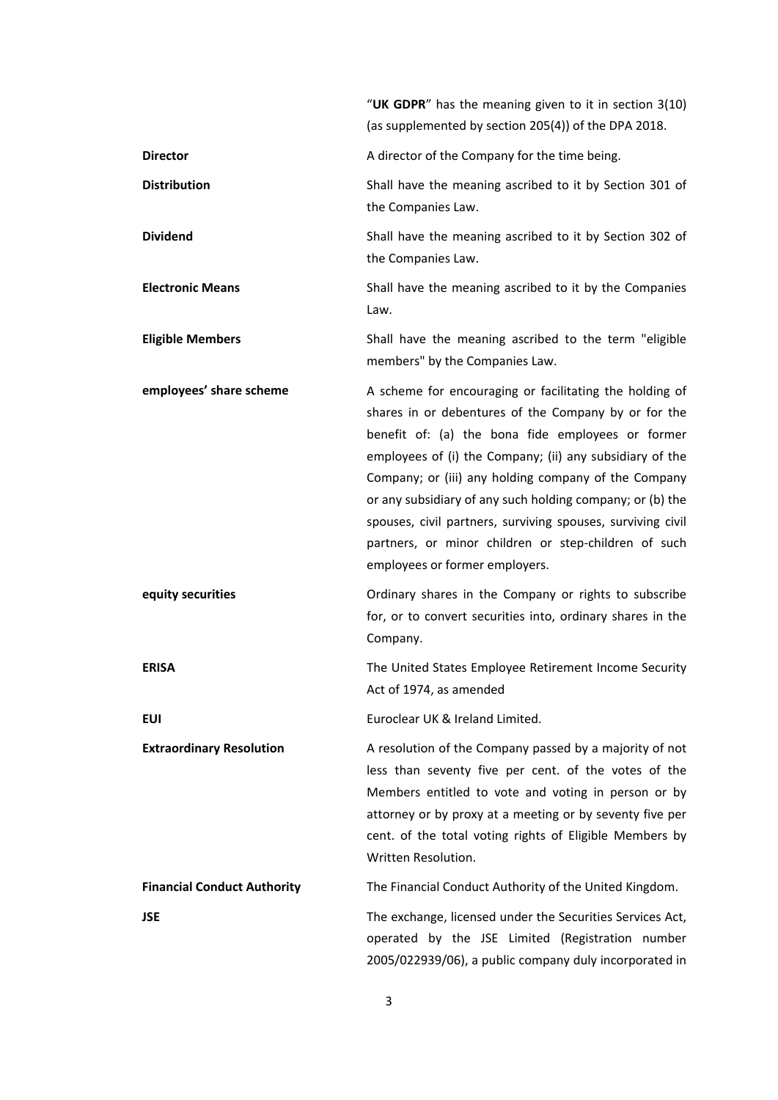|                                    | "UK GDPR" has the meaning given to it in section 3(10)<br>(as supplemented by section 205(4)) of the DPA 2018.                                                                                                                                                                                                                                                                                                                                                                                                 |
|------------------------------------|----------------------------------------------------------------------------------------------------------------------------------------------------------------------------------------------------------------------------------------------------------------------------------------------------------------------------------------------------------------------------------------------------------------------------------------------------------------------------------------------------------------|
| <b>Director</b>                    | A director of the Company for the time being.                                                                                                                                                                                                                                                                                                                                                                                                                                                                  |
| <b>Distribution</b>                | Shall have the meaning ascribed to it by Section 301 of<br>the Companies Law.                                                                                                                                                                                                                                                                                                                                                                                                                                  |
| <b>Dividend</b>                    | Shall have the meaning ascribed to it by Section 302 of<br>the Companies Law.                                                                                                                                                                                                                                                                                                                                                                                                                                  |
| <b>Electronic Means</b>            | Shall have the meaning ascribed to it by the Companies<br>Law.                                                                                                                                                                                                                                                                                                                                                                                                                                                 |
| <b>Eligible Members</b>            | Shall have the meaning ascribed to the term "eligible<br>members" by the Companies Law.                                                                                                                                                                                                                                                                                                                                                                                                                        |
| employees' share scheme            | A scheme for encouraging or facilitating the holding of<br>shares in or debentures of the Company by or for the<br>benefit of: (a) the bona fide employees or former<br>employees of (i) the Company; (ii) any subsidiary of the<br>Company; or (iii) any holding company of the Company<br>or any subsidiary of any such holding company; or (b) the<br>spouses, civil partners, surviving spouses, surviving civil<br>partners, or minor children or step-children of such<br>employees or former employers. |
| equity securities                  | Ordinary shares in the Company or rights to subscribe<br>for, or to convert securities into, ordinary shares in the<br>Company.                                                                                                                                                                                                                                                                                                                                                                                |
| <b>ERISA</b>                       | The United States Employee Retirement Income Security<br>Act of 1974, as amended                                                                                                                                                                                                                                                                                                                                                                                                                               |
| <b>EUI</b>                         | Euroclear UK & Ireland Limited.                                                                                                                                                                                                                                                                                                                                                                                                                                                                                |
| <b>Extraordinary Resolution</b>    | A resolution of the Company passed by a majority of not<br>less than seventy five per cent. of the votes of the<br>Members entitled to vote and voting in person or by<br>attorney or by proxy at a meeting or by seventy five per<br>cent. of the total voting rights of Eligible Members by<br>Written Resolution.                                                                                                                                                                                           |
| <b>Financial Conduct Authority</b> | The Financial Conduct Authority of the United Kingdom.                                                                                                                                                                                                                                                                                                                                                                                                                                                         |
| <b>JSE</b>                         | The exchange, licensed under the Securities Services Act,<br>operated by the JSE Limited (Registration number<br>2005/022939/06), a public company duly incorporated in                                                                                                                                                                                                                                                                                                                                        |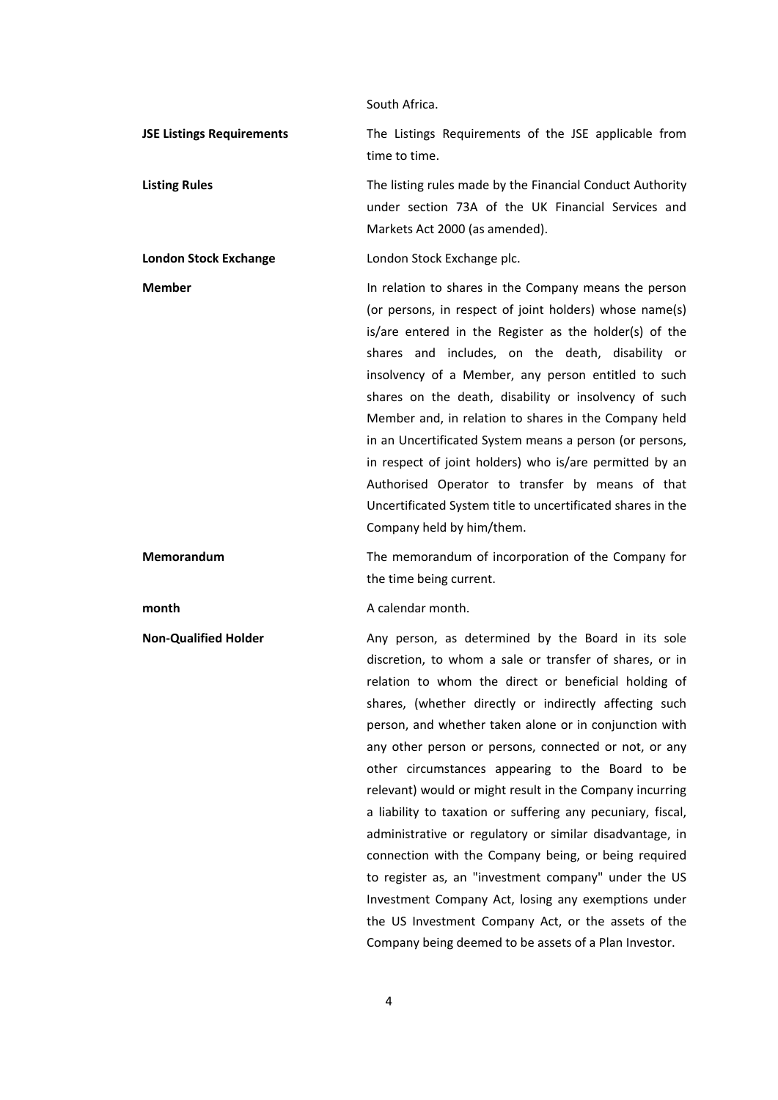|                                  | SOULIT AITICA.                                                                                                                                                                                                                                                                                                                                                                                                                                                                                                                                                                                                                                                                |
|----------------------------------|-------------------------------------------------------------------------------------------------------------------------------------------------------------------------------------------------------------------------------------------------------------------------------------------------------------------------------------------------------------------------------------------------------------------------------------------------------------------------------------------------------------------------------------------------------------------------------------------------------------------------------------------------------------------------------|
| <b>JSE Listings Requirements</b> | The Listings Requirements of the JSE applicable from<br>time to time.                                                                                                                                                                                                                                                                                                                                                                                                                                                                                                                                                                                                         |
| <b>Listing Rules</b>             | The listing rules made by the Financial Conduct Authority<br>under section 73A of the UK Financial Services and<br>Markets Act 2000 (as amended).                                                                                                                                                                                                                                                                                                                                                                                                                                                                                                                             |
| <b>London Stock Exchange</b>     | London Stock Exchange plc.                                                                                                                                                                                                                                                                                                                                                                                                                                                                                                                                                                                                                                                    |
| <b>Member</b>                    | In relation to shares in the Company means the person<br>(or persons, in respect of joint holders) whose name(s)<br>is/are entered in the Register as the holder(s) of the<br>shares and includes, on the death, disability or<br>insolvency of a Member, any person entitled to such<br>shares on the death, disability or insolvency of such<br>Member and, in relation to shares in the Company held<br>in an Uncertificated System means a person (or persons,<br>in respect of joint holders) who is/are permitted by an<br>Authorised Operator to transfer by means of that<br>Uncertificated System title to uncertificated shares in the<br>Company held by him/them. |
| Memorandum                       | The memorandum of incorporation of the Company for<br>the time being current.                                                                                                                                                                                                                                                                                                                                                                                                                                                                                                                                                                                                 |
| month                            | A calendar month.                                                                                                                                                                                                                                                                                                                                                                                                                                                                                                                                                                                                                                                             |
| <b>Non-Qualified Holder</b>      | Any person, as determined by the Board in its sole<br>disanation to colorer a sale on themselve of showns of                                                                                                                                                                                                                                                                                                                                                                                                                                                                                                                                                                  |

South Africa.

discretion, to whom a sale or transfer of shares, or in relation to whom the direct or beneficial holding of shares, (whether directly or indirectly affecting such person, and whether taken alone or in conjunction with any other person or persons, connected or not, or any other circumstances appearing to the Board to be relevant) would or might result in the Company incurring a liability to taxation or suffering any pecuniary, fiscal, administrative or regulatory or similar disadvantage, in connection with the Company being, or being required to register as, an "investment company" under the US Investment Company Act, losing any exemptions under the US Investment Company Act, or the assets of the Company being deemed to be assets of a Plan Investor.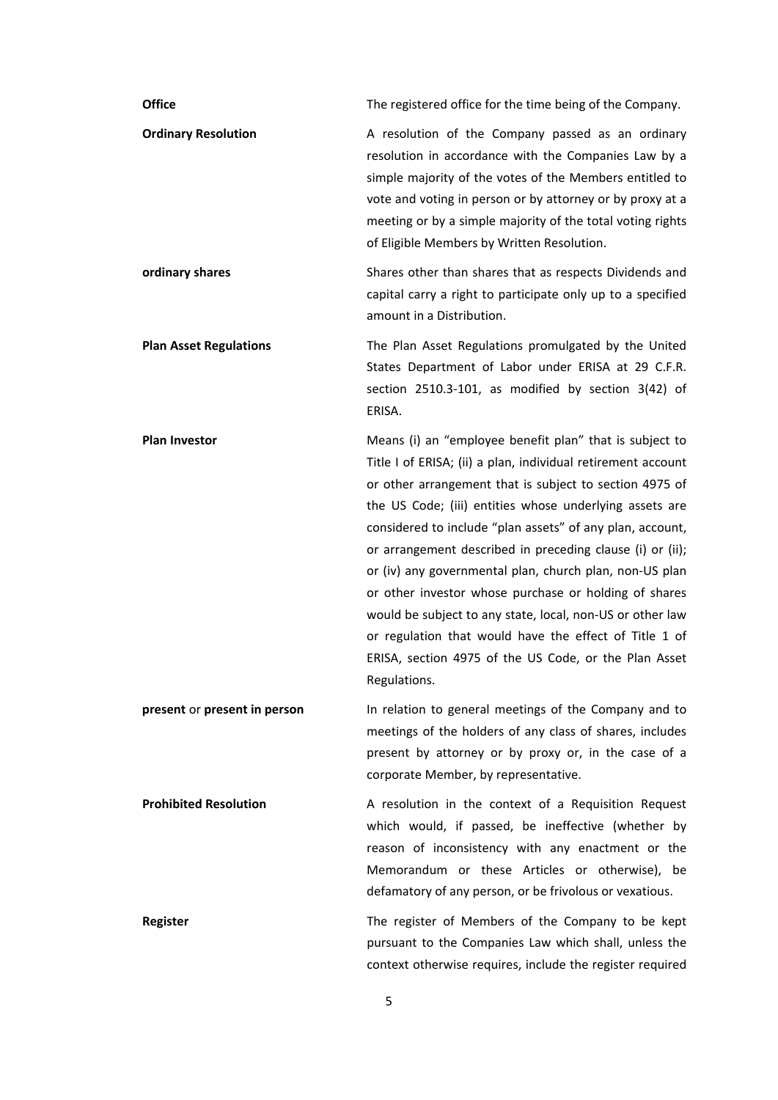| <b>Office</b>                 | The registered office for the time being of the Company.                                                                                                                                                                                                                                                                                                                                                                                                                                                                                                                                                                                                                                    |
|-------------------------------|---------------------------------------------------------------------------------------------------------------------------------------------------------------------------------------------------------------------------------------------------------------------------------------------------------------------------------------------------------------------------------------------------------------------------------------------------------------------------------------------------------------------------------------------------------------------------------------------------------------------------------------------------------------------------------------------|
| <b>Ordinary Resolution</b>    | A resolution of the Company passed as an ordinary<br>resolution in accordance with the Companies Law by a<br>simple majority of the votes of the Members entitled to<br>vote and voting in person or by attorney or by proxy at a<br>meeting or by a simple majority of the total voting rights<br>of Eligible Members by Written Resolution.                                                                                                                                                                                                                                                                                                                                               |
| ordinary shares               | Shares other than shares that as respects Dividends and<br>capital carry a right to participate only up to a specified<br>amount in a Distribution.                                                                                                                                                                                                                                                                                                                                                                                                                                                                                                                                         |
| <b>Plan Asset Regulations</b> | The Plan Asset Regulations promulgated by the United<br>States Department of Labor under ERISA at 29 C.F.R.<br>section 2510.3-101, as modified by section 3(42) of<br>ERISA.                                                                                                                                                                                                                                                                                                                                                                                                                                                                                                                |
| <b>Plan Investor</b>          | Means (i) an "employee benefit plan" that is subject to<br>Title I of ERISA; (ii) a plan, individual retirement account<br>or other arrangement that is subject to section 4975 of<br>the US Code; (iii) entities whose underlying assets are<br>considered to include "plan assets" of any plan, account,<br>or arrangement described in preceding clause (i) or (ii);<br>or (iv) any governmental plan, church plan, non-US plan<br>or other investor whose purchase or holding of shares<br>would be subject to any state, local, non-US or other law<br>or regulation that would have the effect of Title 1 of<br>ERISA, section 4975 of the US Code, or the Plan Asset<br>Regulations. |
| present or present in person  | In relation to general meetings of the Company and to<br>meetings of the holders of any class of shares, includes<br>present by attorney or by proxy or, in the case of a<br>corporate Member, by representative.                                                                                                                                                                                                                                                                                                                                                                                                                                                                           |
| <b>Prohibited Resolution</b>  | A resolution in the context of a Requisition Request<br>which would, if passed, be ineffective (whether by<br>reason of inconsistency with any enactment or the<br>Memorandum or these Articles or otherwise), be<br>defamatory of any person, or be frivolous or vexatious.                                                                                                                                                                                                                                                                                                                                                                                                                |
| <b>Register</b>               | The register of Members of the Company to be kept<br>pursuant to the Companies Law which shall, unless the<br>context otherwise requires, include the register required                                                                                                                                                                                                                                                                                                                                                                                                                                                                                                                     |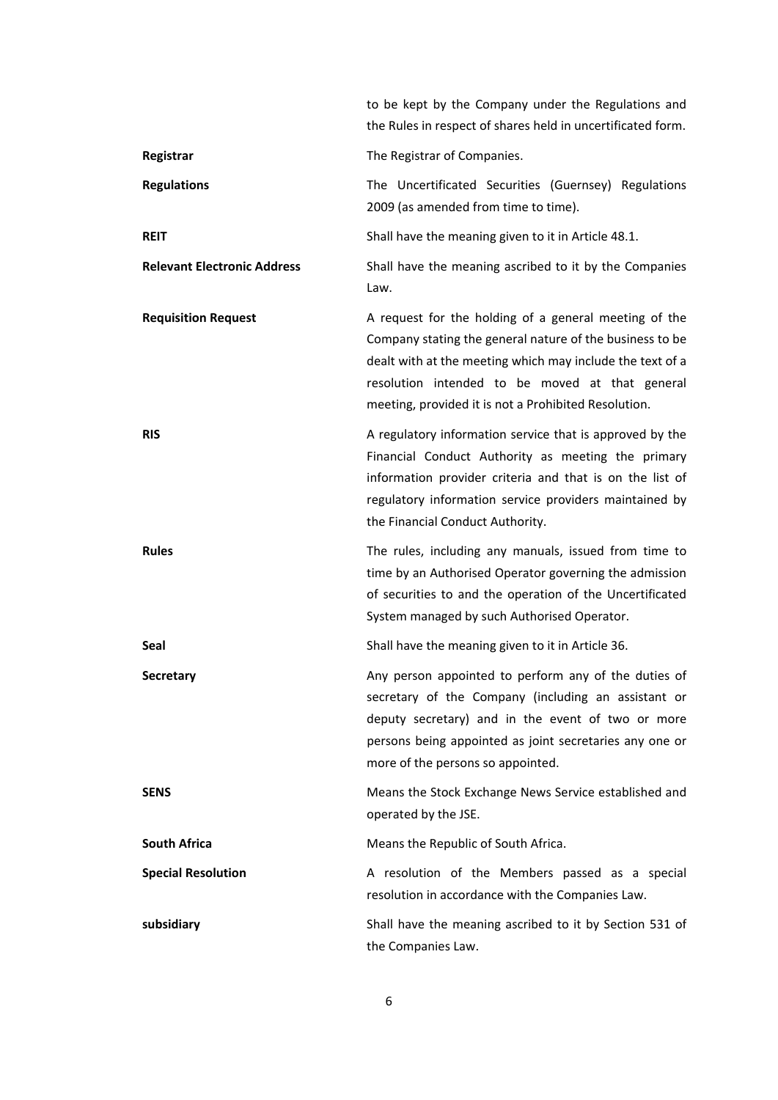|                                    | to be kept by the Company under the Regulations and<br>the Rules in respect of shares held in uncertificated form.                                                                                                                                                                        |
|------------------------------------|-------------------------------------------------------------------------------------------------------------------------------------------------------------------------------------------------------------------------------------------------------------------------------------------|
| Registrar                          | The Registrar of Companies.                                                                                                                                                                                                                                                               |
| <b>Regulations</b>                 | The Uncertificated Securities (Guernsey) Regulations<br>2009 (as amended from time to time).                                                                                                                                                                                              |
| <b>REIT</b>                        | Shall have the meaning given to it in Article 48.1.                                                                                                                                                                                                                                       |
| <b>Relevant Electronic Address</b> | Shall have the meaning ascribed to it by the Companies<br>Law.                                                                                                                                                                                                                            |
| <b>Requisition Request</b>         | A request for the holding of a general meeting of the<br>Company stating the general nature of the business to be<br>dealt with at the meeting which may include the text of a<br>resolution intended to be moved at that general<br>meeting, provided it is not a Prohibited Resolution. |
| RIS                                | A regulatory information service that is approved by the<br>Financial Conduct Authority as meeting the primary<br>information provider criteria and that is on the list of<br>regulatory information service providers maintained by<br>the Financial Conduct Authority.                  |
| <b>Rules</b>                       | The rules, including any manuals, issued from time to<br>time by an Authorised Operator governing the admission<br>of securities to and the operation of the Uncertificated<br>System managed by such Authorised Operator.                                                                |
| Seal                               | Shall have the meaning given to it in Article 36.                                                                                                                                                                                                                                         |
| <b>Secretary</b>                   | Any person appointed to perform any of the duties of<br>secretary of the Company (including an assistant or<br>deputy secretary) and in the event of two or more<br>persons being appointed as joint secretaries any one or<br>more of the persons so appointed.                          |
| <b>SENS</b>                        | Means the Stock Exchange News Service established and<br>operated by the JSE.                                                                                                                                                                                                             |
| <b>South Africa</b>                | Means the Republic of South Africa.                                                                                                                                                                                                                                                       |
| <b>Special Resolution</b>          | A resolution of the Members passed as a special<br>resolution in accordance with the Companies Law.                                                                                                                                                                                       |
| subsidiary                         | Shall have the meaning ascribed to it by Section 531 of<br>the Companies Law.                                                                                                                                                                                                             |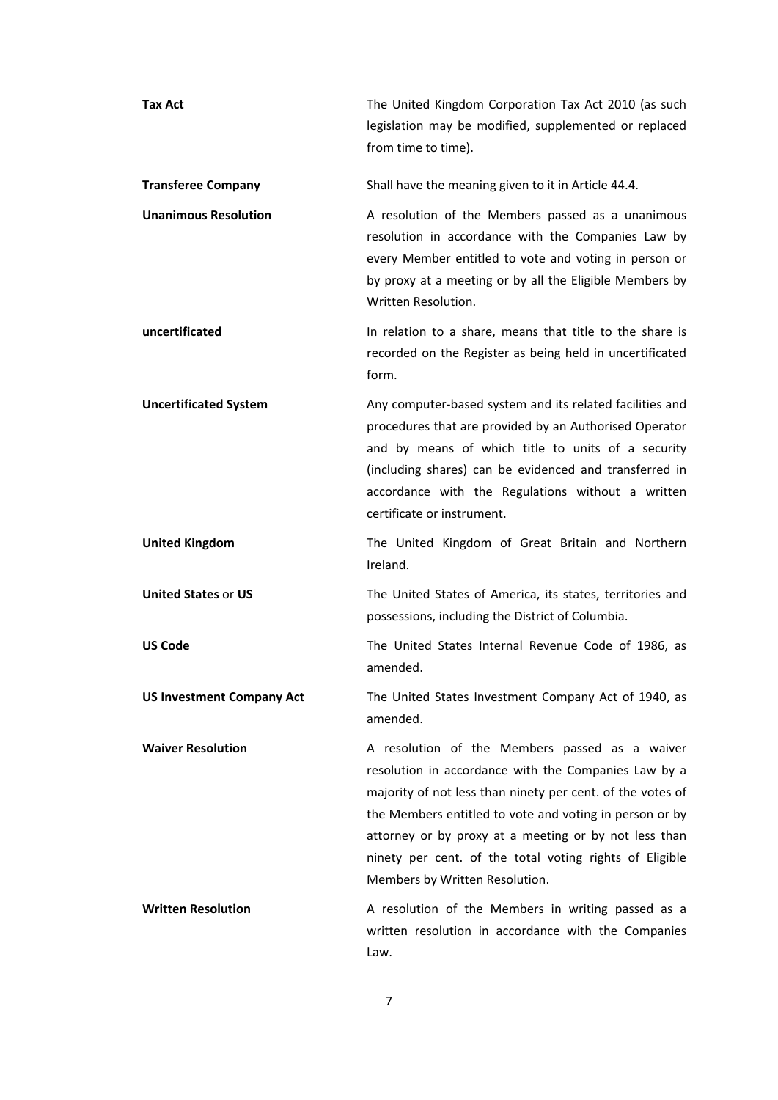| <b>Tax Act</b>                   | The United Kingdom Corporation Tax Act 2010 (as such<br>legislation may be modified, supplemented or replaced<br>from time to time).                                                                                                                                                                                                                                                  |
|----------------------------------|---------------------------------------------------------------------------------------------------------------------------------------------------------------------------------------------------------------------------------------------------------------------------------------------------------------------------------------------------------------------------------------|
| <b>Transferee Company</b>        | Shall have the meaning given to it in Article 44.4.                                                                                                                                                                                                                                                                                                                                   |
| <b>Unanimous Resolution</b>      | A resolution of the Members passed as a unanimous<br>resolution in accordance with the Companies Law by<br>every Member entitled to vote and voting in person or<br>by proxy at a meeting or by all the Eligible Members by<br>Written Resolution.                                                                                                                                    |
| uncertificated                   | In relation to a share, means that title to the share is<br>recorded on the Register as being held in uncertificated<br>form.                                                                                                                                                                                                                                                         |
| <b>Uncertificated System</b>     | Any computer-based system and its related facilities and<br>procedures that are provided by an Authorised Operator<br>and by means of which title to units of a security<br>(including shares) can be evidenced and transferred in<br>accordance with the Regulations without a written<br>certificate or instrument.                                                                 |
| <b>United Kingdom</b>            | The United Kingdom of Great Britain and Northern<br>Ireland.                                                                                                                                                                                                                                                                                                                          |
| <b>United States or US</b>       | The United States of America, its states, territories and<br>possessions, including the District of Columbia.                                                                                                                                                                                                                                                                         |
| <b>US Code</b>                   | The United States Internal Revenue Code of 1986, as<br>amended.                                                                                                                                                                                                                                                                                                                       |
| <b>US Investment Company Act</b> | The United States Investment Company Act of 1940, as<br>amended.                                                                                                                                                                                                                                                                                                                      |
| <b>Waiver Resolution</b>         | A resolution of the Members passed as a waiver<br>resolution in accordance with the Companies Law by a<br>majority of not less than ninety per cent. of the votes of<br>the Members entitled to vote and voting in person or by<br>attorney or by proxy at a meeting or by not less than<br>ninety per cent. of the total voting rights of Eligible<br>Members by Written Resolution. |
| <b>Written Resolution</b>        | A resolution of the Members in writing passed as a<br>written resolution in accordance with the Companies<br>Law.                                                                                                                                                                                                                                                                     |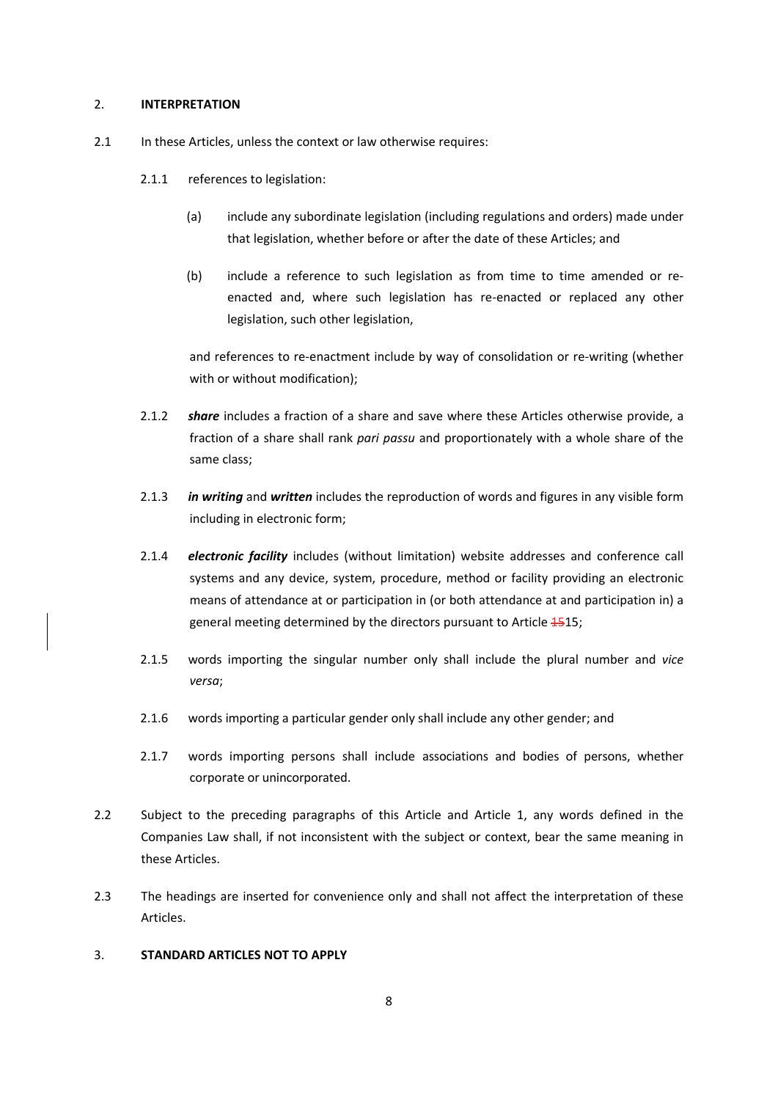### 2. **INTERPRETATION**

- 2.1 In these Articles, unless the context or law otherwise requires:
	- 2.1.1 references to legislation:
		- (a) include any subordinate legislation (including regulations and orders) made under that legislation, whether before or after the date of these Articles; and
		- (b) include a reference to such legislation as from time to time amended or re‐ enacted and, where such legislation has re-enacted or replaced any other legislation, such other legislation,

and references to re-enactment include by way of consolidation or re-writing (whether with or without modification);

- 2.1.2 *share* includes a fraction of a share and save where these Articles otherwise provide, a fraction of a share shall rank *pari passu* and proportionately with a whole share of the same class;
- 2.1.3 *in writing* and *written* includes the reproduction of words and figures in any visible form including in electronic form;
- 2.1.4 *electronic facility* includes (without limitation) website addresses and conference call systems and any device, system, procedure, method or facility providing an electronic means of attendance at or participation in (or both attendance at and participation in) a general meeting determined by the directors pursuant to Article 4515;
- 2.1.5 words importing the singular number only shall include the plural number and *vice versa*;
- 2.1.6 words importing a particular gender only shall include any other gender; and
- 2.1.7 words importing persons shall include associations and bodies of persons, whether corporate or unincorporated.
- 2.2 Subject to the preceding paragraphs of this Article and Article 1, any words defined in the Companies Law shall, if not inconsistent with the subject or context, bear the same meaning in these Articles.
- 2.3 The headings are inserted for convenience only and shall not affect the interpretation of these Articles.

# 3. **STANDARD ARTICLES NOT TO APPLY**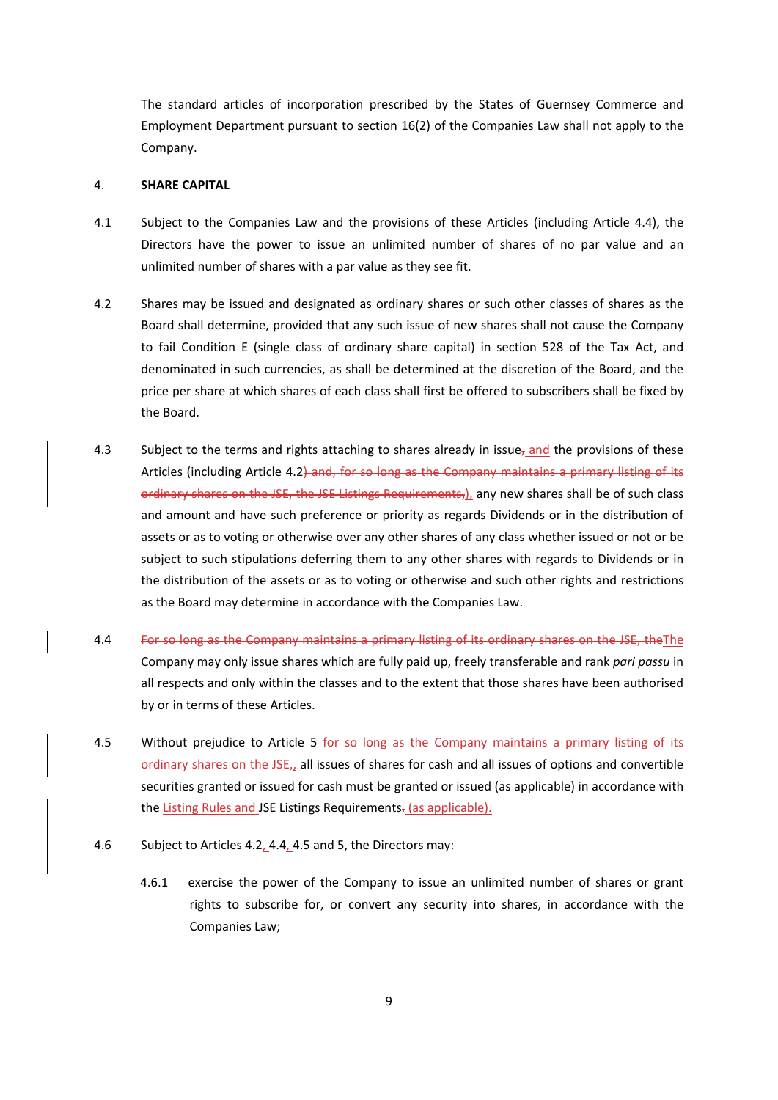The standard articles of incorporation prescribed by the States of Guernsey Commerce and Employment Department pursuant to section 16(2) of the Companies Law shall not apply to the Company.

### 4. **SHARE CAPITAL**

- 4.1 Subject to the Companies Law and the provisions of these Articles (including Article 4.4), the Directors have the power to issue an unlimited number of shares of no par value and an unlimited number of shares with a par value as they see fit.
- 4.2 Shares may be issued and designated as ordinary shares or such other classes of shares as the Board shall determine, provided that any such issue of new shares shall not cause the Company to fail Condition E (single class of ordinary share capital) in section 528 of the Tax Act, and denominated in such currencies, as shall be determined at the discretion of the Board, and the price per share at which shares of each class shall first be offered to subscribers shall be fixed by the Board.
- 4.3 Subject to the terms and rights attaching to shares already in issue, and the provisions of these Articles (including Article 4.2) and, for so long as the Company maintains a primary listing of its ordinary shares on the JSE, the JSE Listings Requirements,), any new shares shall be of such class and amount and have such preference or priority as regards Dividends or in the distribution of assets or as to voting or otherwise over any other shares of any class whether issued or not or be subject to such stipulations deferring them to any other shares with regards to Dividends or in the distribution of the assets or as to voting or otherwise and such other rights and restrictions as the Board may determine in accordance with the Companies Law.
- 4.4 For so long as the Company maintains a primary listing of its ordinary shares on the JSE, the The Company may only issue shares which are fully paid up, freely transferable and rank *pari passu* in all respects and only within the classes and to the extent that those shares have been authorised by or in terms of these Articles.
- 4.5 Without prejudice to Article 5-for so long as the Company maintains a primary listing of its ordinary shares on the JSE,, all issues of shares for cash and all issues of options and convertible securities granted or issued for cash must be granted or issued (as applicable) in accordance with the Listing Rules and JSE Listings Requirements- (as applicable).
- 4.6 Subject to Articles 4.2, 4.4, 4.5 and 5, the Directors may:
	- 4.6.1 exercise the power of the Company to issue an unlimited number of shares or grant rights to subscribe for, or convert any security into shares, in accordance with the Companies Law;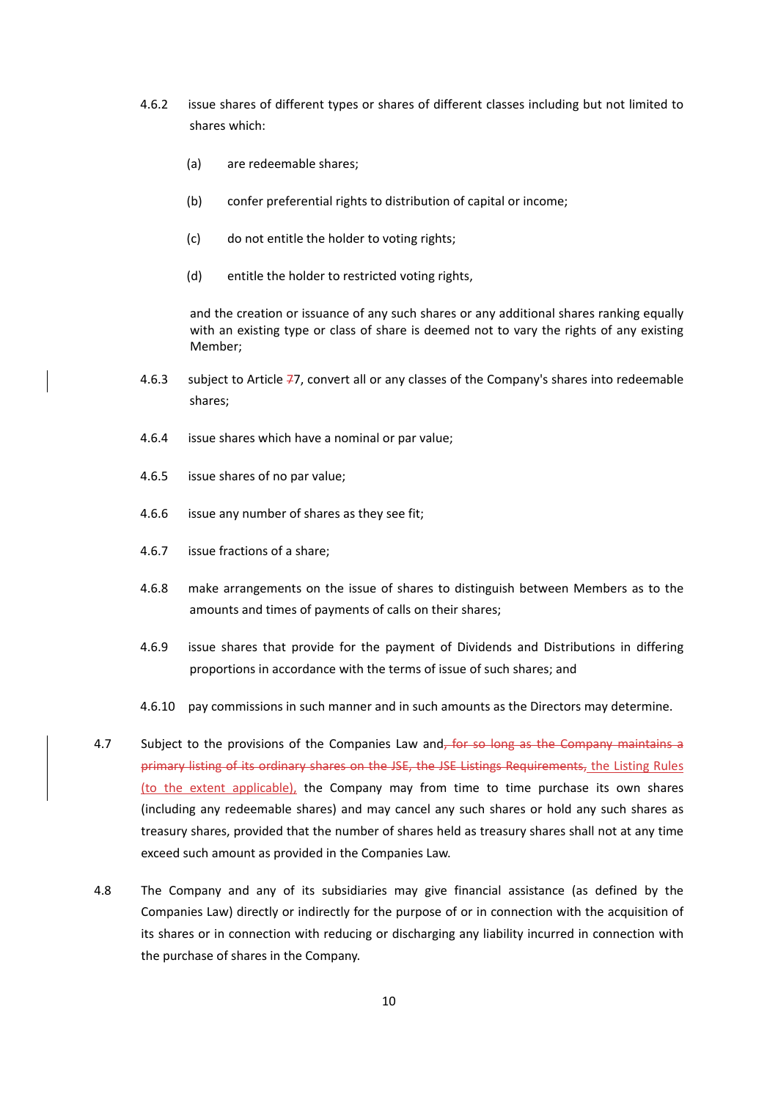- 4.6.2 issue shares of different types or shares of different classes including but not limited to shares which:
	- (a) are redeemable shares;
	- (b) confer preferential rights to distribution of capital or income;
	- (c) do not entitle the holder to voting rights;
	- (d) entitle the holder to restricted voting rights,

and the creation or issuance of any such shares or any additional shares ranking equally with an existing type or class of share is deemed not to vary the rights of any existing Member;

- 4.6.3 subject to Article  $77$ , convert all or any classes of the Company's shares into redeemable shares;
- 4.6.4 issue shares which have a nominal or par value;
- 4.6.5 issue shares of no par value;
- 4.6.6 issue any number of shares as they see fit;
- 4.6.7 issue fractions of a share;
- 4.6.8 make arrangements on the issue of shares to distinguish between Members as to the amounts and times of payments of calls on their shares;
- 4.6.9 issue shares that provide for the payment of Dividends and Distributions in differing proportions in accordance with the terms of issue of such shares; and
- 4.6.10 pay commissions in such manner and in such amounts as the Directors may determine.
- 4.7 Subject to the provisions of the Companies Law and, for so long as the Company maintains a primary listing of its ordinary shares on the JSE, the JSE Listings Requirements, the Listing Rules (to the extent applicable), the Company may from time to time purchase its own shares (including any redeemable shares) and may cancel any such shares or hold any such shares as treasury shares, provided that the number of shares held as treasury shares shall not at any time exceed such amount as provided in the Companies Law.
- 4.8 The Company and any of its subsidiaries may give financial assistance (as defined by the Companies Law) directly or indirectly for the purpose of or in connection with the acquisition of its shares or in connection with reducing or discharging any liability incurred in connection with the purchase of shares in the Company.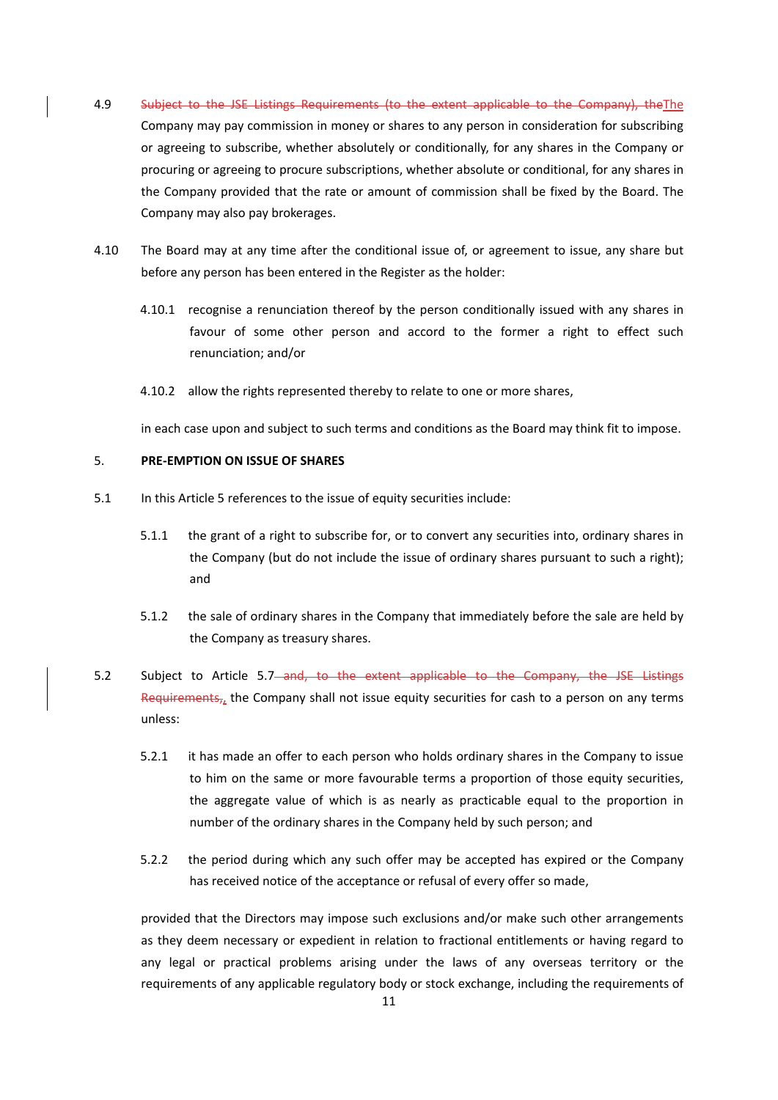- 4.9 Subject to the JSE Listings Requirements (to the extent applicable to the Company), theThe Company may pay commission in money or shares to any person in consideration for subscribing or agreeing to subscribe, whether absolutely or conditionally, for any shares in the Company or procuring or agreeing to procure subscriptions, whether absolute or conditional, for any shares in the Company provided that the rate or amount of commission shall be fixed by the Board. The Company may also pay brokerages.
- 4.10 The Board may at any time after the conditional issue of, or agreement to issue, any share but before any person has been entered in the Register as the holder:
	- 4.10.1 recognise a renunciation thereof by the person conditionally issued with any shares in favour of some other person and accord to the former a right to effect such renunciation; and/or
	- 4.10.2 allow the rights represented thereby to relate to one or more shares,

in each case upon and subject to such terms and conditions as the Board may think fit to impose.

# 5. **PRE‐EMPTION ON ISSUE OF SHARES**

- 5.1 In this Article 5 references to the issue of equity securities include:
	- 5.1.1 the grant of a right to subscribe for, or to convert any securities into, ordinary shares in the Company (but do not include the issue of ordinary shares pursuant to such a right); and
	- 5.1.2 the sale of ordinary shares in the Company that immediately before the sale are held by the Company as treasury shares.
- 5.2 Subject to Article 5.7 and, to the extent applicable to the Company, the JSE Listings Requirements, the Company shall not issue equity securities for cash to a person on any terms unless:
	- 5.2.1 it has made an offer to each person who holds ordinary shares in the Company to issue to him on the same or more favourable terms a proportion of those equity securities, the aggregate value of which is as nearly as practicable equal to the proportion in number of the ordinary shares in the Company held by such person; and
	- 5.2.2 the period during which any such offer may be accepted has expired or the Company has received notice of the acceptance or refusal of every offer so made,

provided that the Directors may impose such exclusions and/or make such other arrangements as they deem necessary or expedient in relation to fractional entitlements or having regard to any legal or practical problems arising under the laws of any overseas territory or the requirements of any applicable regulatory body or stock exchange, including the requirements of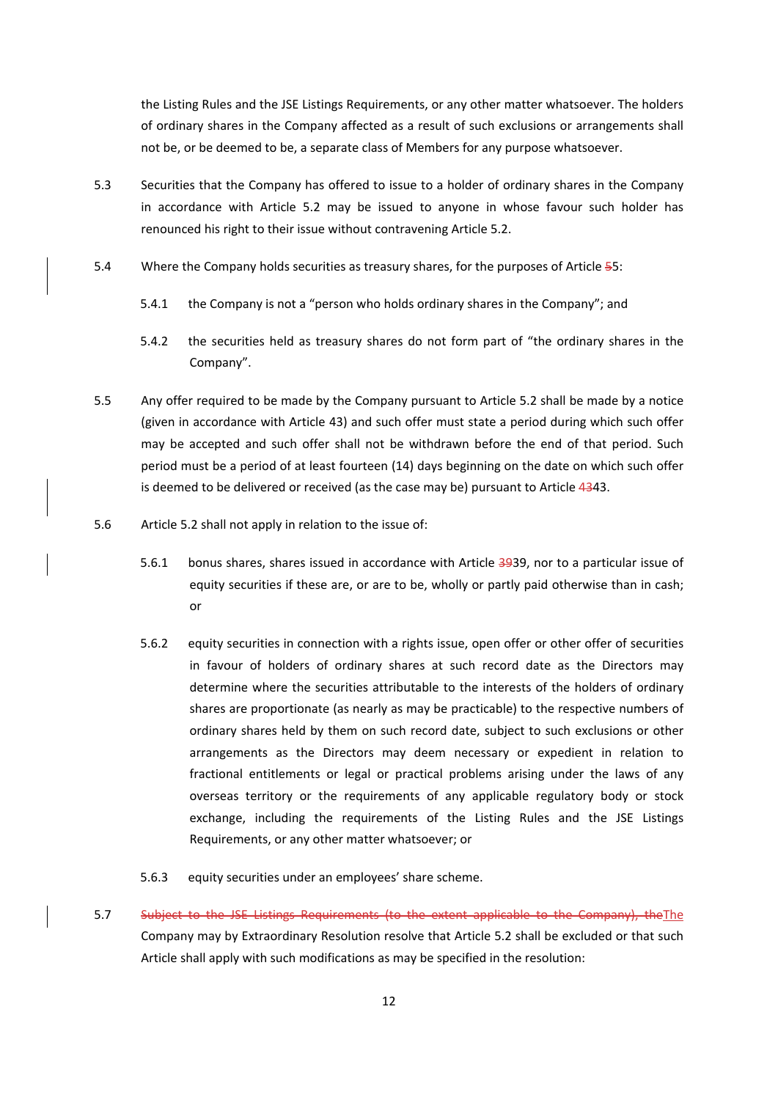the Listing Rules and the JSE Listings Requirements, or any other matter whatsoever. The holders of ordinary shares in the Company affected as a result of such exclusions or arrangements shall not be, or be deemed to be, a separate class of Members for any purpose whatsoever.

- 5.3 Securities that the Company has offered to issue to a holder of ordinary shares in the Company in accordance with Article 5.2 may be issued to anyone in whose favour such holder has renounced his right to their issue without contravening Article 5.2.
- 5.4 Where the Company holds securities as treasury shares, for the purposes of Article 55:
	- 5.4.1 the Company is not a "person who holds ordinary shares in the Company"; and
	- 5.4.2 the securities held as treasury shares do not form part of "the ordinary shares in the Company".
- 5.5 Any offer required to be made by the Company pursuant to Article 5.2 shall be made by a notice (given in accordance with Article 43) and such offer must state a period during which such offer may be accepted and such offer shall not be withdrawn before the end of that period. Such period must be a period of at least fourteen (14) days beginning on the date on which such offer is deemed to be delivered or received (as the case may be) pursuant to Article 4343.
- 5.6 Article 5.2 shall not apply in relation to the issue of:
	- 5.6.1 bonus shares, shares issued in accordance with Article 3939, nor to a particular issue of equity securities if these are, or are to be, wholly or partly paid otherwise than in cash; or
	- 5.6.2 equity securities in connection with a rights issue, open offer or other offer of securities in favour of holders of ordinary shares at such record date as the Directors may determine where the securities attributable to the interests of the holders of ordinary shares are proportionate (as nearly as may be practicable) to the respective numbers of ordinary shares held by them on such record date, subject to such exclusions or other arrangements as the Directors may deem necessary or expedient in relation to fractional entitlements or legal or practical problems arising under the laws of any overseas territory or the requirements of any applicable regulatory body or stock exchange, including the requirements of the Listing Rules and the JSE Listings Requirements, or any other matter whatsoever; or
	- 5.6.3 equity securities under an employees' share scheme.
- 5.7 Subject to the JSE Listings Requirements (to the extent applicable to the Company), theThe Company may by Extraordinary Resolution resolve that Article 5.2 shall be excluded or that such Article shall apply with such modifications as may be specified in the resolution: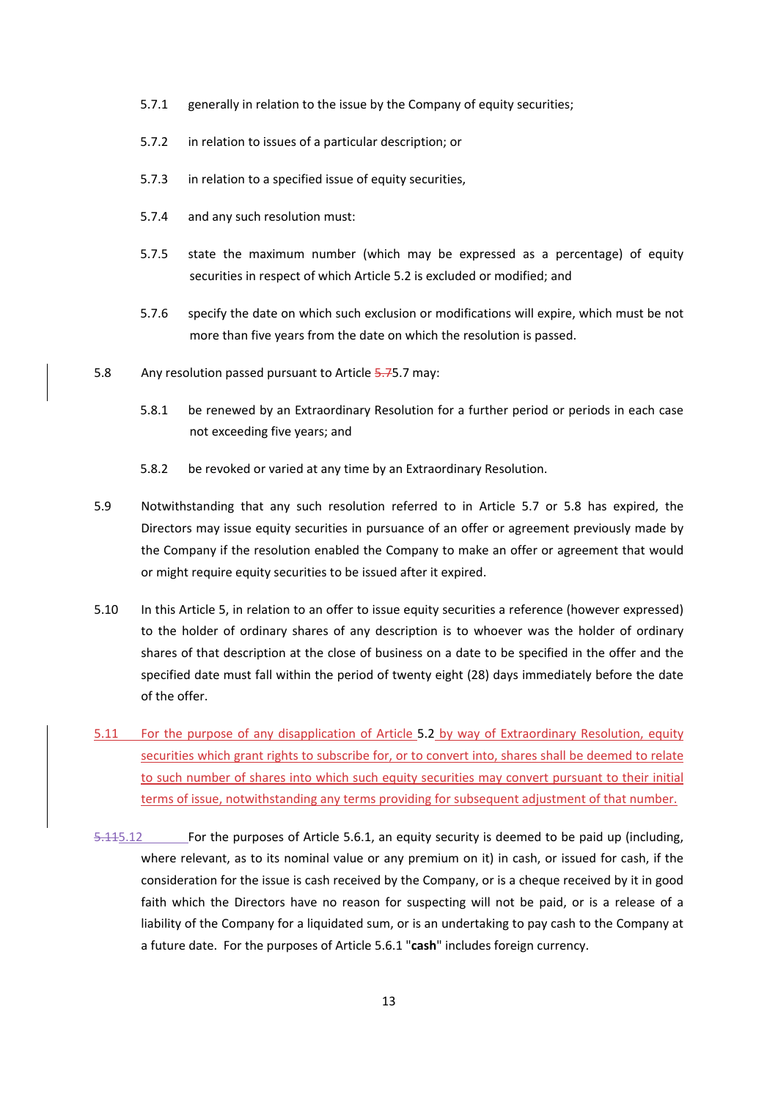- 5.7.1 generally in relation to the issue by the Company of equity securities;
- 5.7.2 in relation to issues of a particular description; or
- 5.7.3 in relation to a specified issue of equity securities,
- 5.7.4 and any such resolution must:
- 5.7.5 state the maximum number (which may be expressed as a percentage) of equity securities in respect of which Article 5.2 is excluded or modified; and
- 5.7.6 specify the date on which such exclusion or modifications will expire, which must be not more than five years from the date on which the resolution is passed.
- 5.8 Any resolution passed pursuant to Article 5.75.7 may:
	- 5.8.1 be renewed by an Extraordinary Resolution for a further period or periods in each case not exceeding five years; and
	- 5.8.2 be revoked or varied at any time by an Extraordinary Resolution.
- 5.9 Notwithstanding that any such resolution referred to in Article 5.7 or 5.8 has expired, the Directors may issue equity securities in pursuance of an offer or agreement previously made by the Company if the resolution enabled the Company to make an offer or agreement that would or might require equity securities to be issued after it expired.
- 5.10 In this Article 5, in relation to an offer to issue equity securities a reference (however expressed) to the holder of ordinary shares of any description is to whoever was the holder of ordinary shares of that description at the close of business on a date to be specified in the offer and the specified date must fall within the period of twenty eight (28) days immediately before the date of the offer.
- 5.11 For the purpose of any disapplication of Article 5.2 by way of Extraordinary Resolution, equity securities which grant rights to subscribe for, or to convert into, shares shall be deemed to relate to such number of shares into which such equity securities may convert pursuant to their initial terms of issue, notwithstanding any terms providing for subsequent adjustment of that number.
- 5.115.12 For the purposes of Article 5.6.1, an equity security is deemed to be paid up (including, where relevant, as to its nominal value or any premium on it) in cash, or issued for cash, if the consideration for the issue is cash received by the Company, or is a cheque received by it in good faith which the Directors have no reason for suspecting will not be paid, or is a release of a liability of the Company for a liquidated sum, or is an undertaking to pay cash to the Company at a future date. For the purposes of Article 5.6.1 "**cash**" includes foreign currency.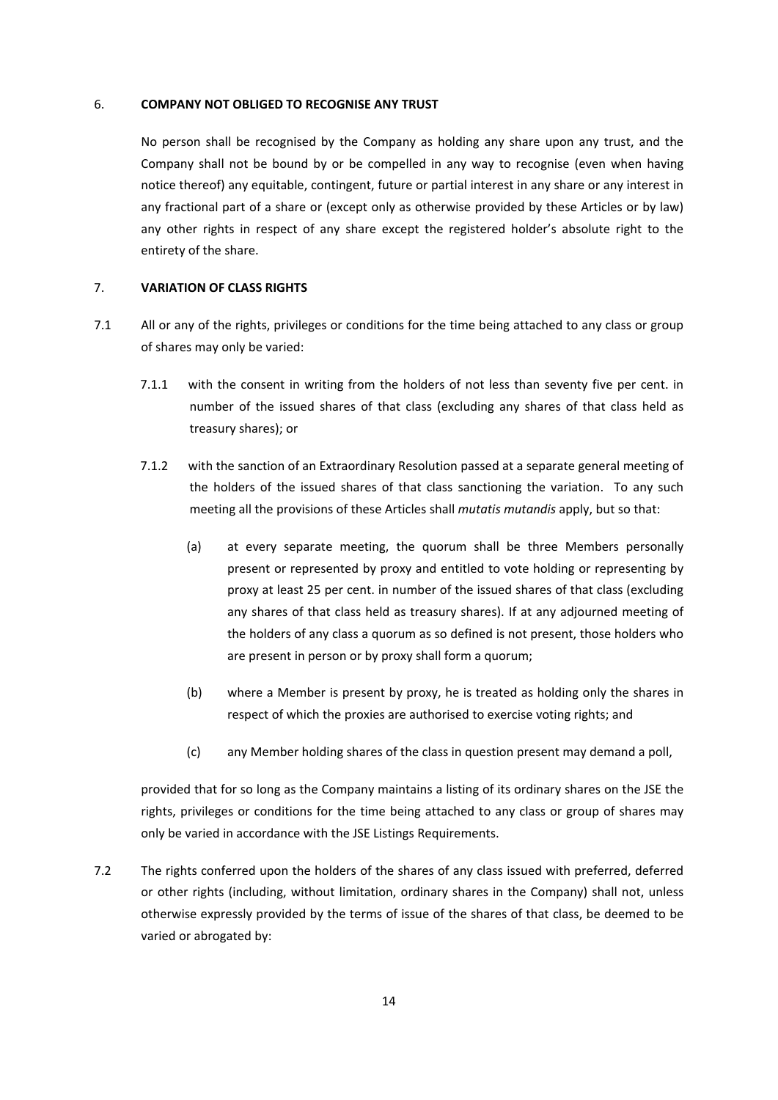#### 6. **COMPANY NOT OBLIGED TO RECOGNISE ANY TRUST**

No person shall be recognised by the Company as holding any share upon any trust, and the Company shall not be bound by or be compelled in any way to recognise (even when having notice thereof) any equitable, contingent, future or partial interest in any share or any interest in any fractional part of a share or (except only as otherwise provided by these Articles or by law) any other rights in respect of any share except the registered holder's absolute right to the entirety of the share.

#### 7. **VARIATION OF CLASS RIGHTS**

- 7.1 All or any of the rights, privileges or conditions for the time being attached to any class or group of shares may only be varied:
	- 7.1.1 with the consent in writing from the holders of not less than seventy five per cent. in number of the issued shares of that class (excluding any shares of that class held as treasury shares); or
	- 7.1.2 with the sanction of an Extraordinary Resolution passed at a separate general meeting of the holders of the issued shares of that class sanctioning the variation. To any such meeting all the provisions of these Articles shall *mutatis mutandis* apply, but so that:
		- (a) at every separate meeting, the quorum shall be three Members personally present or represented by proxy and entitled to vote holding or representing by proxy at least 25 per cent. in number of the issued shares of that class (excluding any shares of that class held as treasury shares). If at any adjourned meeting of the holders of any class a quorum as so defined is not present, those holders who are present in person or by proxy shall form a quorum;
		- (b) where a Member is present by proxy, he is treated as holding only the shares in respect of which the proxies are authorised to exercise voting rights; and
		- (c) any Member holding shares of the class in question present may demand a poll,

provided that for so long as the Company maintains a listing of its ordinary shares on the JSE the rights, privileges or conditions for the time being attached to any class or group of shares may only be varied in accordance with the JSE Listings Requirements.

7.2 The rights conferred upon the holders of the shares of any class issued with preferred, deferred or other rights (including, without limitation, ordinary shares in the Company) shall not, unless otherwise expressly provided by the terms of issue of the shares of that class, be deemed to be varied or abrogated by: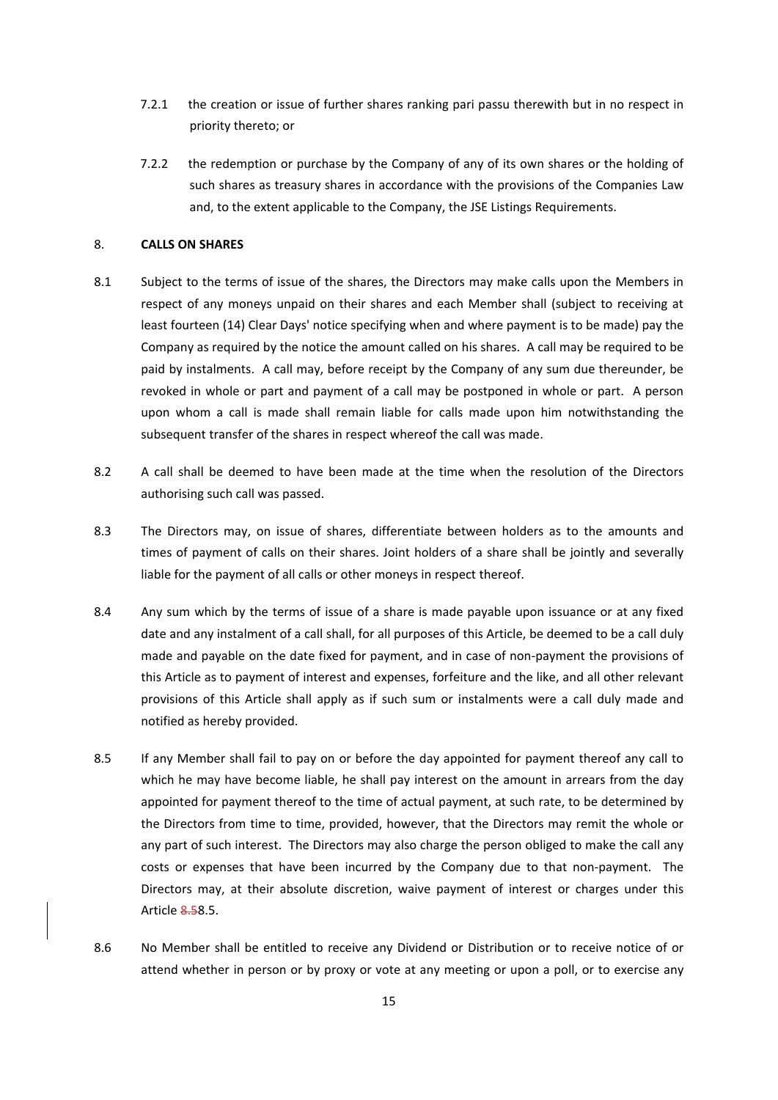- 7.2.1 the creation or issue of further shares ranking pari passu therewith but in no respect in priority thereto; or
- 7.2.2 the redemption or purchase by the Company of any of its own shares or the holding of such shares as treasury shares in accordance with the provisions of the Companies Law and, to the extent applicable to the Company, the JSE Listings Requirements.

## 8. **CALLS ON SHARES**

- 8.1 Subject to the terms of issue of the shares, the Directors may make calls upon the Members in respect of any moneys unpaid on their shares and each Member shall (subject to receiving at least fourteen (14) Clear Days' notice specifying when and where payment is to be made) pay the Company as required by the notice the amount called on his shares. A call may be required to be paid by instalments. A call may, before receipt by the Company of any sum due thereunder, be revoked in whole or part and payment of a call may be postponed in whole or part. A person upon whom a call is made shall remain liable for calls made upon him notwithstanding the subsequent transfer of the shares in respect whereof the call was made.
- 8.2 A call shall be deemed to have been made at the time when the resolution of the Directors authorising such call was passed.
- 8.3 The Directors may, on issue of shares, differentiate between holders as to the amounts and times of payment of calls on their shares. Joint holders of a share shall be jointly and severally liable for the payment of all calls or other moneys in respect thereof.
- 8.4 Any sum which by the terms of issue of a share is made payable upon issuance or at any fixed date and any instalment of a call shall, for all purposes of this Article, be deemed to be a call duly made and payable on the date fixed for payment, and in case of non‐payment the provisions of this Article as to payment of interest and expenses, forfeiture and the like, and all other relevant provisions of this Article shall apply as if such sum or instalments were a call duly made and notified as hereby provided.
- 8.5 If any Member shall fail to pay on or before the day appointed for payment thereof any call to which he may have become liable, he shall pay interest on the amount in arrears from the day appointed for payment thereof to the time of actual payment, at such rate, to be determined by the Directors from time to time, provided, however, that the Directors may remit the whole or any part of such interest. The Directors may also charge the person obliged to make the call any costs or expenses that have been incurred by the Company due to that non-payment. The Directors may, at their absolute discretion, waive payment of interest or charges under this Article 8.58.5.
- 8.6 No Member shall be entitled to receive any Dividend or Distribution or to receive notice of or attend whether in person or by proxy or vote at any meeting or upon a poll, or to exercise any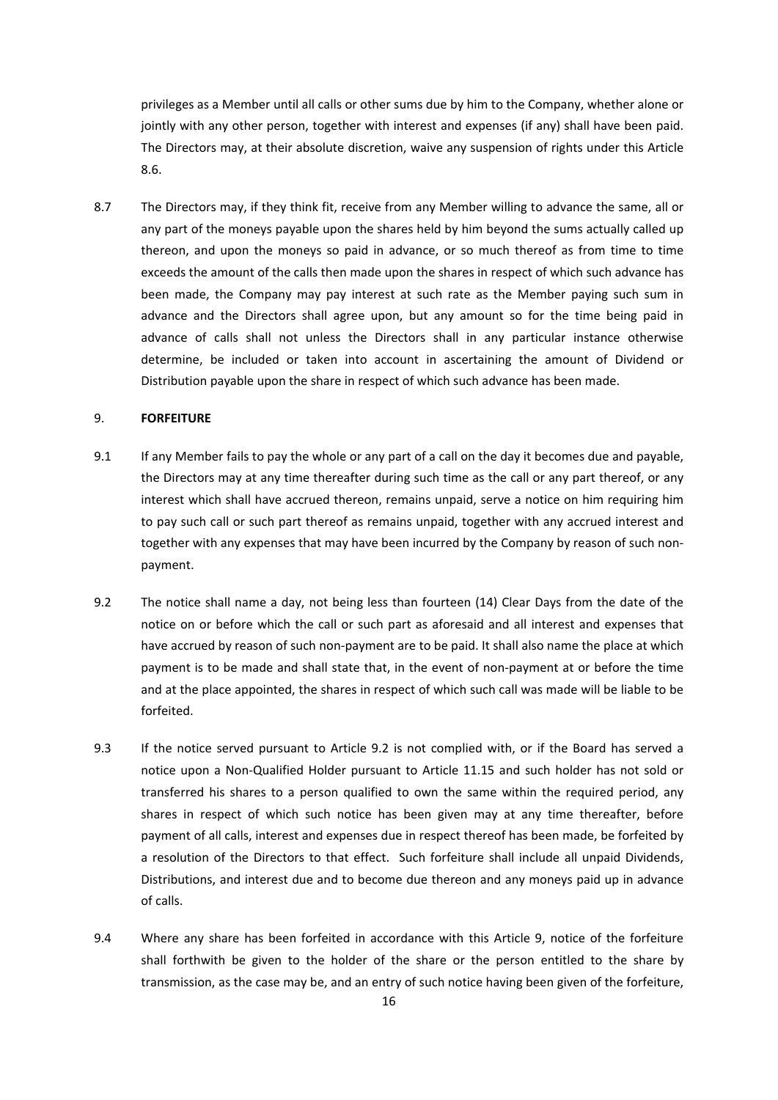privileges as a Member until all calls or other sums due by him to the Company, whether alone or jointly with any other person, together with interest and expenses (if any) shall have been paid. The Directors may, at their absolute discretion, waive any suspension of rights under this Article 8.6.

8.7 The Directors may, if they think fit, receive from any Member willing to advance the same, all or any part of the moneys payable upon the shares held by him beyond the sums actually called up thereon, and upon the moneys so paid in advance, or so much thereof as from time to time exceeds the amount of the calls then made upon the shares in respect of which such advance has been made, the Company may pay interest at such rate as the Member paying such sum in advance and the Directors shall agree upon, but any amount so for the time being paid in advance of calls shall not unless the Directors shall in any particular instance otherwise determine, be included or taken into account in ascertaining the amount of Dividend or Distribution payable upon the share in respect of which such advance has been made.

#### 9. **FORFEITURE**

- 9.1 If any Member fails to pay the whole or any part of a call on the day it becomes due and payable, the Directors may at any time thereafter during such time as the call or any part thereof, or any interest which shall have accrued thereon, remains unpaid, serve a notice on him requiring him to pay such call or such part thereof as remains unpaid, together with any accrued interest and together with any expenses that may have been incurred by the Company by reason of such non‐ payment.
- 9.2 The notice shall name a day, not being less than fourteen (14) Clear Days from the date of the notice on or before which the call or such part as aforesaid and all interest and expenses that have accrued by reason of such non-payment are to be paid. It shall also name the place at which payment is to be made and shall state that, in the event of non‐payment at or before the time and at the place appointed, the shares in respect of which such call was made will be liable to be forfeited.
- 9.3 If the notice served pursuant to Article 9.2 is not complied with, or if the Board has served a notice upon a Non‐Qualified Holder pursuant to Article 11.15 and such holder has not sold or transferred his shares to a person qualified to own the same within the required period, any shares in respect of which such notice has been given may at any time thereafter, before payment of all calls, interest and expenses due in respect thereof has been made, be forfeited by a resolution of the Directors to that effect. Such forfeiture shall include all unpaid Dividends, Distributions, and interest due and to become due thereon and any moneys paid up in advance of calls.
- 9.4 Where any share has been forfeited in accordance with this Article 9, notice of the forfeiture shall forthwith be given to the holder of the share or the person entitled to the share by transmission, as the case may be, and an entry of such notice having been given of the forfeiture,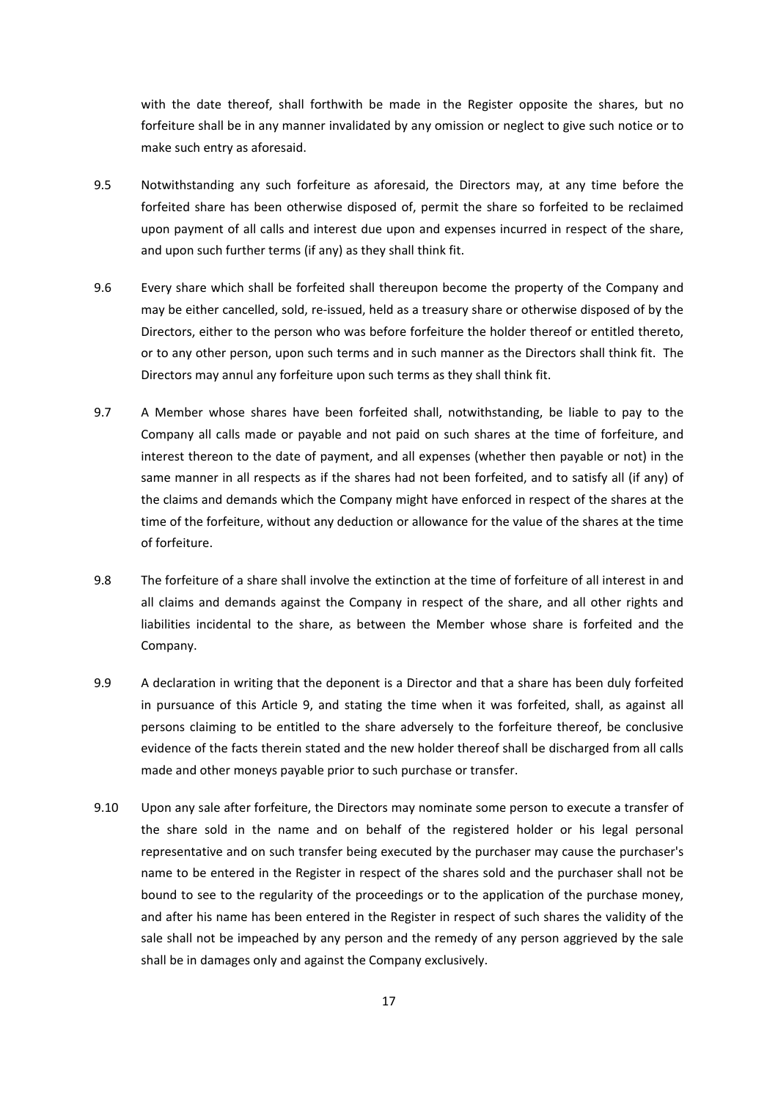with the date thereof, shall forthwith be made in the Register opposite the shares, but no forfeiture shall be in any manner invalidated by any omission or neglect to give such notice or to make such entry as aforesaid.

- 9.5 Notwithstanding any such forfeiture as aforesaid, the Directors may, at any time before the forfeited share has been otherwise disposed of, permit the share so forfeited to be reclaimed upon payment of all calls and interest due upon and expenses incurred in respect of the share, and upon such further terms (if any) as they shall think fit.
- 9.6 Every share which shall be forfeited shall thereupon become the property of the Company and may be either cancelled, sold, re‐issued, held as a treasury share or otherwise disposed of by the Directors, either to the person who was before forfeiture the holder thereof or entitled thereto, or to any other person, upon such terms and in such manner as the Directors shall think fit. The Directors may annul any forfeiture upon such terms as they shall think fit.
- 9.7 A Member whose shares have been forfeited shall, notwithstanding, be liable to pay to the Company all calls made or payable and not paid on such shares at the time of forfeiture, and interest thereon to the date of payment, and all expenses (whether then payable or not) in the same manner in all respects as if the shares had not been forfeited, and to satisfy all (if any) of the claims and demands which the Company might have enforced in respect of the shares at the time of the forfeiture, without any deduction or allowance for the value of the shares at the time of forfeiture.
- 9.8 The forfeiture of a share shall involve the extinction at the time of forfeiture of all interest in and all claims and demands against the Company in respect of the share, and all other rights and liabilities incidental to the share, as between the Member whose share is forfeited and the Company.
- 9.9 A declaration in writing that the deponent is a Director and that a share has been duly forfeited in pursuance of this Article 9, and stating the time when it was forfeited, shall, as against all persons claiming to be entitled to the share adversely to the forfeiture thereof, be conclusive evidence of the facts therein stated and the new holder thereof shall be discharged from all calls made and other moneys payable prior to such purchase or transfer.
- 9.10 Upon any sale after forfeiture, the Directors may nominate some person to execute a transfer of the share sold in the name and on behalf of the registered holder or his legal personal representative and on such transfer being executed by the purchaser may cause the purchaser's name to be entered in the Register in respect of the shares sold and the purchaser shall not be bound to see to the regularity of the proceedings or to the application of the purchase money, and after his name has been entered in the Register in respect of such shares the validity of the sale shall not be impeached by any person and the remedy of any person aggrieved by the sale shall be in damages only and against the Company exclusively.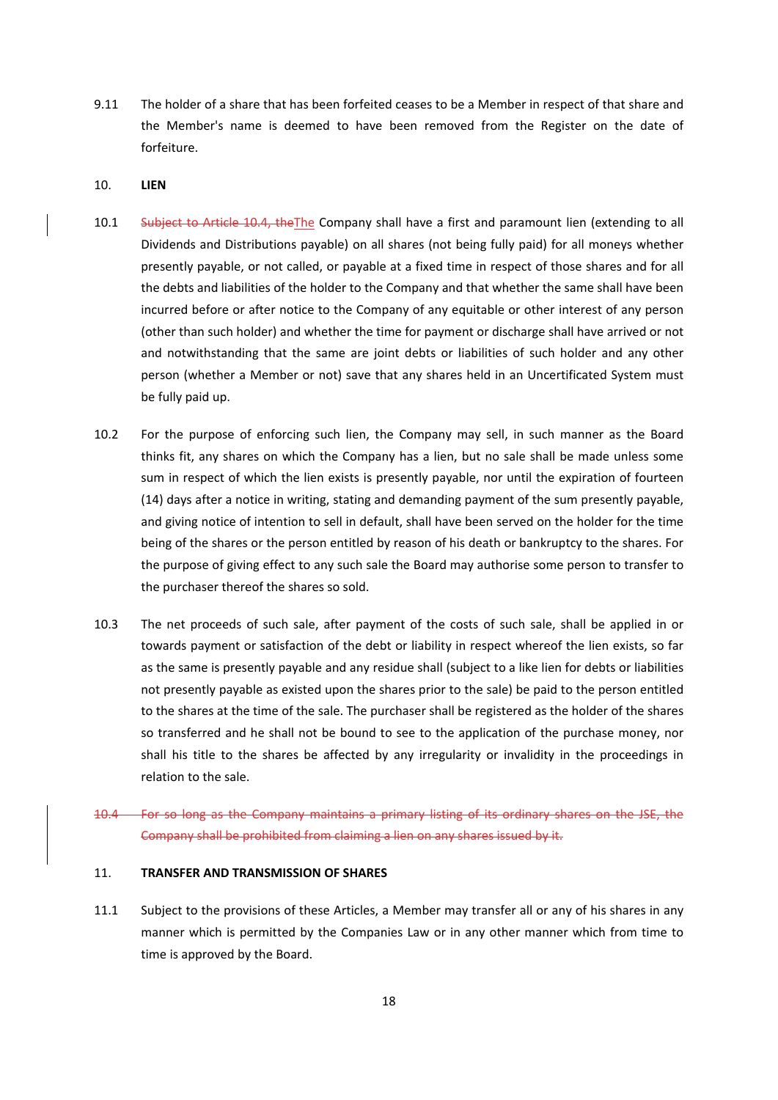9.11 The holder of a share that has been forfeited ceases to be a Member in respect of that share and the Member's name is deemed to have been removed from the Register on the date of forfeiture.

#### 10. **LIEN**

- 10.1 Subject to Article 10.4, the The Company shall have a first and paramount lien (extending to all Dividends and Distributions payable) on all shares (not being fully paid) for all moneys whether presently payable, or not called, or payable at a fixed time in respect of those shares and for all the debts and liabilities of the holder to the Company and that whether the same shall have been incurred before or after notice to the Company of any equitable or other interest of any person (other than such holder) and whether the time for payment or discharge shall have arrived or not and notwithstanding that the same are joint debts or liabilities of such holder and any other person (whether a Member or not) save that any shares held in an Uncertificated System must be fully paid up.
- 10.2 For the purpose of enforcing such lien, the Company may sell, in such manner as the Board thinks fit, any shares on which the Company has a lien, but no sale shall be made unless some sum in respect of which the lien exists is presently payable, nor until the expiration of fourteen (14) days after a notice in writing, stating and demanding payment of the sum presently payable, and giving notice of intention to sell in default, shall have been served on the holder for the time being of the shares or the person entitled by reason of his death or bankruptcy to the shares. For the purpose of giving effect to any such sale the Board may authorise some person to transfer to the purchaser thereof the shares so sold.
- 10.3 The net proceeds of such sale, after payment of the costs of such sale, shall be applied in or towards payment or satisfaction of the debt or liability in respect whereof the lien exists, so far as the same is presently payable and any residue shall (subject to a like lien for debts or liabilities not presently payable as existed upon the shares prior to the sale) be paid to the person entitled to the shares at the time of the sale. The purchaser shall be registered as the holder of the shares so transferred and he shall not be bound to see to the application of the purchase money, nor shall his title to the shares be affected by any irregularity or invalidity in the proceedings in relation to the sale.
- 10.4 For so long as the Company maintains a primary listing of its ordinary shares on the JSE, the Company shall be prohibited from claiming a lien on any shares issued by it.

## 11. **TRANSFER AND TRANSMISSION OF SHARES**

11.1 Subject to the provisions of these Articles, a Member may transfer all or any of his shares in any manner which is permitted by the Companies Law or in any other manner which from time to time is approved by the Board.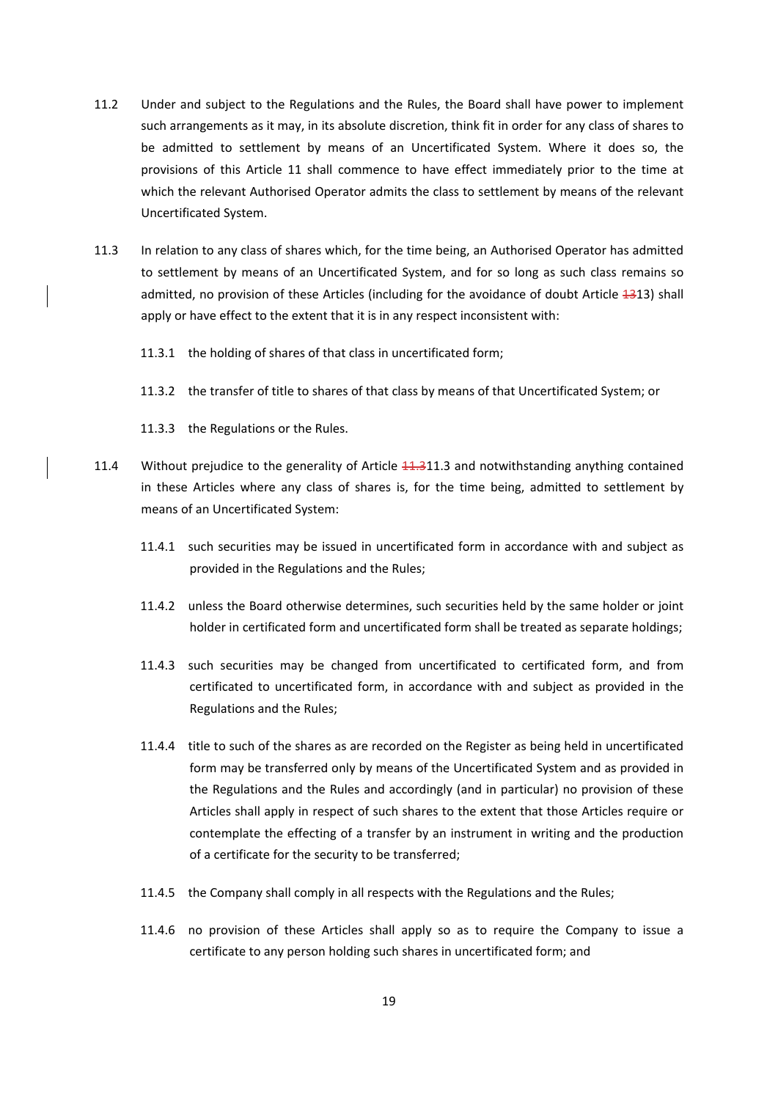- 11.2 Under and subject to the Regulations and the Rules, the Board shall have power to implement such arrangements as it may, in its absolute discretion, think fit in order for any class of shares to be admitted to settlement by means of an Uncertificated System. Where it does so, the provisions of this Article 11 shall commence to have effect immediately prior to the time at which the relevant Authorised Operator admits the class to settlement by means of the relevant Uncertificated System.
- 11.3 In relation to any class of shares which, for the time being, an Authorised Operator has admitted to settlement by means of an Uncertificated System, and for so long as such class remains so admitted, no provision of these Articles (including for the avoidance of doubt Article 1313) shall apply or have effect to the extent that it is in any respect inconsistent with:
	- 11.3.1 the holding of shares of that class in uncertificated form;
	- 11.3.2 the transfer of title to shares of that class by means of that Uncertificated System; or
	- 11.3.3 the Regulations or the Rules.
- 11.4 Without prejudice to the generality of Article  $11.311.3$  and notwithstanding anything contained in these Articles where any class of shares is, for the time being, admitted to settlement by means of an Uncertificated System:
	- 11.4.1 such securities may be issued in uncertificated form in accordance with and subject as provided in the Regulations and the Rules;
	- 11.4.2 unless the Board otherwise determines, such securities held by the same holder or joint holder in certificated form and uncertificated form shall be treated as separate holdings;
	- 11.4.3 such securities may be changed from uncertificated to certificated form, and from certificated to uncertificated form, in accordance with and subject as provided in the Regulations and the Rules;
	- 11.4.4 title to such of the shares as are recorded on the Register as being held in uncertificated form may be transferred only by means of the Uncertificated System and as provided in the Regulations and the Rules and accordingly (and in particular) no provision of these Articles shall apply in respect of such shares to the extent that those Articles require or contemplate the effecting of a transfer by an instrument in writing and the production of a certificate for the security to be transferred;
	- 11.4.5 the Company shall comply in all respects with the Regulations and the Rules;
	- 11.4.6 no provision of these Articles shall apply so as to require the Company to issue a certificate to any person holding such shares in uncertificated form; and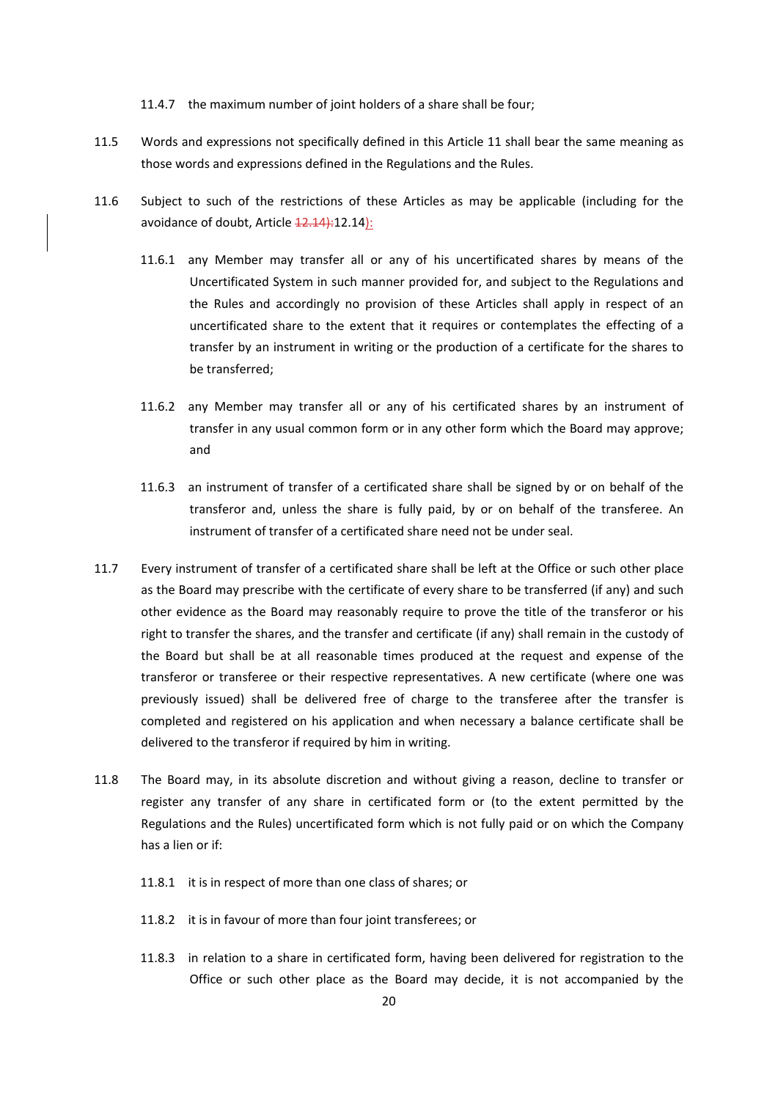11.4.7 the maximum number of joint holders of a share shall be four;

- 11.5 Words and expressions not specifically defined in this Article 11 shall bear the same meaning as those words and expressions defined in the Regulations and the Rules.
- 11.6 Subject to such of the restrictions of these Articles as may be applicable (including for the avoidance of doubt, Article  $12.14$ ):
	- 11.6.1 any Member may transfer all or any of his uncertificated shares by means of the Uncertificated System in such manner provided for, and subject to the Regulations and the Rules and accordingly no provision of these Articles shall apply in respect of an uncertificated share to the extent that it requires or contemplates the effecting of a transfer by an instrument in writing or the production of a certificate for the shares to be transferred;
	- 11.6.2 any Member may transfer all or any of his certificated shares by an instrument of transfer in any usual common form or in any other form which the Board may approve; and
	- 11.6.3 an instrument of transfer of a certificated share shall be signed by or on behalf of the transferor and, unless the share is fully paid, by or on behalf of the transferee. An instrument of transfer of a certificated share need not be under seal.
- 11.7 Every instrument of transfer of a certificated share shall be left at the Office or such other place as the Board may prescribe with the certificate of every share to be transferred (if any) and such other evidence as the Board may reasonably require to prove the title of the transferor or his right to transfer the shares, and the transfer and certificate (if any) shall remain in the custody of the Board but shall be at all reasonable times produced at the request and expense of the transferor or transferee or their respective representatives. A new certificate (where one was previously issued) shall be delivered free of charge to the transferee after the transfer is completed and registered on his application and when necessary a balance certificate shall be delivered to the transferor if required by him in writing.
- 11.8 The Board may, in its absolute discretion and without giving a reason, decline to transfer or register any transfer of any share in certificated form or (to the extent permitted by the Regulations and the Rules) uncertificated form which is not fully paid or on which the Company has a lien or if:
	- 11.8.1 it is in respect of more than one class of shares; or
	- 11.8.2 it is in favour of more than four joint transferees; or
	- 11.8.3 in relation to a share in certificated form, having been delivered for registration to the Office or such other place as the Board may decide, it is not accompanied by the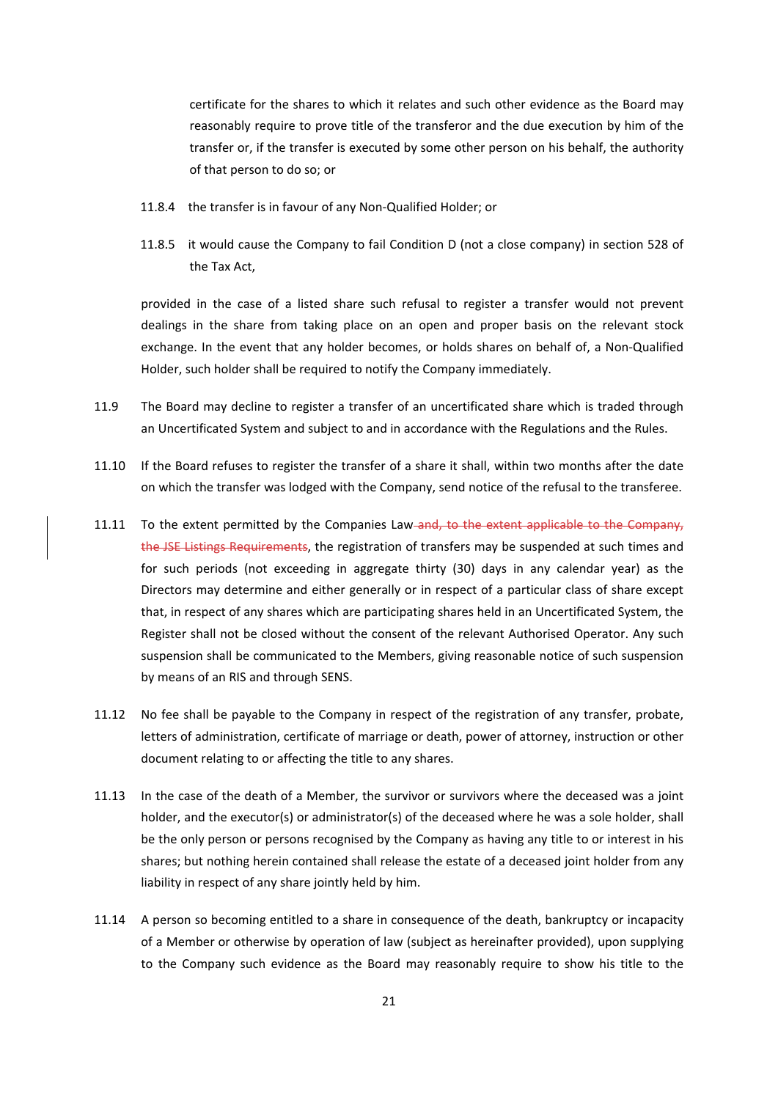certificate for the shares to which it relates and such other evidence as the Board may reasonably require to prove title of the transferor and the due execution by him of the transfer or, if the transfer is executed by some other person on his behalf, the authority of that person to do so; or

- 11.8.4 the transfer is in favour of any Non‐Qualified Holder; or
- 11.8.5 it would cause the Company to fail Condition D (not a close company) in section 528 of the Tax Act,

provided in the case of a listed share such refusal to register a transfer would not prevent dealings in the share from taking place on an open and proper basis on the relevant stock exchange. In the event that any holder becomes, or holds shares on behalf of, a Non‐Qualified Holder, such holder shall be required to notify the Company immediately.

- 11.9 The Board may decline to register a transfer of an uncertificated share which is traded through an Uncertificated System and subject to and in accordance with the Regulations and the Rules.
- 11.10 If the Board refuses to register the transfer of a share it shall, within two months after the date on which the transfer was lodged with the Company, send notice of the refusal to the transferee.
- 11.11 To the extent permitted by the Companies Law and, to the extent applicable to the Company, the JSE Listings Requirements, the registration of transfers may be suspended at such times and for such periods (not exceeding in aggregate thirty (30) days in any calendar year) as the Directors may determine and either generally or in respect of a particular class of share except that, in respect of any shares which are participating shares held in an Uncertificated System, the Register shall not be closed without the consent of the relevant Authorised Operator. Any such suspension shall be communicated to the Members, giving reasonable notice of such suspension by means of an RIS and through SENS.
- 11.12 No fee shall be payable to the Company in respect of the registration of any transfer, probate, letters of administration, certificate of marriage or death, power of attorney, instruction or other document relating to or affecting the title to any shares.
- 11.13 In the case of the death of a Member, the survivor or survivors where the deceased was a joint holder, and the executor(s) or administrator(s) of the deceased where he was a sole holder, shall be the only person or persons recognised by the Company as having any title to or interest in his shares; but nothing herein contained shall release the estate of a deceased joint holder from any liability in respect of any share jointly held by him.
- 11.14 A person so becoming entitled to a share in consequence of the death, bankruptcy or incapacity of a Member or otherwise by operation of law (subject as hereinafter provided), upon supplying to the Company such evidence as the Board may reasonably require to show his title to the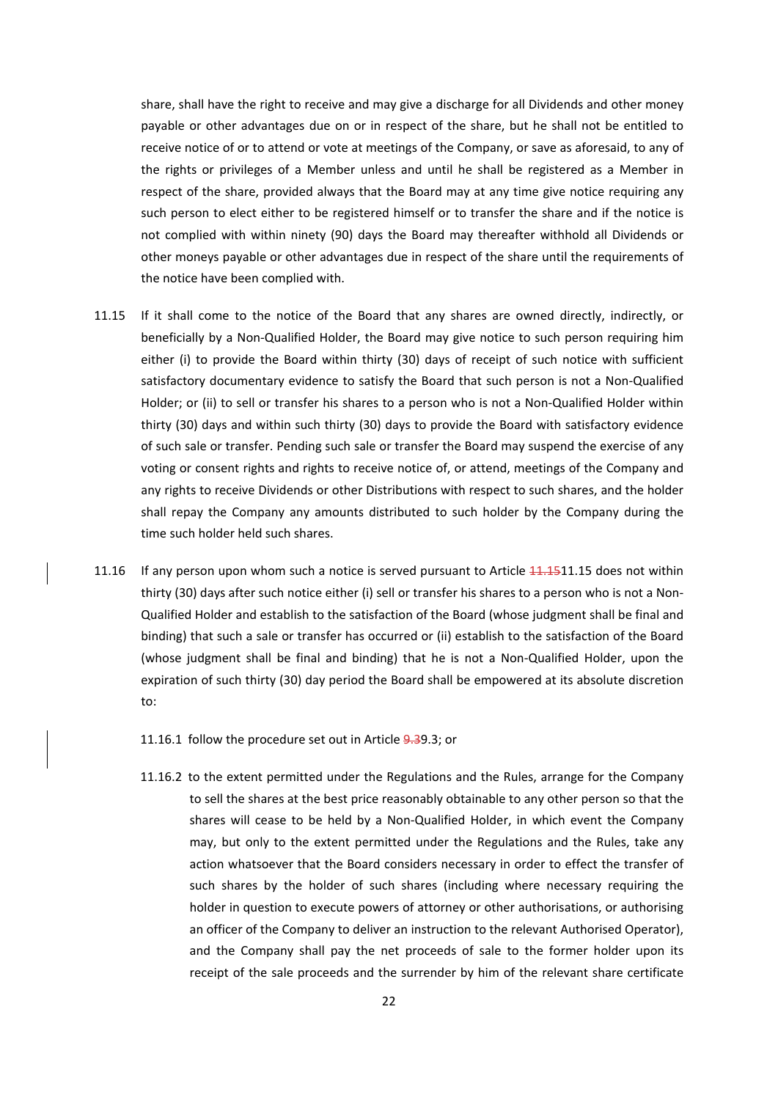share, shall have the right to receive and may give a discharge for all Dividends and other money payable or other advantages due on or in respect of the share, but he shall not be entitled to receive notice of or to attend or vote at meetings of the Company, or save as aforesaid, to any of the rights or privileges of a Member unless and until he shall be registered as a Member in respect of the share, provided always that the Board may at any time give notice requiring any such person to elect either to be registered himself or to transfer the share and if the notice is not complied with within ninety (90) days the Board may thereafter withhold all Dividends or other moneys payable or other advantages due in respect of the share until the requirements of the notice have been complied with.

- 11.15 If it shall come to the notice of the Board that any shares are owned directly, indirectly, or beneficially by a Non‐Qualified Holder, the Board may give notice to such person requiring him either (i) to provide the Board within thirty (30) days of receipt of such notice with sufficient satisfactory documentary evidence to satisfy the Board that such person is not a Non-Qualified Holder; or (ii) to sell or transfer his shares to a person who is not a Non-Qualified Holder within thirty (30) days and within such thirty (30) days to provide the Board with satisfactory evidence of such sale or transfer. Pending such sale or transfer the Board may suspend the exercise of any voting or consent rights and rights to receive notice of, or attend, meetings of the Company and any rights to receive Dividends or other Distributions with respect to such shares, and the holder shall repay the Company any amounts distributed to such holder by the Company during the time such holder held such shares.
- 11.16 If any person upon whom such a notice is served pursuant to Article  $11.1511.15$  does not within thirty (30) days after such notice either (i) sell or transfer his shares to a person who is not a Non‐ Qualified Holder and establish to the satisfaction of the Board (whose judgment shall be final and binding) that such a sale or transfer has occurred or (ii) establish to the satisfaction of the Board (whose judgment shall be final and binding) that he is not a Non‐Qualified Holder, upon the expiration of such thirty (30) day period the Board shall be empowered at its absolute discretion to:
	- 11.16.1 follow the procedure set out in Article 9.39.3; or
	- 11.16.2 to the extent permitted under the Regulations and the Rules, arrange for the Company to sell the shares at the best price reasonably obtainable to any other person so that the shares will cease to be held by a Non-Qualified Holder, in which event the Company may, but only to the extent permitted under the Regulations and the Rules, take any action whatsoever that the Board considers necessary in order to effect the transfer of such shares by the holder of such shares (including where necessary requiring the holder in question to execute powers of attorney or other authorisations, or authorising an officer of the Company to deliver an instruction to the relevant Authorised Operator), and the Company shall pay the net proceeds of sale to the former holder upon its receipt of the sale proceeds and the surrender by him of the relevant share certificate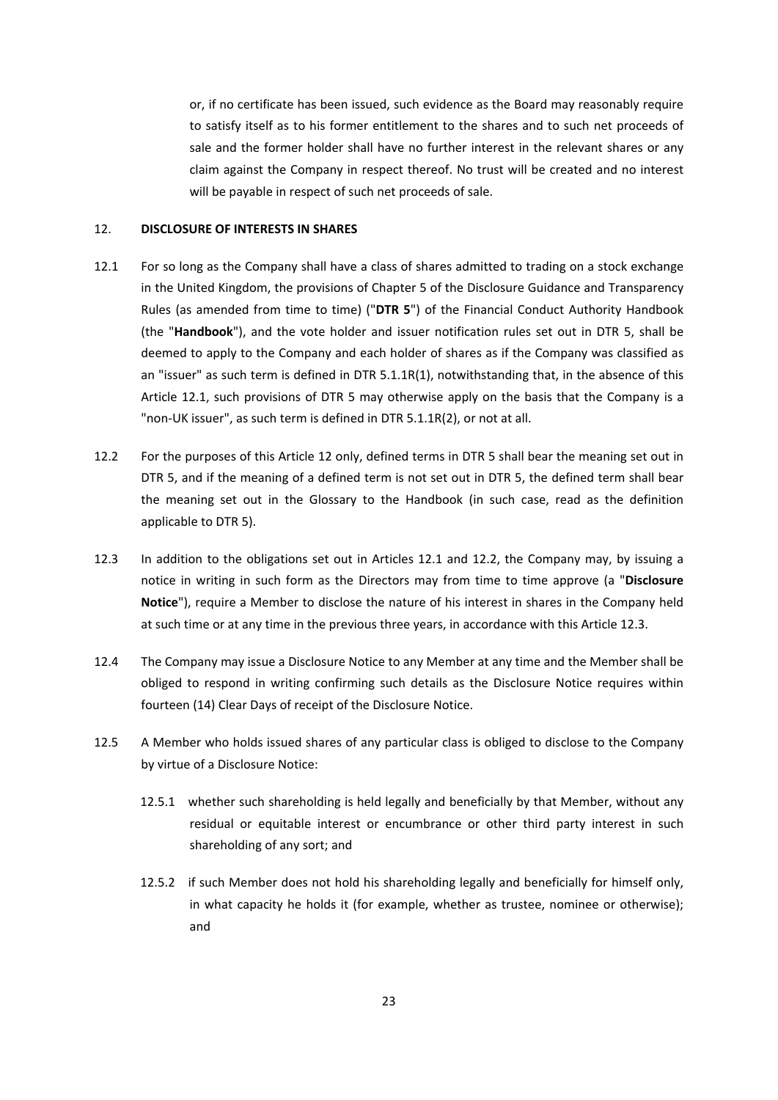or, if no certificate has been issued, such evidence as the Board may reasonably require to satisfy itself as to his former entitlement to the shares and to such net proceeds of sale and the former holder shall have no further interest in the relevant shares or any claim against the Company in respect thereof. No trust will be created and no interest will be payable in respect of such net proceeds of sale.

## 12. **DISCLOSURE OF INTERESTS IN SHARES**

- 12.1 For so long as the Company shall have a class of shares admitted to trading on a stock exchange in the United Kingdom, the provisions of Chapter 5 of the Disclosure Guidance and Transparency Rules (as amended from time to time) ("**DTR 5**") of the Financial Conduct Authority Handbook (the "**Handbook**"), and the vote holder and issuer notification rules set out in DTR 5, shall be deemed to apply to the Company and each holder of shares as if the Company was classified as an "issuer" as such term is defined in DTR 5.1.1R(1), notwithstanding that, in the absence of this Article 12.1, such provisions of DTR 5 may otherwise apply on the basis that the Company is a "non‐UK issuer", as such term is defined in DTR 5.1.1R(2), or not at all.
- 12.2 For the purposes of this Article 12 only, defined terms in DTR 5 shall bear the meaning set out in DTR 5, and if the meaning of a defined term is not set out in DTR 5, the defined term shall bear the meaning set out in the Glossary to the Handbook (in such case, read as the definition applicable to DTR 5).
- 12.3 In addition to the obligations set out in Articles 12.1 and 12.2, the Company may, by issuing a notice in writing in such form as the Directors may from time to time approve (a "**Disclosure Notice**"), require a Member to disclose the nature of his interest in shares in the Company held at such time or at any time in the previous three years, in accordance with this Article 12.3.
- 12.4 The Company may issue a Disclosure Notice to any Member at any time and the Member shall be obliged to respond in writing confirming such details as the Disclosure Notice requires within fourteen (14) Clear Days of receipt of the Disclosure Notice.
- 12.5 A Member who holds issued shares of any particular class is obliged to disclose to the Company by virtue of a Disclosure Notice:
	- 12.5.1 whether such shareholding is held legally and beneficially by that Member, without any residual or equitable interest or encumbrance or other third party interest in such shareholding of any sort; and
	- 12.5.2 if such Member does not hold his shareholding legally and beneficially for himself only, in what capacity he holds it (for example, whether as trustee, nominee or otherwise); and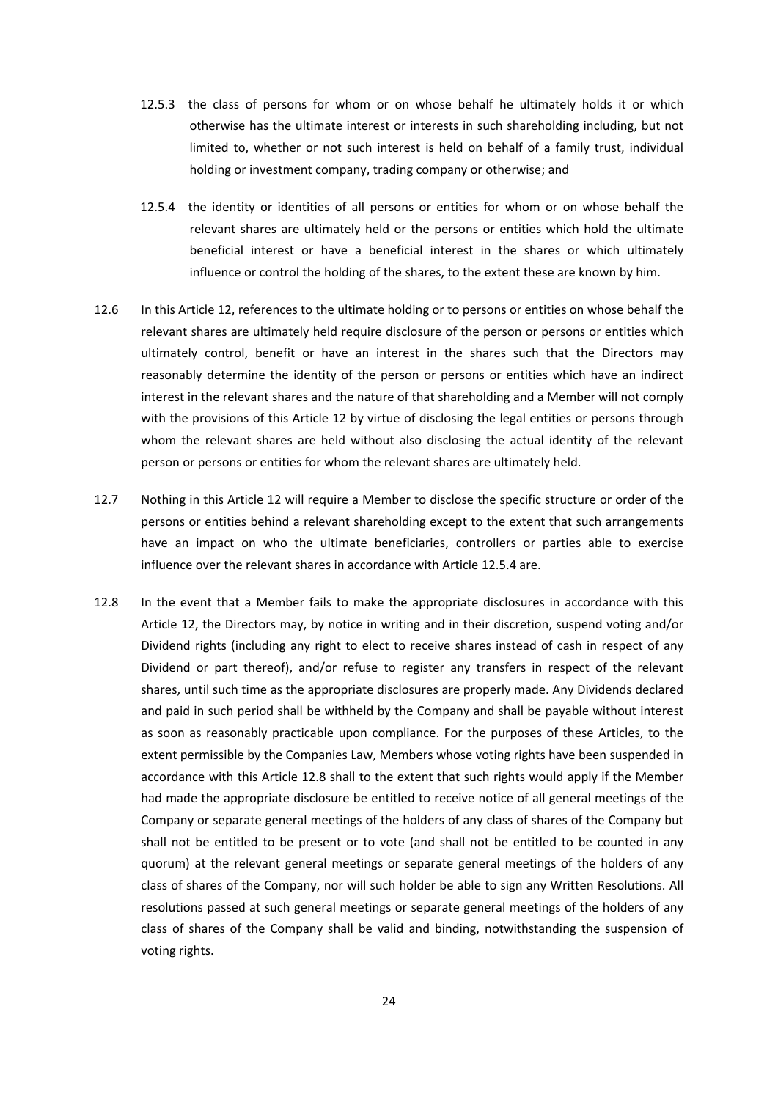- 12.5.3 the class of persons for whom or on whose behalf he ultimately holds it or which otherwise has the ultimate interest or interests in such shareholding including, but not limited to, whether or not such interest is held on behalf of a family trust, individual holding or investment company, trading company or otherwise; and
- 12.5.4 the identity or identities of all persons or entities for whom or on whose behalf the relevant shares are ultimately held or the persons or entities which hold the ultimate beneficial interest or have a beneficial interest in the shares or which ultimately influence or control the holding of the shares, to the extent these are known by him.
- 12.6 In this Article 12, references to the ultimate holding or to persons or entities on whose behalf the relevant shares are ultimately held require disclosure of the person or persons or entities which ultimately control, benefit or have an interest in the shares such that the Directors may reasonably determine the identity of the person or persons or entities which have an indirect interest in the relevant shares and the nature of that shareholding and a Member will not comply with the provisions of this Article 12 by virtue of disclosing the legal entities or persons through whom the relevant shares are held without also disclosing the actual identity of the relevant person or persons or entities for whom the relevant shares are ultimately held.
- 12.7 Nothing in this Article 12 will require a Member to disclose the specific structure or order of the persons or entities behind a relevant shareholding except to the extent that such arrangements have an impact on who the ultimate beneficiaries, controllers or parties able to exercise influence over the relevant shares in accordance with Article 12.5.4 are.
- 12.8 In the event that a Member fails to make the appropriate disclosures in accordance with this Article 12, the Directors may, by notice in writing and in their discretion, suspend voting and/or Dividend rights (including any right to elect to receive shares instead of cash in respect of any Dividend or part thereof), and/or refuse to register any transfers in respect of the relevant shares, until such time as the appropriate disclosures are properly made. Any Dividends declared and paid in such period shall be withheld by the Company and shall be payable without interest as soon as reasonably practicable upon compliance. For the purposes of these Articles, to the extent permissible by the Companies Law, Members whose voting rights have been suspended in accordance with this Article 12.8 shall to the extent that such rights would apply if the Member had made the appropriate disclosure be entitled to receive notice of all general meetings of the Company or separate general meetings of the holders of any class of shares of the Company but shall not be entitled to be present or to vote (and shall not be entitled to be counted in any quorum) at the relevant general meetings or separate general meetings of the holders of any class of shares of the Company, nor will such holder be able to sign any Written Resolutions. All resolutions passed at such general meetings or separate general meetings of the holders of any class of shares of the Company shall be valid and binding, notwithstanding the suspension of voting rights.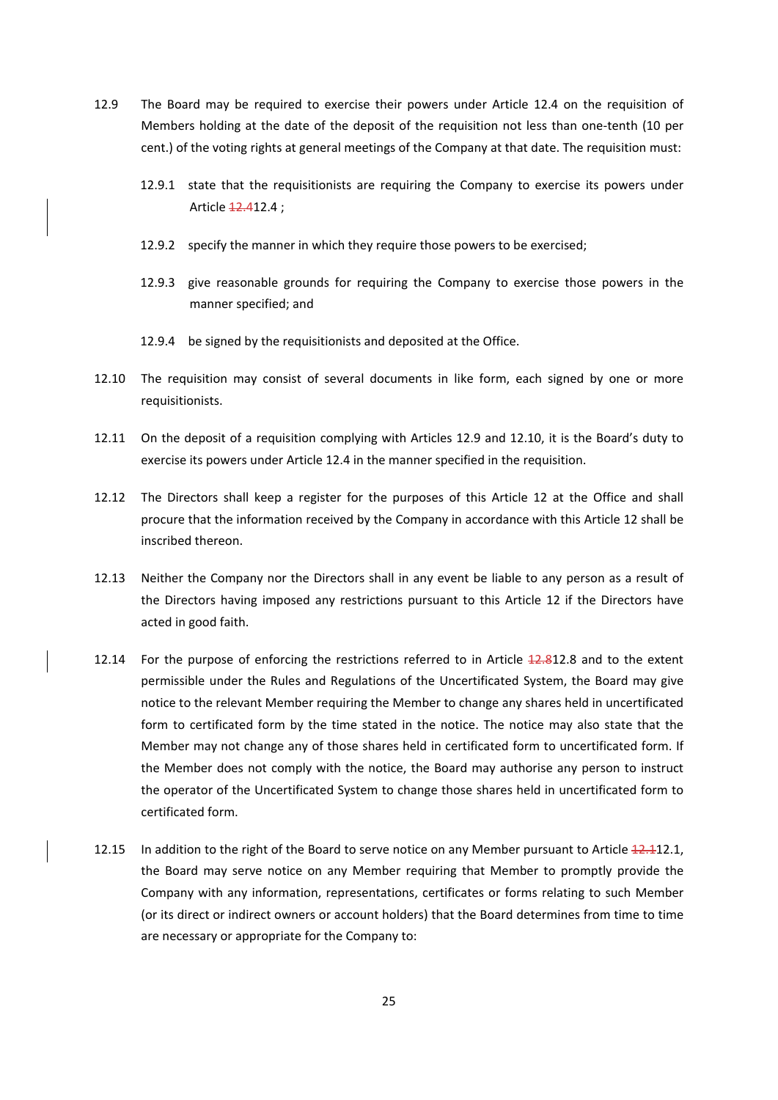- 12.9 The Board may be required to exercise their powers under Article 12.4 on the requisition of Members holding at the date of the deposit of the requisition not less than one-tenth (10 per cent.) of the voting rights at general meetings of the Company at that date. The requisition must:
	- 12.9.1 state that the requisitionists are requiring the Company to exercise its powers under Article **12.412.4**;
	- 12.9.2 specify the manner in which they require those powers to be exercised;
	- 12.9.3 give reasonable grounds for requiring the Company to exercise those powers in the manner specified; and
	- 12.9.4 be signed by the requisitionists and deposited at the Office.
- 12.10 The requisition may consist of several documents in like form, each signed by one or more requisitionists.
- 12.11 On the deposit of a requisition complying with Articles 12.9 and 12.10, it is the Board's duty to exercise its powers under Article 12.4 in the manner specified in the requisition.
- 12.12 The Directors shall keep a register for the purposes of this Article 12 at the Office and shall procure that the information received by the Company in accordance with this Article 12 shall be inscribed thereon.
- 12.13 Neither the Company nor the Directors shall in any event be liable to any person as a result of the Directors having imposed any restrictions pursuant to this Article 12 if the Directors have acted in good faith.
- 12.14 For the purpose of enforcing the restrictions referred to in Article 12.812.8 and to the extent permissible under the Rules and Regulations of the Uncertificated System, the Board may give notice to the relevant Member requiring the Member to change any shares held in uncertificated form to certificated form by the time stated in the notice. The notice may also state that the Member may not change any of those shares held in certificated form to uncertificated form. If the Member does not comply with the notice, the Board may authorise any person to instruct the operator of the Uncertificated System to change those shares held in uncertificated form to certificated form.
- 12.15 In addition to the right of the Board to serve notice on any Member pursuant to Article 12.112.1, the Board may serve notice on any Member requiring that Member to promptly provide the Company with any information, representations, certificates or forms relating to such Member (or its direct or indirect owners or account holders) that the Board determines from time to time are necessary or appropriate for the Company to: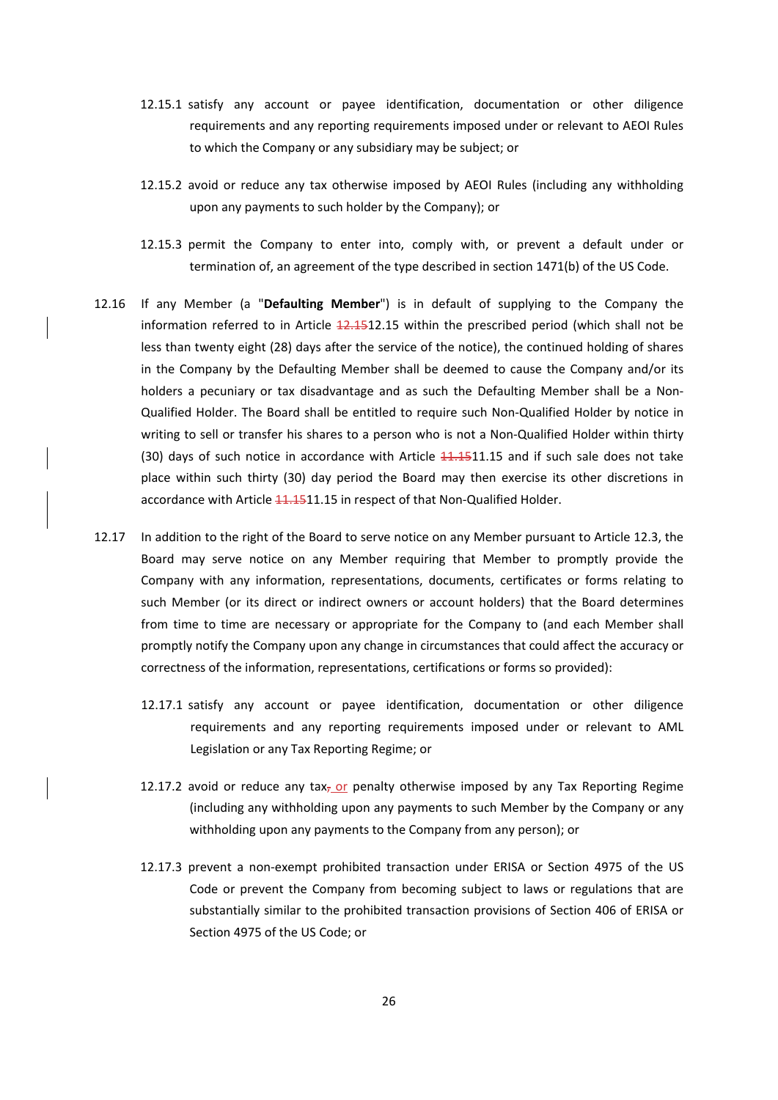- 12.15.1 satisfy any account or payee identification, documentation or other diligence requirements and any reporting requirements imposed under or relevant to AEOI Rules to which the Company or any subsidiary may be subject; or
- 12.15.2 avoid or reduce any tax otherwise imposed by AEOI Rules (including any withholding upon any payments to such holder by the Company); or
- 12.15.3 permit the Company to enter into, comply with, or prevent a default under or termination of, an agreement of the type described in section 1471(b) of the US Code.
- 12.16 If any Member (a "**Defaulting Member**") is in default of supplying to the Company the information referred to in Article  $\frac{12.1512.15}{12.15}$  within the prescribed period (which shall not be less than twenty eight (28) days after the service of the notice), the continued holding of shares in the Company by the Defaulting Member shall be deemed to cause the Company and/or its holders a pecuniary or tax disadvantage and as such the Defaulting Member shall be a Non-Qualified Holder. The Board shall be entitled to require such Non‐Qualified Holder by notice in writing to sell or transfer his shares to a person who is not a Non-Qualified Holder within thirty (30) days of such notice in accordance with Article  $11.1511.15$  and if such sale does not take place within such thirty (30) day period the Board may then exercise its other discretions in accordance with Article 11.1511.15 in respect of that Non-Qualified Holder.
- 12.17 In addition to the right of the Board to serve notice on any Member pursuant to Article 12.3, the Board may serve notice on any Member requiring that Member to promptly provide the Company with any information, representations, documents, certificates or forms relating to such Member (or its direct or indirect owners or account holders) that the Board determines from time to time are necessary or appropriate for the Company to (and each Member shall promptly notify the Company upon any change in circumstances that could affect the accuracy or correctness of the information, representations, certifications or forms so provided):
	- 12.17.1 satisfy any account or payee identification, documentation or other diligence requirements and any reporting requirements imposed under or relevant to AML Legislation or any Tax Reporting Regime; or
	- 12.17.2 avoid or reduce any tax<sub>7</sub> or penalty otherwise imposed by any Tax Reporting Regime (including any withholding upon any payments to such Member by the Company or any withholding upon any payments to the Company from any person); or
	- 12.17.3 prevent a non‐exempt prohibited transaction under ERISA or Section 4975 of the US Code or prevent the Company from becoming subject to laws or regulations that are substantially similar to the prohibited transaction provisions of Section 406 of ERISA or Section 4975 of the US Code; or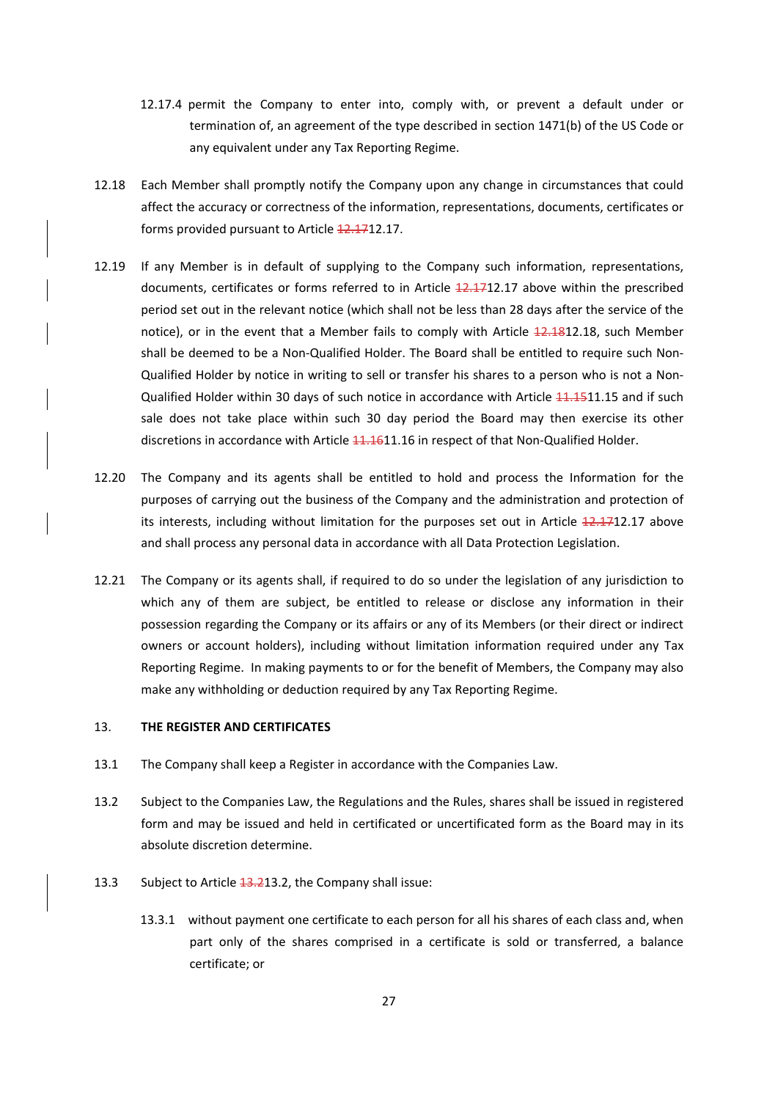- 12.17.4 permit the Company to enter into, comply with, or prevent a default under or termination of, an agreement of the type described in section 1471(b) of the US Code or any equivalent under any Tax Reporting Regime.
- 12.18 Each Member shall promptly notify the Company upon any change in circumstances that could affect the accuracy or correctness of the information, representations, documents, certificates or forms provided pursuant to Article 12.1712.17.
- 12.19 If any Member is in default of supplying to the Company such information, representations, documents, certificates or forms referred to in Article 12.1712.17 above within the prescribed period set out in the relevant notice (which shall not be less than 28 days after the service of the notice), or in the event that a Member fails to comply with Article 12.1812.18, such Member shall be deemed to be a Non‐Qualified Holder. The Board shall be entitled to require such Non‐ Qualified Holder by notice in writing to sell or transfer his shares to a person who is not a Non‐ Qualified Holder within 30 days of such notice in accordance with Article 11.1511.15 and if such sale does not take place within such 30 day period the Board may then exercise its other discretions in accordance with Article 11.1611.16 in respect of that Non-Qualified Holder.
- 12.20 The Company and its agents shall be entitled to hold and process the Information for the purposes of carrying out the business of the Company and the administration and protection of its interests, including without limitation for the purposes set out in Article 12.1712.17 above and shall process any personal data in accordance with all Data Protection Legislation.
- 12.21 The Company or its agents shall, if required to do so under the legislation of any jurisdiction to which any of them are subject, be entitled to release or disclose any information in their possession regarding the Company or its affairs or any of its Members (or their direct or indirect owners or account holders), including without limitation information required under any Tax Reporting Regime. In making payments to or for the benefit of Members, the Company may also make any withholding or deduction required by any Tax Reporting Regime.

## 13. **THE REGISTER AND CERTIFICATES**

- 13.1 The Company shall keep a Register in accordance with the Companies Law.
- 13.2 Subject to the Companies Law, the Regulations and the Rules, shares shall be issued in registered form and may be issued and held in certificated or uncertificated form as the Board may in its absolute discretion determine.
- 13.3 Subject to Article 13.213.2, the Company shall issue:
	- 13.3.1 without payment one certificate to each person for all his shares of each class and, when part only of the shares comprised in a certificate is sold or transferred, a balance certificate; or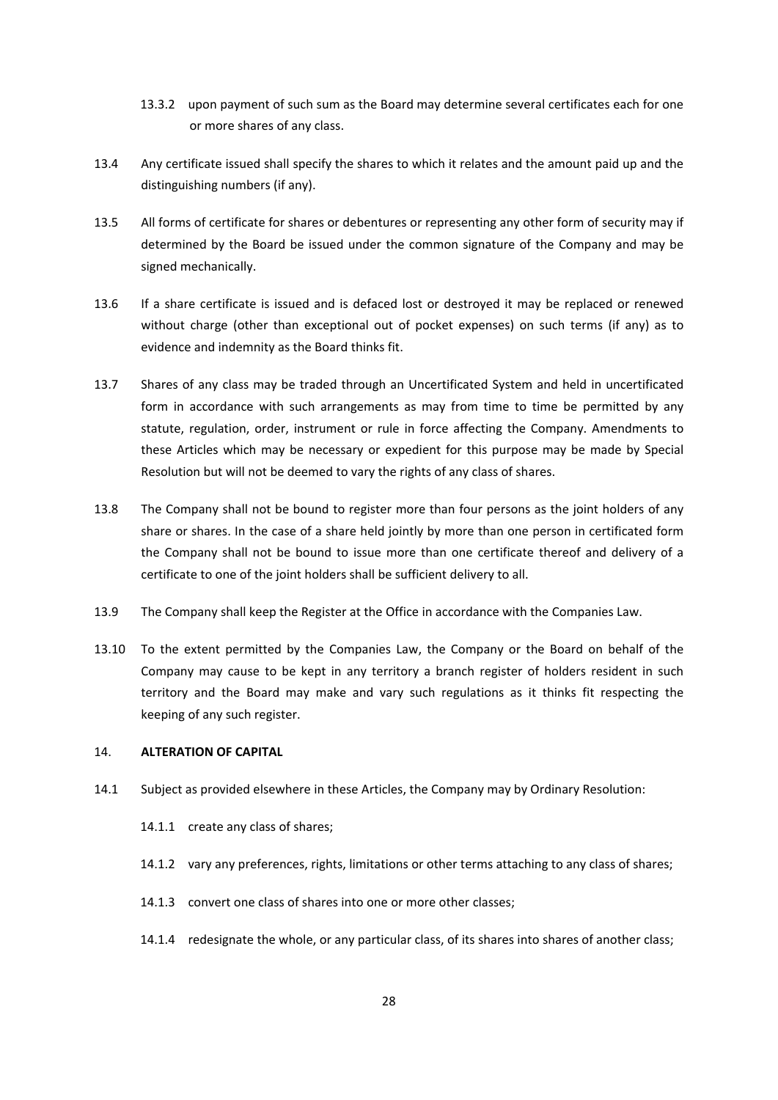- 13.3.2 upon payment of such sum as the Board may determine several certificates each for one or more shares of any class.
- 13.4 Any certificate issued shall specify the shares to which it relates and the amount paid up and the distinguishing numbers (if any).
- 13.5 All forms of certificate for shares or debentures or representing any other form of security may if determined by the Board be issued under the common signature of the Company and may be signed mechanically.
- 13.6 If a share certificate is issued and is defaced lost or destroyed it may be replaced or renewed without charge (other than exceptional out of pocket expenses) on such terms (if any) as to evidence and indemnity as the Board thinks fit.
- 13.7 Shares of any class may be traded through an Uncertificated System and held in uncertificated form in accordance with such arrangements as may from time to time be permitted by any statute, regulation, order, instrument or rule in force affecting the Company. Amendments to these Articles which may be necessary or expedient for this purpose may be made by Special Resolution but will not be deemed to vary the rights of any class of shares.
- 13.8 The Company shall not be bound to register more than four persons as the joint holders of any share or shares. In the case of a share held jointly by more than one person in certificated form the Company shall not be bound to issue more than one certificate thereof and delivery of a certificate to one of the joint holders shall be sufficient delivery to all.
- 13.9 The Company shall keep the Register at the Office in accordance with the Companies Law.
- 13.10 To the extent permitted by the Companies Law, the Company or the Board on behalf of the Company may cause to be kept in any territory a branch register of holders resident in such territory and the Board may make and vary such regulations as it thinks fit respecting the keeping of any such register.

#### 14. **ALTERATION OF CAPITAL**

- 14.1 Subject as provided elsewhere in these Articles, the Company may by Ordinary Resolution:
	- 14.1.1 create any class of shares;
	- 14.1.2 vary any preferences, rights, limitations or other terms attaching to any class of shares;
	- 14.1.3 convert one class of shares into one or more other classes;
	- 14.1.4 redesignate the whole, or any particular class, of its shares into shares of another class;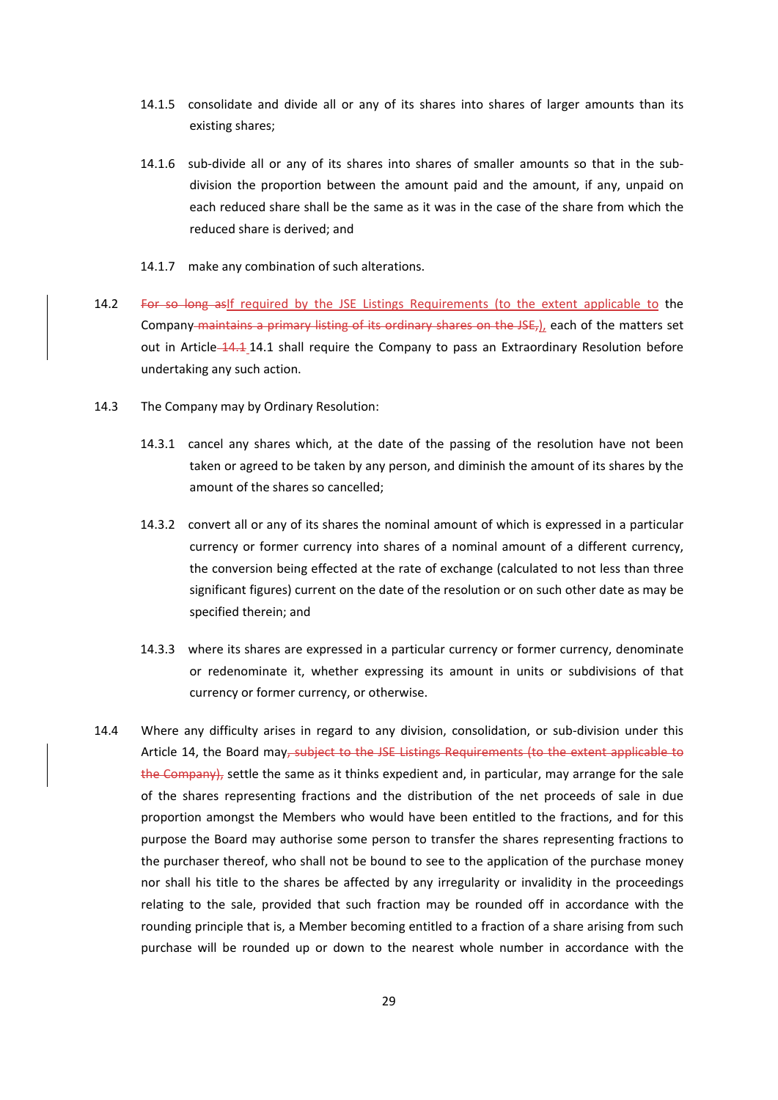- 14.1.5 consolidate and divide all or any of its shares into shares of larger amounts than its existing shares;
- 14.1.6 sub-divide all or any of its shares into shares of smaller amounts so that in the subdivision the proportion between the amount paid and the amount, if any, unpaid on each reduced share shall be the same as it was in the case of the share from which the reduced share is derived; and
- 14.1.7 make any combination of such alterations.
- 14.2 For so long asIf required by the JSE Listings Requirements (to the extent applicable to the Company maintains a primary listing of its ordinary shares on the JSE,), each of the matters set out in Article 14.1 14.1 shall require the Company to pass an Extraordinary Resolution before undertaking any such action.
- 14.3 The Company may by Ordinary Resolution:
	- 14.3.1 cancel any shares which, at the date of the passing of the resolution have not been taken or agreed to be taken by any person, and diminish the amount of its shares by the amount of the shares so cancelled;
	- 14.3.2 convert all or any of its shares the nominal amount of which is expressed in a particular currency or former currency into shares of a nominal amount of a different currency, the conversion being effected at the rate of exchange (calculated to not less than three significant figures) current on the date of the resolution or on such other date as may be specified therein; and
	- 14.3.3 where its shares are expressed in a particular currency or former currency, denominate or redenominate it, whether expressing its amount in units or subdivisions of that currency or former currency, or otherwise.
- 14.4 Where any difficulty arises in regard to any division, consolidation, or sub-division under this Article 14, the Board may, subject to the JSE Listings Requirements (to the extent applicable to the Company), settle the same as it thinks expedient and, in particular, may arrange for the sale of the shares representing fractions and the distribution of the net proceeds of sale in due proportion amongst the Members who would have been entitled to the fractions, and for this purpose the Board may authorise some person to transfer the shares representing fractions to the purchaser thereof, who shall not be bound to see to the application of the purchase money nor shall his title to the shares be affected by any irregularity or invalidity in the proceedings relating to the sale, provided that such fraction may be rounded off in accordance with the rounding principle that is, a Member becoming entitled to a fraction of a share arising from such purchase will be rounded up or down to the nearest whole number in accordance with the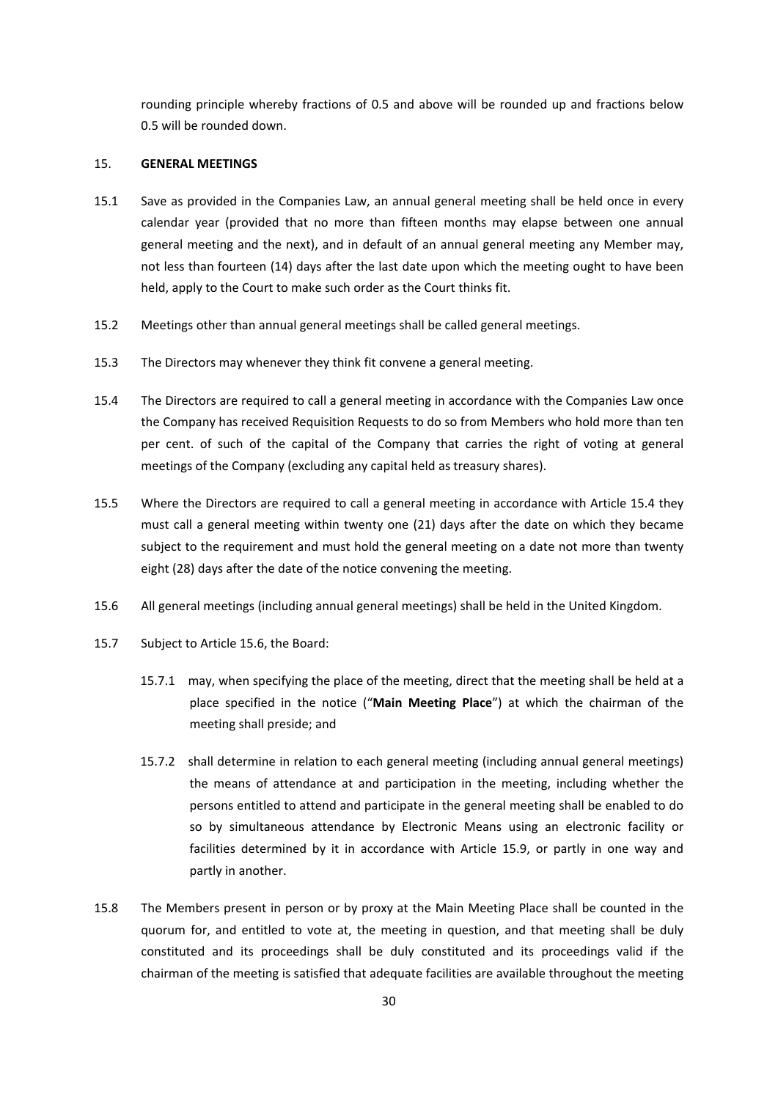rounding principle whereby fractions of 0.5 and above will be rounded up and fractions below 0.5 will be rounded down.

## 15. **GENERAL MEETINGS**

- 15.1 Save as provided in the Companies Law, an annual general meeting shall be held once in every calendar year (provided that no more than fifteen months may elapse between one annual general meeting and the next), and in default of an annual general meeting any Member may, not less than fourteen (14) days after the last date upon which the meeting ought to have been held, apply to the Court to make such order as the Court thinks fit.
- 15.2 Meetings other than annual general meetings shall be called general meetings.
- 15.3 The Directors may whenever they think fit convene a general meeting.
- 15.4 The Directors are required to call a general meeting in accordance with the Companies Law once the Company has received Requisition Requests to do so from Members who hold more than ten per cent. of such of the capital of the Company that carries the right of voting at general meetings of the Company (excluding any capital held as treasury shares).
- 15.5 Where the Directors are required to call a general meeting in accordance with Article 15.4 they must call a general meeting within twenty one (21) days after the date on which they became subject to the requirement and must hold the general meeting on a date not more than twenty eight (28) days after the date of the notice convening the meeting.
- 15.6 All general meetings (including annual general meetings) shall be held in the United Kingdom.
- 15.7 Subject to Article 15.6, the Board:
	- 15.7.1 may, when specifying the place of the meeting, direct that the meeting shall be held at a place specified in the notice ("**Main Meeting Place**") at which the chairman of the meeting shall preside; and
	- 15.7.2 shall determine in relation to each general meeting (including annual general meetings) the means of attendance at and participation in the meeting, including whether the persons entitled to attend and participate in the general meeting shall be enabled to do so by simultaneous attendance by Electronic Means using an electronic facility or facilities determined by it in accordance with Article 15.9, or partly in one way and partly in another.
- 15.8 The Members present in person or by proxy at the Main Meeting Place shall be counted in the quorum for, and entitled to vote at, the meeting in question, and that meeting shall be duly constituted and its proceedings shall be duly constituted and its proceedings valid if the chairman of the meeting is satisfied that adequate facilities are available throughout the meeting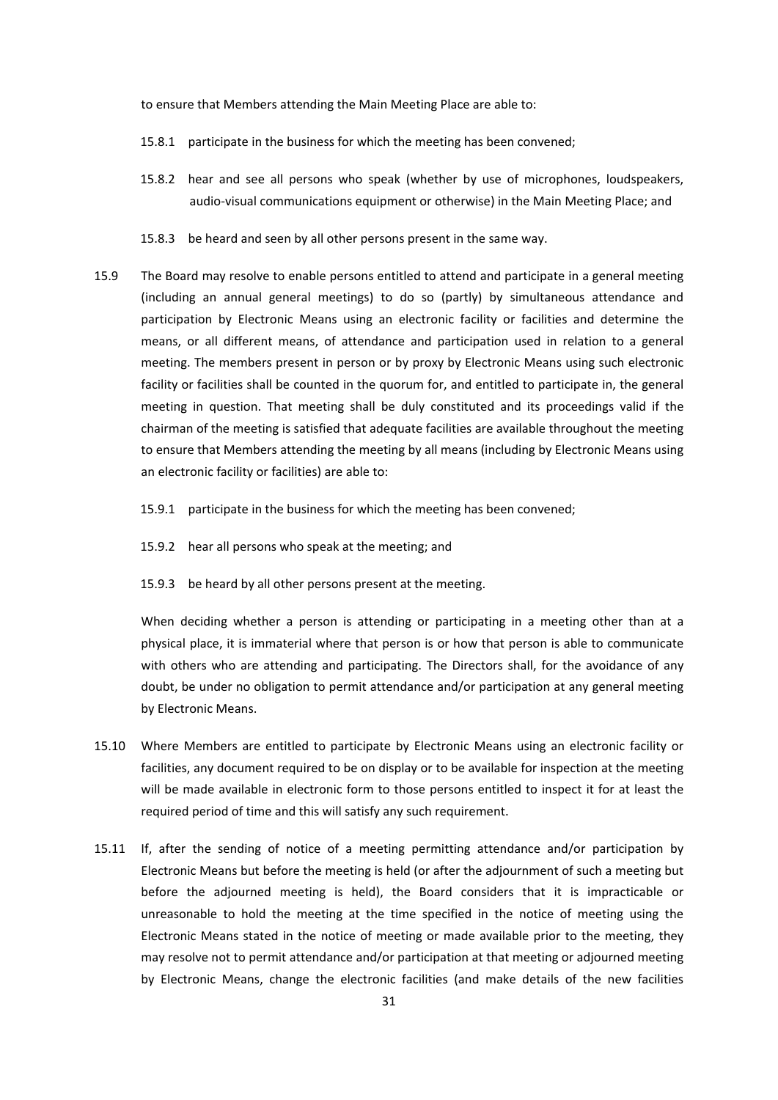to ensure that Members attending the Main Meeting Place are able to:

- 15.8.1 participate in the business for which the meeting has been convened;
- 15.8.2 hear and see all persons who speak (whether by use of microphones, loudspeakers, audio‐visual communications equipment or otherwise) in the Main Meeting Place; and
- 15.8.3 be heard and seen by all other persons present in the same way.
- 15.9 The Board may resolve to enable persons entitled to attend and participate in a general meeting (including an annual general meetings) to do so (partly) by simultaneous attendance and participation by Electronic Means using an electronic facility or facilities and determine the means, or all different means, of attendance and participation used in relation to a general meeting. The members present in person or by proxy by Electronic Means using such electronic facility or facilities shall be counted in the quorum for, and entitled to participate in, the general meeting in question. That meeting shall be duly constituted and its proceedings valid if the chairman of the meeting is satisfied that adequate facilities are available throughout the meeting to ensure that Members attending the meeting by all means (including by Electronic Means using an electronic facility or facilities) are able to:
	- 15.9.1 participate in the business for which the meeting has been convened;
	- 15.9.2 hear all persons who speak at the meeting; and
	- 15.9.3 be heard by all other persons present at the meeting.

When deciding whether a person is attending or participating in a meeting other than at a physical place, it is immaterial where that person is or how that person is able to communicate with others who are attending and participating. The Directors shall, for the avoidance of any doubt, be under no obligation to permit attendance and/or participation at any general meeting by Electronic Means.

- 15.10 Where Members are entitled to participate by Electronic Means using an electronic facility or facilities, any document required to be on display or to be available for inspection at the meeting will be made available in electronic form to those persons entitled to inspect it for at least the required period of time and this will satisfy any such requirement.
- 15.11 If, after the sending of notice of a meeting permitting attendance and/or participation by Electronic Means but before the meeting is held (or after the adjournment of such a meeting but before the adjourned meeting is held), the Board considers that it is impracticable or unreasonable to hold the meeting at the time specified in the notice of meeting using the Electronic Means stated in the notice of meeting or made available prior to the meeting, they may resolve not to permit attendance and/or participation at that meeting or adjourned meeting by Electronic Means, change the electronic facilities (and make details of the new facilities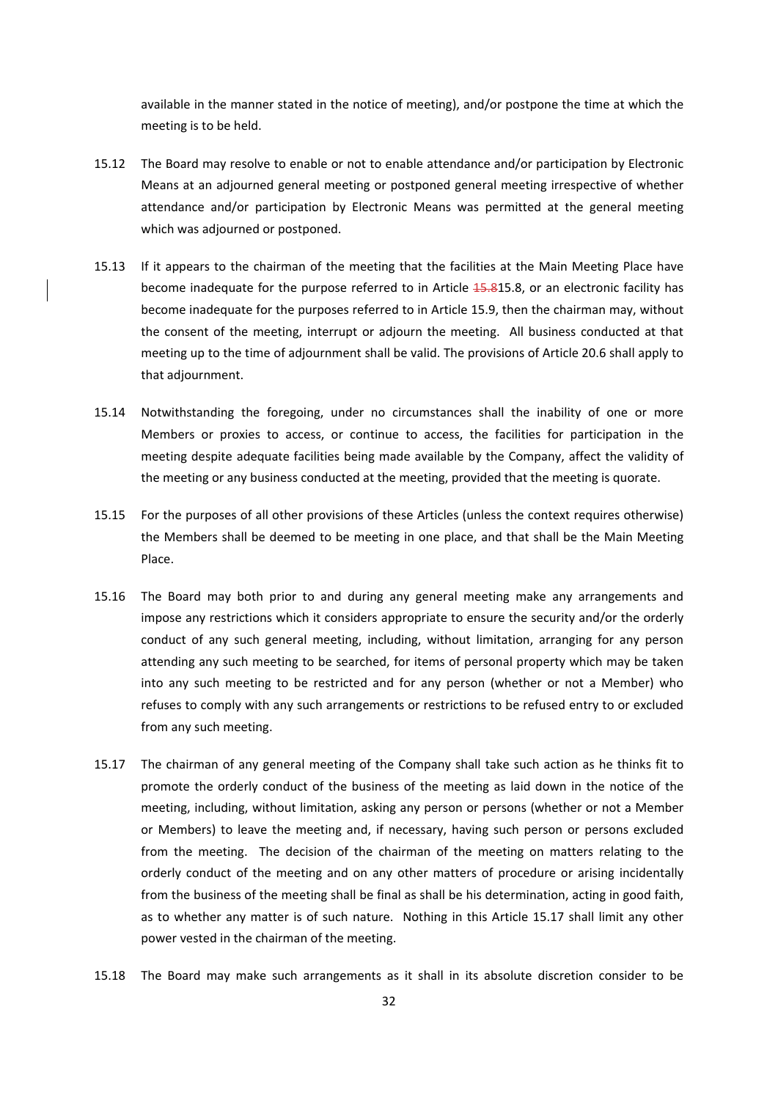available in the manner stated in the notice of meeting), and/or postpone the time at which the meeting is to be held.

- 15.12 The Board may resolve to enable or not to enable attendance and/or participation by Electronic Means at an adjourned general meeting or postponed general meeting irrespective of whether attendance and/or participation by Electronic Means was permitted at the general meeting which was adjourned or postponed.
- 15.13 If it appears to the chairman of the meeting that the facilities at the Main Meeting Place have become inadequate for the purpose referred to in Article 15.815.8, or an electronic facility has become inadequate for the purposes referred to in Article 15.9, then the chairman may, without the consent of the meeting, interrupt or adjourn the meeting. All business conducted at that meeting up to the time of adjournment shall be valid. The provisions of Article 20.6 shall apply to that adjournment.
- 15.14 Notwithstanding the foregoing, under no circumstances shall the inability of one or more Members or proxies to access, or continue to access, the facilities for participation in the meeting despite adequate facilities being made available by the Company, affect the validity of the meeting or any business conducted at the meeting, provided that the meeting is quorate.
- 15.15 For the purposes of all other provisions of these Articles (unless the context requires otherwise) the Members shall be deemed to be meeting in one place, and that shall be the Main Meeting Place.
- 15.16 The Board may both prior to and during any general meeting make any arrangements and impose any restrictions which it considers appropriate to ensure the security and/or the orderly conduct of any such general meeting, including, without limitation, arranging for any person attending any such meeting to be searched, for items of personal property which may be taken into any such meeting to be restricted and for any person (whether or not a Member) who refuses to comply with any such arrangements or restrictions to be refused entry to or excluded from any such meeting.
- 15.17 The chairman of any general meeting of the Company shall take such action as he thinks fit to promote the orderly conduct of the business of the meeting as laid down in the notice of the meeting, including, without limitation, asking any person or persons (whether or not a Member or Members) to leave the meeting and, if necessary, having such person or persons excluded from the meeting. The decision of the chairman of the meeting on matters relating to the orderly conduct of the meeting and on any other matters of procedure or arising incidentally from the business of the meeting shall be final as shall be his determination, acting in good faith, as to whether any matter is of such nature. Nothing in this Article 15.17 shall limit any other power vested in the chairman of the meeting.
- 15.18 The Board may make such arrangements as it shall in its absolute discretion consider to be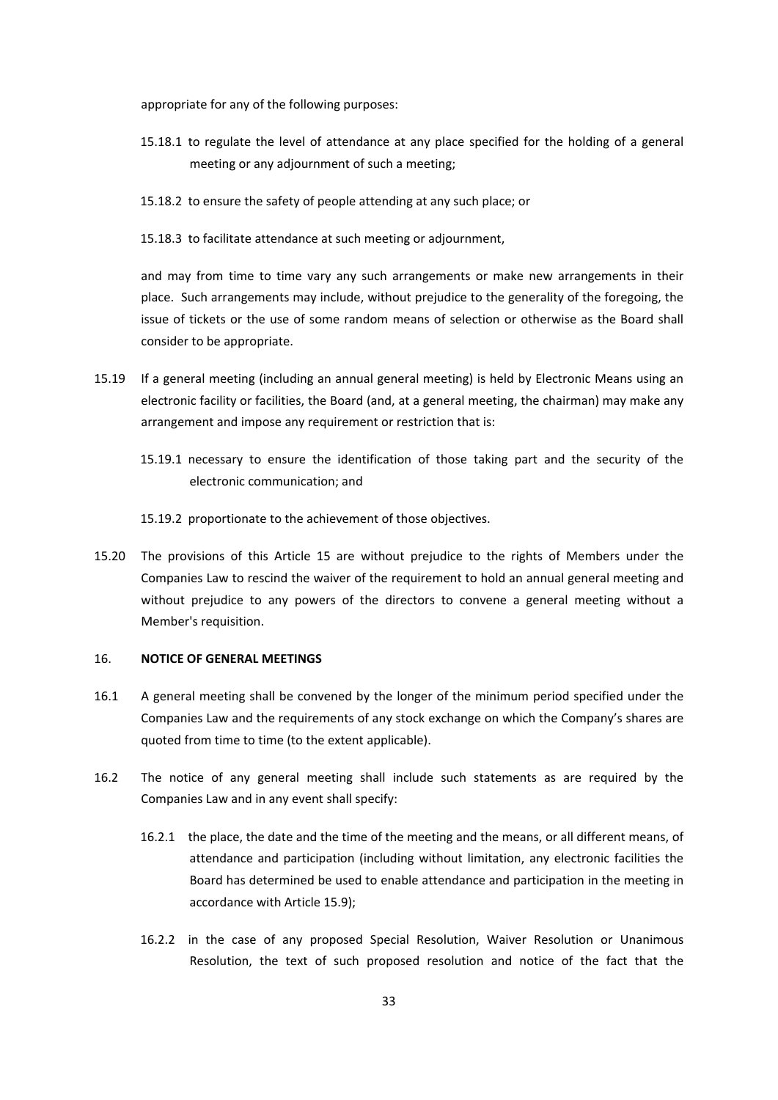appropriate for any of the following purposes:

- 15.18.1 to regulate the level of attendance at any place specified for the holding of a general meeting or any adjournment of such a meeting;
- 15.18.2 to ensure the safety of people attending at any such place; or
- 15.18.3 to facilitate attendance at such meeting or adjournment,

and may from time to time vary any such arrangements or make new arrangements in their place. Such arrangements may include, without prejudice to the generality of the foregoing, the issue of tickets or the use of some random means of selection or otherwise as the Board shall consider to be appropriate.

- 15.19 If a general meeting (including an annual general meeting) is held by Electronic Means using an electronic facility or facilities, the Board (and, at a general meeting, the chairman) may make any arrangement and impose any requirement or restriction that is:
	- 15.19.1 necessary to ensure the identification of those taking part and the security of the electronic communication; and
	- 15.19.2 proportionate to the achievement of those objectives.
- 15.20 The provisions of this Article 15 are without prejudice to the rights of Members under the Companies Law to rescind the waiver of the requirement to hold an annual general meeting and without prejudice to any powers of the directors to convene a general meeting without a Member's requisition.

## 16. **NOTICE OF GENERAL MEETINGS**

- 16.1 A general meeting shall be convened by the longer of the minimum period specified under the Companies Law and the requirements of any stock exchange on which the Company's shares are quoted from time to time (to the extent applicable).
- 16.2 The notice of any general meeting shall include such statements as are required by the Companies Law and in any event shall specify:
	- 16.2.1 the place, the date and the time of the meeting and the means, or all different means, of attendance and participation (including without limitation, any electronic facilities the Board has determined be used to enable attendance and participation in the meeting in accordance with Article 15.9);
	- 16.2.2 in the case of any proposed Special Resolution, Waiver Resolution or Unanimous Resolution, the text of such proposed resolution and notice of the fact that the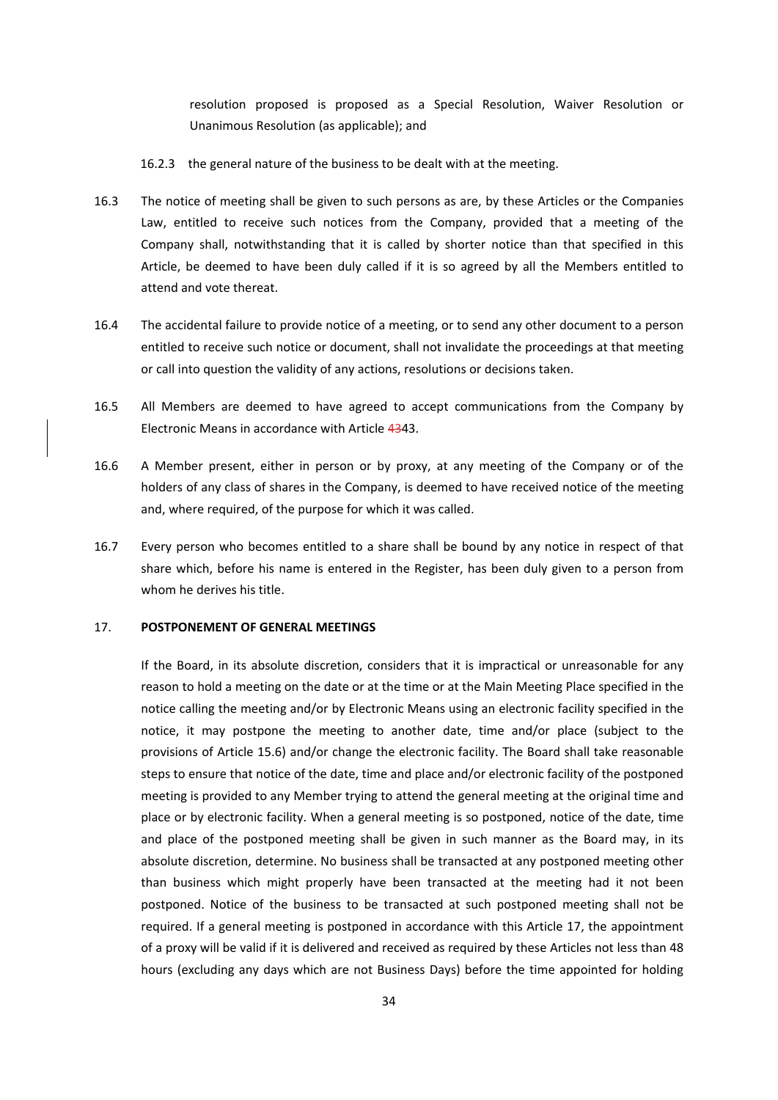resolution proposed is proposed as a Special Resolution, Waiver Resolution or Unanimous Resolution (as applicable); and

16.2.3 the general nature of the business to be dealt with at the meeting.

- 16.3 The notice of meeting shall be given to such persons as are, by these Articles or the Companies Law, entitled to receive such notices from the Company, provided that a meeting of the Company shall, notwithstanding that it is called by shorter notice than that specified in this Article, be deemed to have been duly called if it is so agreed by all the Members entitled to attend and vote thereat.
- 16.4 The accidental failure to provide notice of a meeting, or to send any other document to a person entitled to receive such notice or document, shall not invalidate the proceedings at that meeting or call into question the validity of any actions, resolutions or decisions taken.
- 16.5 All Members are deemed to have agreed to accept communications from the Company by Electronic Means in accordance with Article 4343.
- 16.6 A Member present, either in person or by proxy, at any meeting of the Company or of the holders of any class of shares in the Company, is deemed to have received notice of the meeting and, where required, of the purpose for which it was called.
- 16.7 Every person who becomes entitled to a share shall be bound by any notice in respect of that share which, before his name is entered in the Register, has been duly given to a person from whom he derives his title.

#### 17. **POSTPONEMENT OF GENERAL MEETINGS**

If the Board, in its absolute discretion, considers that it is impractical or unreasonable for any reason to hold a meeting on the date or at the time or at the Main Meeting Place specified in the notice calling the meeting and/or by Electronic Means using an electronic facility specified in the notice, it may postpone the meeting to another date, time and/or place (subject to the provisions of Article 15.6) and/or change the electronic facility. The Board shall take reasonable steps to ensure that notice of the date, time and place and/or electronic facility of the postponed meeting is provided to any Member trying to attend the general meeting at the original time and place or by electronic facility. When a general meeting is so postponed, notice of the date, time and place of the postponed meeting shall be given in such manner as the Board may, in its absolute discretion, determine. No business shall be transacted at any postponed meeting other than business which might properly have been transacted at the meeting had it not been postponed. Notice of the business to be transacted at such postponed meeting shall not be required. If a general meeting is postponed in accordance with this Article 17, the appointment of a proxy will be valid if it is delivered and received as required by these Articles not less than 48 hours (excluding any days which are not Business Days) before the time appointed for holding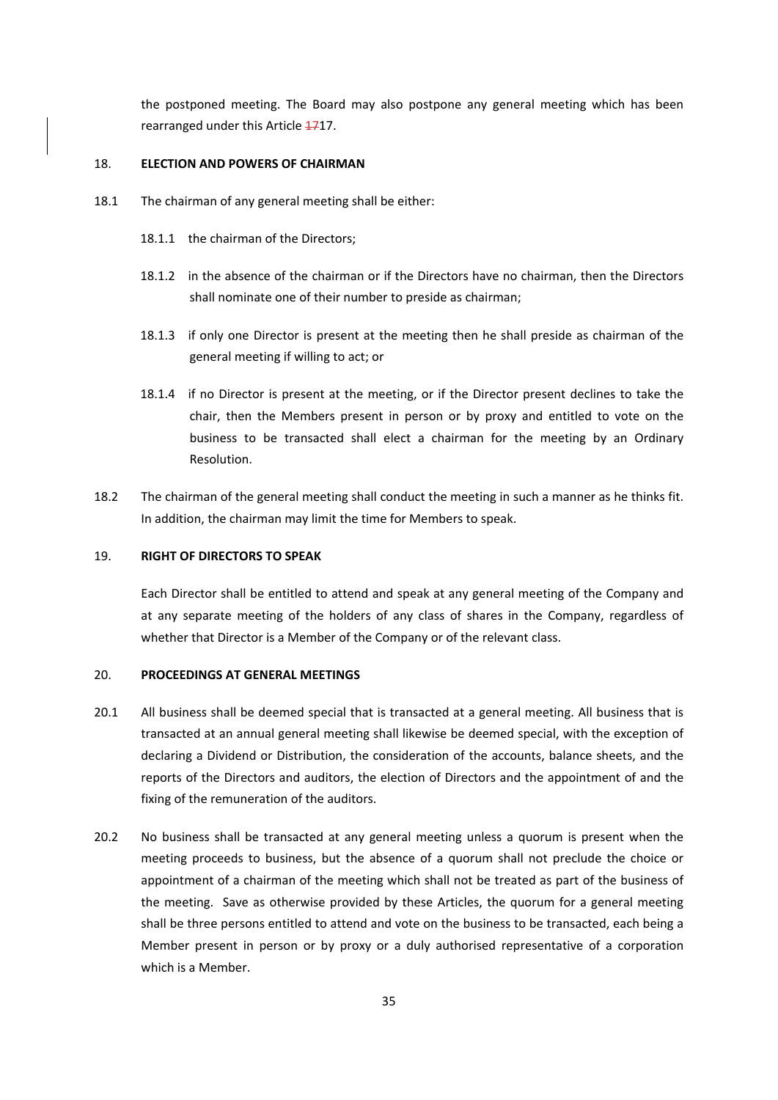the postponed meeting. The Board may also postpone any general meeting which has been rearranged under this Article 4717.

## 18. **ELECTION AND POWERS OF CHAIRMAN**

- 18.1 The chairman of any general meeting shall be either:
	- 18.1.1 the chairman of the Directors;
	- 18.1.2 in the absence of the chairman or if the Directors have no chairman, then the Directors shall nominate one of their number to preside as chairman;
	- 18.1.3 if only one Director is present at the meeting then he shall preside as chairman of the general meeting if willing to act; or
	- 18.1.4 if no Director is present at the meeting, or if the Director present declines to take the chair, then the Members present in person or by proxy and entitled to vote on the business to be transacted shall elect a chairman for the meeting by an Ordinary Resolution.
- 18.2 The chairman of the general meeting shall conduct the meeting in such a manner as he thinks fit. In addition, the chairman may limit the time for Members to speak.

# 19. **RIGHT OF DIRECTORS TO SPEAK**

Each Director shall be entitled to attend and speak at any general meeting of the Company and at any separate meeting of the holders of any class of shares in the Company, regardless of whether that Director is a Member of the Company or of the relevant class.

#### 20. **PROCEEDINGS AT GENERAL MEETINGS**

- 20.1 All business shall be deemed special that is transacted at a general meeting. All business that is transacted at an annual general meeting shall likewise be deemed special, with the exception of declaring a Dividend or Distribution, the consideration of the accounts, balance sheets, and the reports of the Directors and auditors, the election of Directors and the appointment of and the fixing of the remuneration of the auditors.
- 20.2 No business shall be transacted at any general meeting unless a quorum is present when the meeting proceeds to business, but the absence of a quorum shall not preclude the choice or appointment of a chairman of the meeting which shall not be treated as part of the business of the meeting. Save as otherwise provided by these Articles, the quorum for a general meeting shall be three persons entitled to attend and vote on the business to be transacted, each being a Member present in person or by proxy or a duly authorised representative of a corporation which is a Member.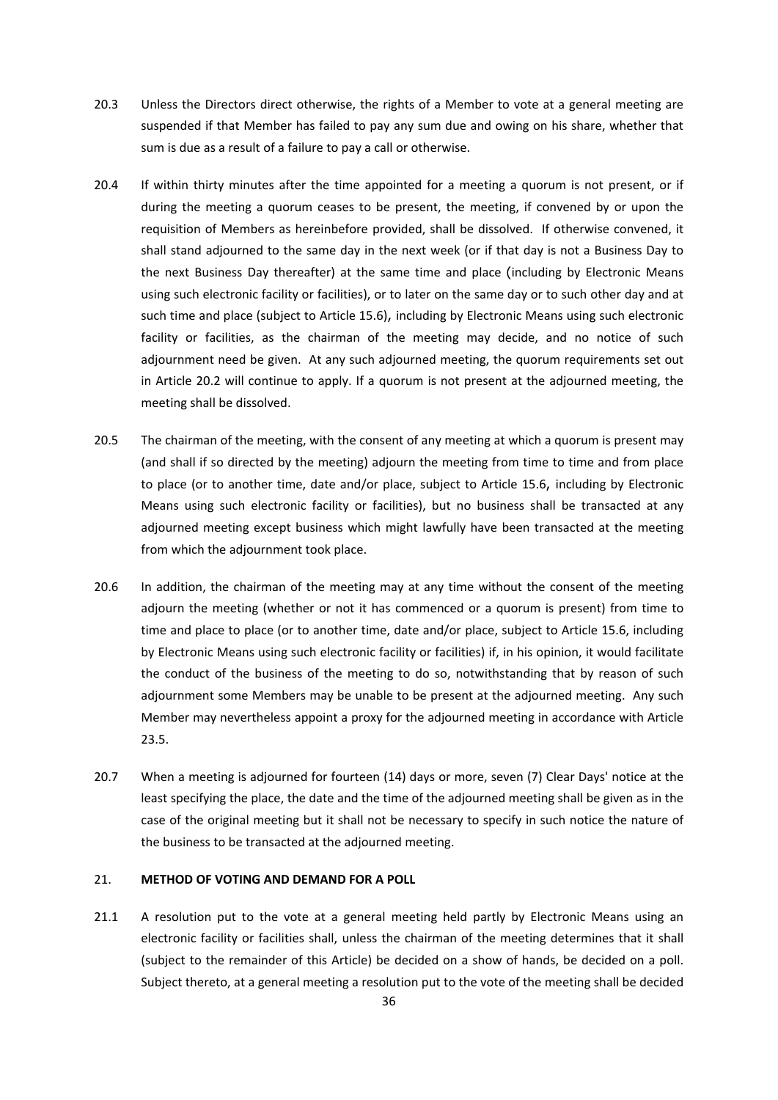- 20.3 Unless the Directors direct otherwise, the rights of a Member to vote at a general meeting are suspended if that Member has failed to pay any sum due and owing on his share, whether that sum is due as a result of a failure to pay a call or otherwise.
- 20.4 If within thirty minutes after the time appointed for a meeting a quorum is not present, or if during the meeting a quorum ceases to be present, the meeting, if convened by or upon the requisition of Members as hereinbefore provided, shall be dissolved. If otherwise convened, it shall stand adjourned to the same day in the next week (or if that day is not a Business Day to the next Business Day thereafter) at the same time and place (including by Electronic Means using such electronic facility or facilities), or to later on the same day or to such other day and at such time and place (subject to Article 15.6), including by Electronic Means using such electronic facility or facilities, as the chairman of the meeting may decide, and no notice of such adjournment need be given. At any such adjourned meeting, the quorum requirements set out in Article 20.2 will continue to apply. If a quorum is not present at the adjourned meeting, the meeting shall be dissolved.
- 20.5 The chairman of the meeting, with the consent of any meeting at which a quorum is present may (and shall if so directed by the meeting) adjourn the meeting from time to time and from place to place (or to another time, date and/or place, subject to Article 15.6, including by Electronic Means using such electronic facility or facilities), but no business shall be transacted at any adjourned meeting except business which might lawfully have been transacted at the meeting from which the adjournment took place.
- 20.6 In addition, the chairman of the meeting may at any time without the consent of the meeting adjourn the meeting (whether or not it has commenced or a quorum is present) from time to time and place to place (or to another time, date and/or place, subject to Article 15.6, including by Electronic Means using such electronic facility or facilities) if, in his opinion, it would facilitate the conduct of the business of the meeting to do so, notwithstanding that by reason of such adjournment some Members may be unable to be present at the adjourned meeting. Any such Member may nevertheless appoint a proxy for the adjourned meeting in accordance with Article 23.5.
- 20.7 When a meeting is adjourned for fourteen (14) days or more, seven (7) Clear Days' notice at the least specifying the place, the date and the time of the adjourned meeting shall be given as in the case of the original meeting but it shall not be necessary to specify in such notice the nature of the business to be transacted at the adjourned meeting.

# 21. **METHOD OF VOTING AND DEMAND FOR A POLL**

21.1 A resolution put to the vote at a general meeting held partly by Electronic Means using an electronic facility or facilities shall, unless the chairman of the meeting determines that it shall (subject to the remainder of this Article) be decided on a show of hands, be decided on a poll. Subject thereto, at a general meeting a resolution put to the vote of the meeting shall be decided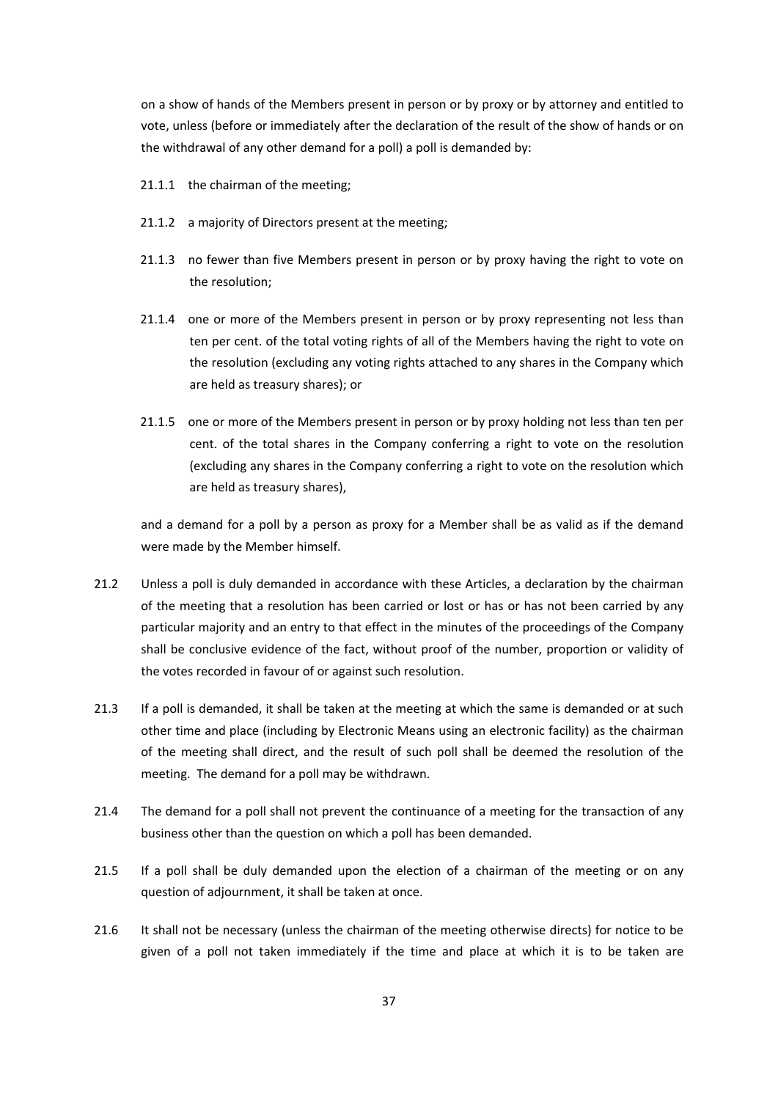on a show of hands of the Members present in person or by proxy or by attorney and entitled to vote, unless (before or immediately after the declaration of the result of the show of hands or on the withdrawal of any other demand for a poll) a poll is demanded by:

- 21.1.1 the chairman of the meeting;
- 21.1.2 a majority of Directors present at the meeting;
- 21.1.3 no fewer than five Members present in person or by proxy having the right to vote on the resolution;
- 21.1.4 one or more of the Members present in person or by proxy representing not less than ten per cent. of the total voting rights of all of the Members having the right to vote on the resolution (excluding any voting rights attached to any shares in the Company which are held as treasury shares); or
- 21.1.5 one or more of the Members present in person or by proxy holding not less than ten per cent. of the total shares in the Company conferring a right to vote on the resolution (excluding any shares in the Company conferring a right to vote on the resolution which are held as treasury shares),

and a demand for a poll by a person as proxy for a Member shall be as valid as if the demand were made by the Member himself.

- 21.2 Unless a poll is duly demanded in accordance with these Articles, a declaration by the chairman of the meeting that a resolution has been carried or lost or has or has not been carried by any particular majority and an entry to that effect in the minutes of the proceedings of the Company shall be conclusive evidence of the fact, without proof of the number, proportion or validity of the votes recorded in favour of or against such resolution.
- 21.3 If a poll is demanded, it shall be taken at the meeting at which the same is demanded or at such other time and place (including by Electronic Means using an electronic facility) as the chairman of the meeting shall direct, and the result of such poll shall be deemed the resolution of the meeting. The demand for a poll may be withdrawn.
- 21.4 The demand for a poll shall not prevent the continuance of a meeting for the transaction of any business other than the question on which a poll has been demanded.
- 21.5 If a poll shall be duly demanded upon the election of a chairman of the meeting or on any question of adjournment, it shall be taken at once.
- 21.6 It shall not be necessary (unless the chairman of the meeting otherwise directs) for notice to be given of a poll not taken immediately if the time and place at which it is to be taken are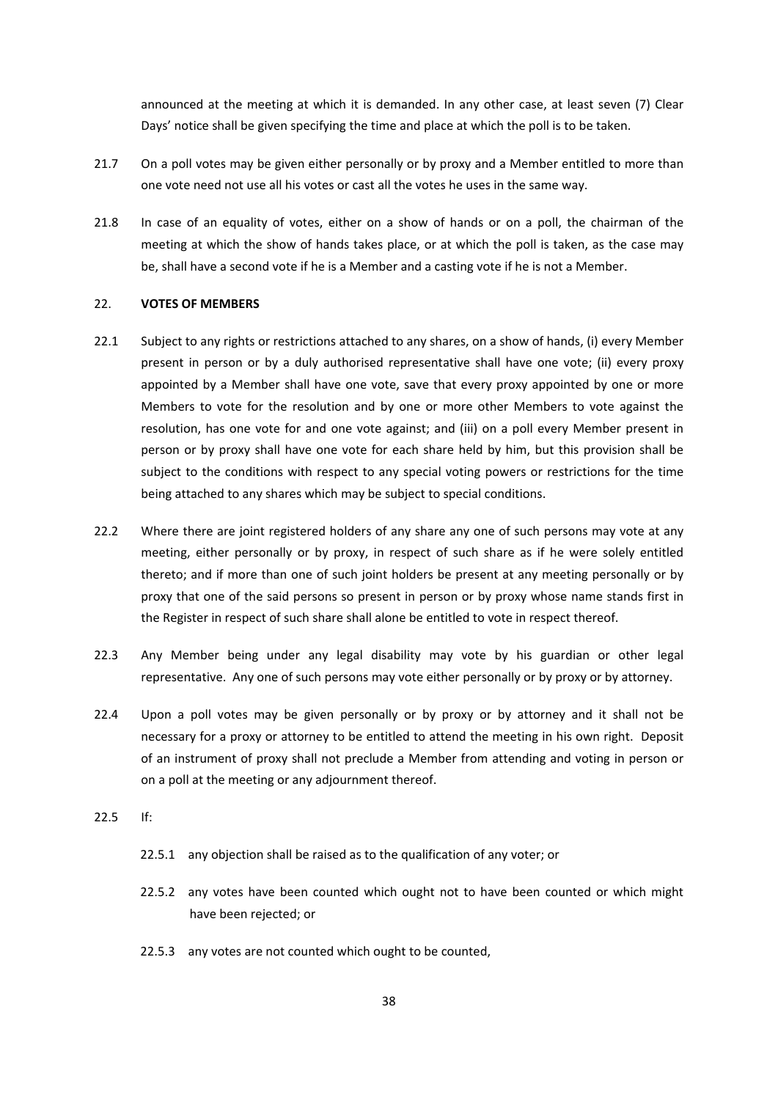announced at the meeting at which it is demanded. In any other case, at least seven (7) Clear Days' notice shall be given specifying the time and place at which the poll is to be taken.

- 21.7 On a poll votes may be given either personally or by proxy and a Member entitled to more than one vote need not use all his votes or cast all the votes he uses in the same way.
- 21.8 In case of an equality of votes, either on a show of hands or on a poll, the chairman of the meeting at which the show of hands takes place, or at which the poll is taken, as the case may be, shall have a second vote if he is a Member and a casting vote if he is not a Member.

#### 22. **VOTES OF MEMBERS**

- 22.1 Subject to any rights or restrictions attached to any shares, on a show of hands, (i) every Member present in person or by a duly authorised representative shall have one vote; (ii) every proxy appointed by a Member shall have one vote, save that every proxy appointed by one or more Members to vote for the resolution and by one or more other Members to vote against the resolution, has one vote for and one vote against; and (iii) on a poll every Member present in person or by proxy shall have one vote for each share held by him, but this provision shall be subject to the conditions with respect to any special voting powers or restrictions for the time being attached to any shares which may be subject to special conditions.
- 22.2 Where there are joint registered holders of any share any one of such persons may vote at any meeting, either personally or by proxy, in respect of such share as if he were solely entitled thereto; and if more than one of such joint holders be present at any meeting personally or by proxy that one of the said persons so present in person or by proxy whose name stands first in the Register in respect of such share shall alone be entitled to vote in respect thereof.
- 22.3 Any Member being under any legal disability may vote by his guardian or other legal representative. Any one of such persons may vote either personally or by proxy or by attorney.
- 22.4 Upon a poll votes may be given personally or by proxy or by attorney and it shall not be necessary for a proxy or attorney to be entitled to attend the meeting in his own right. Deposit of an instrument of proxy shall not preclude a Member from attending and voting in person or on a poll at the meeting or any adjournment thereof.
- 22.5 If:
	- 22.5.1 any objection shall be raised as to the qualification of any voter; or
	- 22.5.2 any votes have been counted which ought not to have been counted or which might have been rejected; or
	- 22.5.3 any votes are not counted which ought to be counted,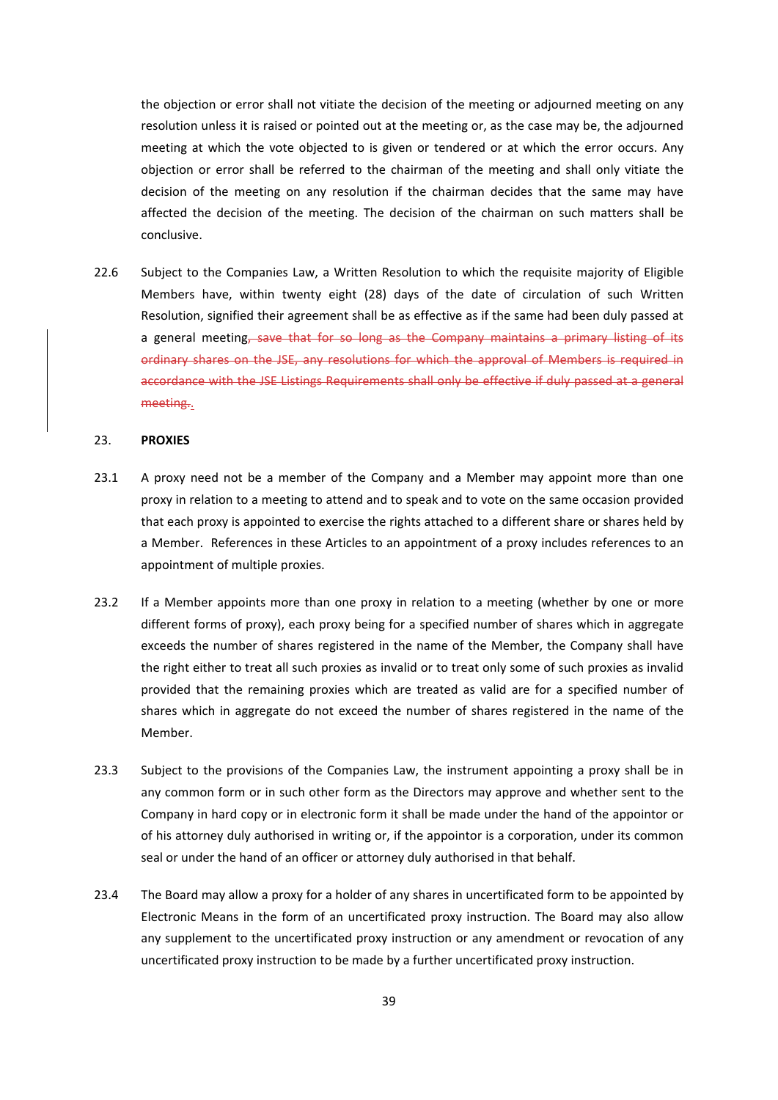the objection or error shall not vitiate the decision of the meeting or adjourned meeting on any resolution unless it is raised or pointed out at the meeting or, as the case may be, the adjourned meeting at which the vote objected to is given or tendered or at which the error occurs. Any objection or error shall be referred to the chairman of the meeting and shall only vitiate the decision of the meeting on any resolution if the chairman decides that the same may have affected the decision of the meeting. The decision of the chairman on such matters shall be conclusive.

22.6 Subject to the Companies Law, a Written Resolution to which the requisite majority of Eligible Members have, within twenty eight (28) days of the date of circulation of such Written Resolution, signified their agreement shall be as effective as if the same had been duly passed at a general meeting, save that for so long as the Company maintains a primary listing of its ordinary shares on the JSE, any resolutions for which the approval of Members is required in accordance with the JSE Listings Requirements shall only be effective if duly passed at a general meeting..

#### 23. **PROXIES**

- 23.1 A proxy need not be a member of the Company and a Member may appoint more than one proxy in relation to a meeting to attend and to speak and to vote on the same occasion provided that each proxy is appointed to exercise the rights attached to a different share or shares held by a Member. References in these Articles to an appointment of a proxy includes references to an appointment of multiple proxies.
- 23.2 If a Member appoints more than one proxy in relation to a meeting (whether by one or more different forms of proxy), each proxy being for a specified number of shares which in aggregate exceeds the number of shares registered in the name of the Member, the Company shall have the right either to treat all such proxies as invalid or to treat only some of such proxies as invalid provided that the remaining proxies which are treated as valid are for a specified number of shares which in aggregate do not exceed the number of shares registered in the name of the Member.
- 23.3 Subject to the provisions of the Companies Law, the instrument appointing a proxy shall be in any common form or in such other form as the Directors may approve and whether sent to the Company in hard copy or in electronic form it shall be made under the hand of the appointor or of his attorney duly authorised in writing or, if the appointor is a corporation, under its common seal or under the hand of an officer or attorney duly authorised in that behalf.
- 23.4 The Board may allow a proxy for a holder of any shares in uncertificated form to be appointed by Electronic Means in the form of an uncertificated proxy instruction. The Board may also allow any supplement to the uncertificated proxy instruction or any amendment or revocation of any uncertificated proxy instruction to be made by a further uncertificated proxy instruction.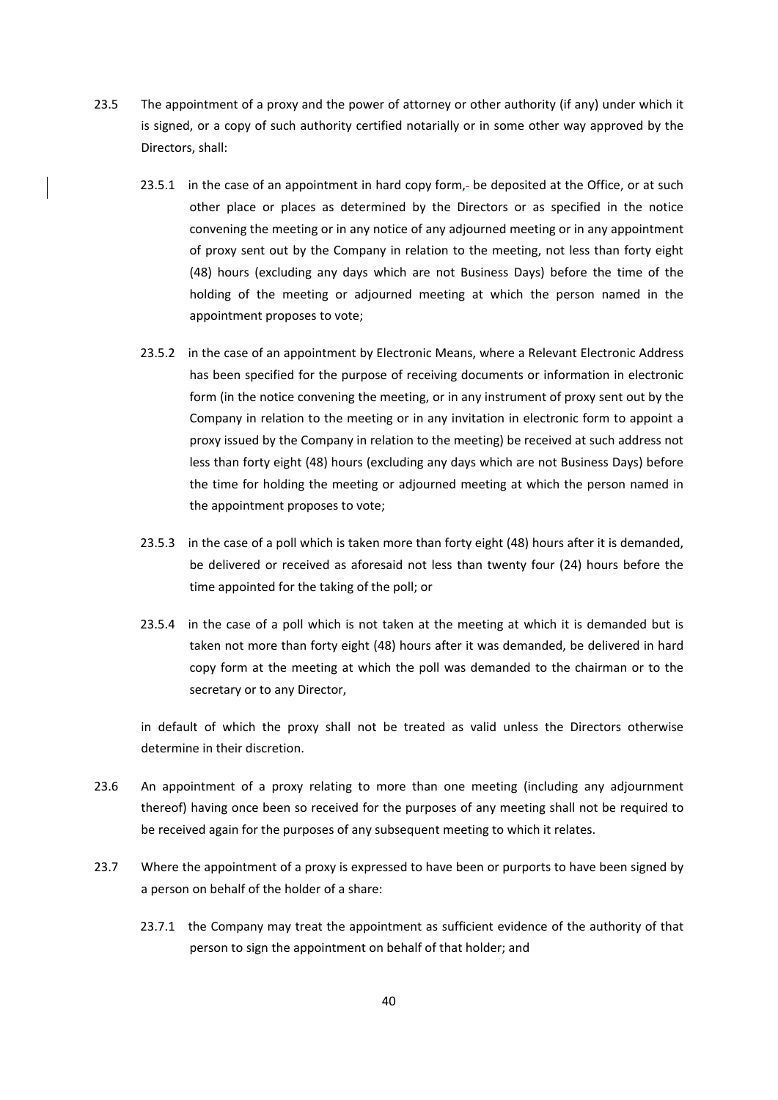- 23.5 The appointment of a proxy and the power of attorney or other authority (if any) under which it is signed, or a copy of such authority certified notarially or in some other way approved by the Directors, shall:
	- 23.5.1 in the case of an appointment in hard copy form,- be deposited at the Office, or at such other place or places as determined by the Directors or as specified in the notice convening the meeting or in any notice of any adjourned meeting or in any appointment of proxy sent out by the Company in relation to the meeting, not less than forty eight (48) hours (excluding any days which are not Business Days) before the time of the holding of the meeting or adjourned meeting at which the person named in the appointment proposes to vote;
	- 23.5.2 in the case of an appointment by Electronic Means, where a Relevant Electronic Address has been specified for the purpose of receiving documents or information in electronic form (in the notice convening the meeting, or in any instrument of proxy sent out by the Company in relation to the meeting or in any invitation in electronic form to appoint a proxy issued by the Company in relation to the meeting) be received at such address not less than forty eight (48) hours (excluding any days which are not Business Days) before the time for holding the meeting or adjourned meeting at which the person named in the appointment proposes to vote;
	- 23.5.3 in the case of a poll which is taken more than forty eight (48) hours after it is demanded, be delivered or received as aforesaid not less than twenty four (24) hours before the time appointed for the taking of the poll; or
	- 23.5.4 in the case of a poll which is not taken at the meeting at which it is demanded but is taken not more than forty eight (48) hours after it was demanded, be delivered in hard copy form at the meeting at which the poll was demanded to the chairman or to the secretary or to any Director,

in default of which the proxy shall not be treated as valid unless the Directors otherwise determine in their discretion.

- 23.6 An appointment of a proxy relating to more than one meeting (including any adjournment thereof) having once been so received for the purposes of any meeting shall not be required to be received again for the purposes of any subsequent meeting to which it relates.
- 23.7 Where the appointment of a proxy is expressed to have been or purports to have been signed by a person on behalf of the holder of a share:
	- 23.7.1 the Company may treat the appointment as sufficient evidence of the authority of that person to sign the appointment on behalf of that holder; and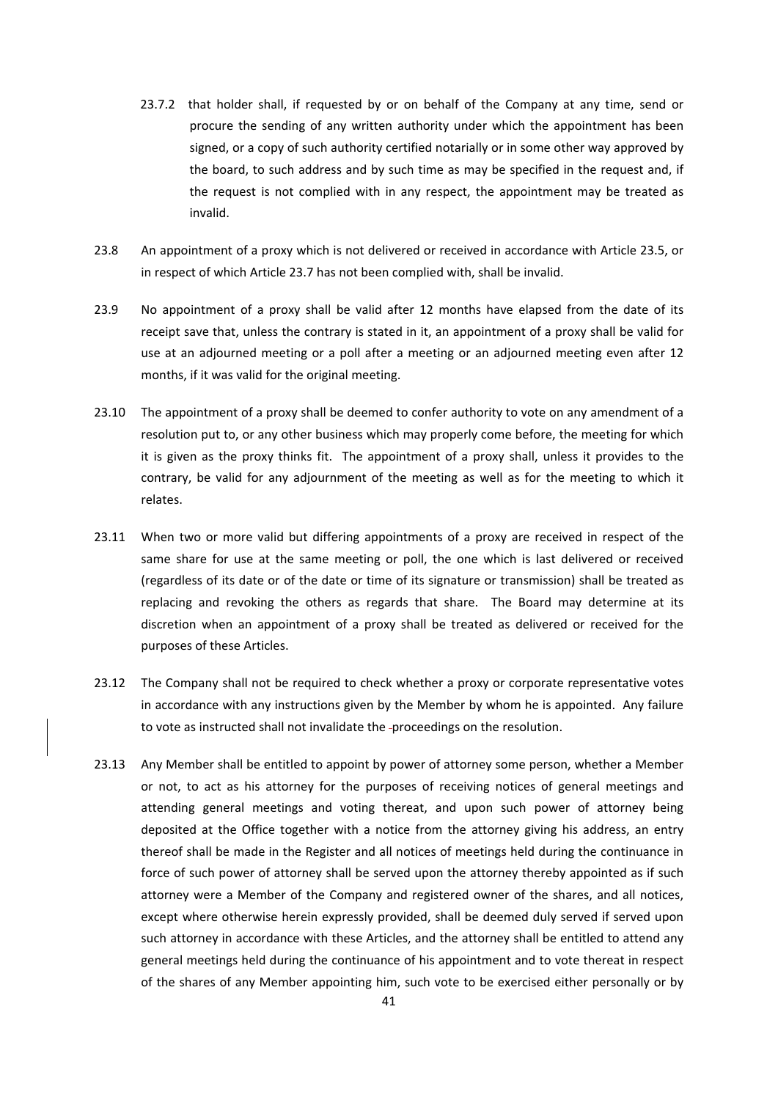- 23.7.2 that holder shall, if requested by or on behalf of the Company at any time, send or procure the sending of any written authority under which the appointment has been signed, or a copy of such authority certified notarially or in some other way approved by the board, to such address and by such time as may be specified in the request and, if the request is not complied with in any respect, the appointment may be treated as invalid.
- 23.8 An appointment of a proxy which is not delivered or received in accordance with Article 23.5, or in respect of which Article 23.7 has not been complied with, shall be invalid.
- 23.9 No appointment of a proxy shall be valid after 12 months have elapsed from the date of its receipt save that, unless the contrary is stated in it, an appointment of a proxy shall be valid for use at an adjourned meeting or a poll after a meeting or an adjourned meeting even after 12 months, if it was valid for the original meeting.
- 23.10 The appointment of a proxy shall be deemed to confer authority to vote on any amendment of a resolution put to, or any other business which may properly come before, the meeting for which it is given as the proxy thinks fit. The appointment of a proxy shall, unless it provides to the contrary, be valid for any adjournment of the meeting as well as for the meeting to which it relates.
- 23.11 When two or more valid but differing appointments of a proxy are received in respect of the same share for use at the same meeting or poll, the one which is last delivered or received (regardless of its date or of the date or time of its signature or transmission) shall be treated as replacing and revoking the others as regards that share. The Board may determine at its discretion when an appointment of a proxy shall be treated as delivered or received for the purposes of these Articles.
- 23.12 The Company shall not be required to check whether a proxy or corporate representative votes in accordance with any instructions given by the Member by whom he is appointed. Any failure to vote as instructed shall not invalidate the -proceedings on the resolution.
- 23.13 Any Member shall be entitled to appoint by power of attorney some person, whether a Member or not, to act as his attorney for the purposes of receiving notices of general meetings and attending general meetings and voting thereat, and upon such power of attorney being deposited at the Office together with a notice from the attorney giving his address, an entry thereof shall be made in the Register and all notices of meetings held during the continuance in force of such power of attorney shall be served upon the attorney thereby appointed as if such attorney were a Member of the Company and registered owner of the shares, and all notices, except where otherwise herein expressly provided, shall be deemed duly served if served upon such attorney in accordance with these Articles, and the attorney shall be entitled to attend any general meetings held during the continuance of his appointment and to vote thereat in respect of the shares of any Member appointing him, such vote to be exercised either personally or by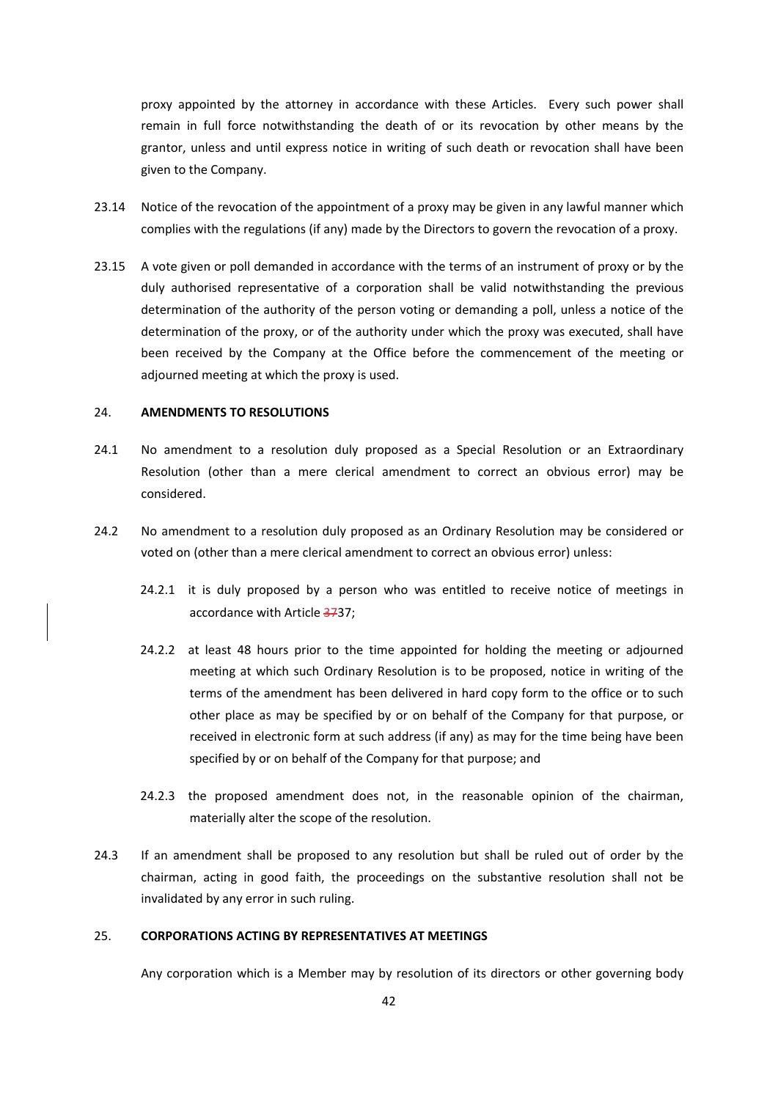proxy appointed by the attorney in accordance with these Articles. Every such power shall remain in full force notwithstanding the death of or its revocation by other means by the grantor, unless and until express notice in writing of such death or revocation shall have been given to the Company.

- 23.14 Notice of the revocation of the appointment of a proxy may be given in any lawful manner which complies with the regulations (if any) made by the Directors to govern the revocation of a proxy.
- 23.15 A vote given or poll demanded in accordance with the terms of an instrument of proxy or by the duly authorised representative of a corporation shall be valid notwithstanding the previous determination of the authority of the person voting or demanding a poll, unless a notice of the determination of the proxy, or of the authority under which the proxy was executed, shall have been received by the Company at the Office before the commencement of the meeting or adjourned meeting at which the proxy is used.

# 24. **AMENDMENTS TO RESOLUTIONS**

- 24.1 No amendment to a resolution duly proposed as a Special Resolution or an Extraordinary Resolution (other than a mere clerical amendment to correct an obvious error) may be considered.
- 24.2 No amendment to a resolution duly proposed as an Ordinary Resolution may be considered or voted on (other than a mere clerical amendment to correct an obvious error) unless:
	- 24.2.1 it is duly proposed by a person who was entitled to receive notice of meetings in accordance with Article 3737;
	- 24.2.2 at least 48 hours prior to the time appointed for holding the meeting or adjourned meeting at which such Ordinary Resolution is to be proposed, notice in writing of the terms of the amendment has been delivered in hard copy form to the office or to such other place as may be specified by or on behalf of the Company for that purpose, or received in electronic form at such address (if any) as may for the time being have been specified by or on behalf of the Company for that purpose; and
	- 24.2.3 the proposed amendment does not, in the reasonable opinion of the chairman, materially alter the scope of the resolution.
- 24.3 If an amendment shall be proposed to any resolution but shall be ruled out of order by the chairman, acting in good faith, the proceedings on the substantive resolution shall not be invalidated by any error in such ruling.

# 25. **CORPORATIONS ACTING BY REPRESENTATIVES AT MEETINGS**

Any corporation which is a Member may by resolution of its directors or other governing body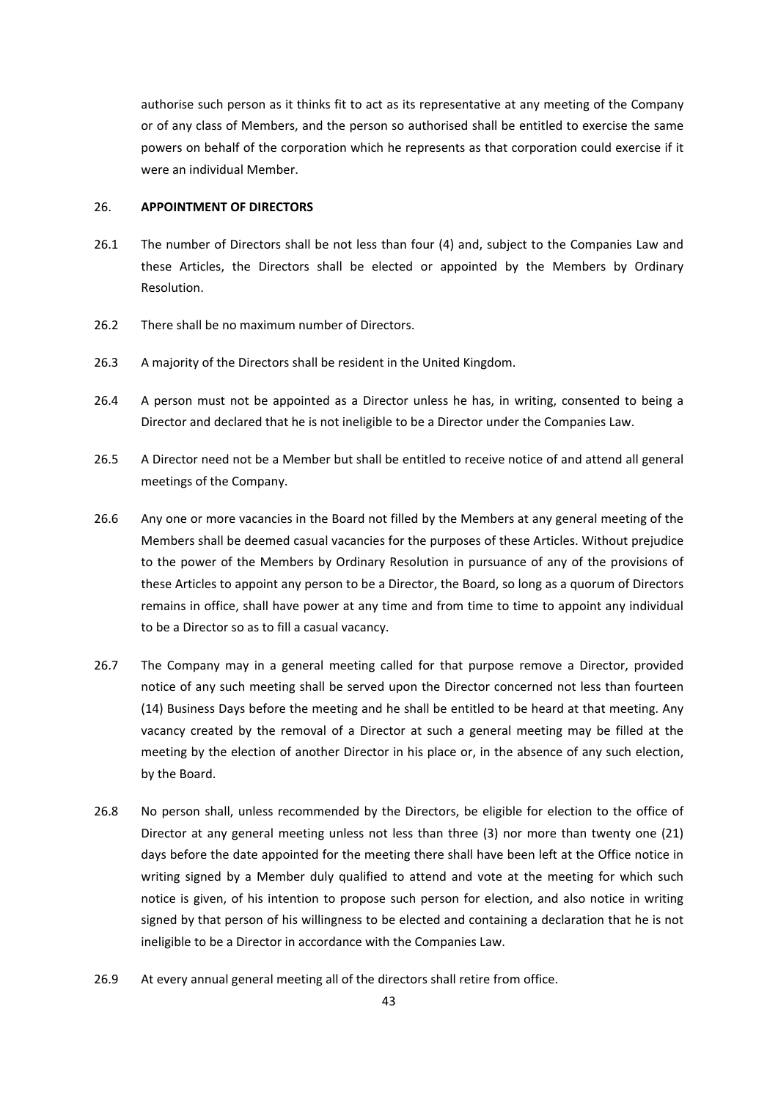authorise such person as it thinks fit to act as its representative at any meeting of the Company or of any class of Members, and the person so authorised shall be entitled to exercise the same powers on behalf of the corporation which he represents as that corporation could exercise if it were an individual Member.

# 26. **APPOINTMENT OF DIRECTORS**

- 26.1 The number of Directors shall be not less than four (4) and, subject to the Companies Law and these Articles, the Directors shall be elected or appointed by the Members by Ordinary Resolution.
- 26.2 There shall be no maximum number of Directors.
- 26.3 A majority of the Directors shall be resident in the United Kingdom.
- 26.4 A person must not be appointed as a Director unless he has, in writing, consented to being a Director and declared that he is not ineligible to be a Director under the Companies Law.
- 26.5 A Director need not be a Member but shall be entitled to receive notice of and attend all general meetings of the Company.
- 26.6 Any one or more vacancies in the Board not filled by the Members at any general meeting of the Members shall be deemed casual vacancies for the purposes of these Articles. Without prejudice to the power of the Members by Ordinary Resolution in pursuance of any of the provisions of these Articles to appoint any person to be a Director, the Board, so long as a quorum of Directors remains in office, shall have power at any time and from time to time to appoint any individual to be a Director so as to fill a casual vacancy.
- 26.7 The Company may in a general meeting called for that purpose remove a Director, provided notice of any such meeting shall be served upon the Director concerned not less than fourteen (14) Business Days before the meeting and he shall be entitled to be heard at that meeting. Any vacancy created by the removal of a Director at such a general meeting may be filled at the meeting by the election of another Director in his place or, in the absence of any such election, by the Board.
- 26.8 No person shall, unless recommended by the Directors, be eligible for election to the office of Director at any general meeting unless not less than three (3) nor more than twenty one (21) days before the date appointed for the meeting there shall have been left at the Office notice in writing signed by a Member duly qualified to attend and vote at the meeting for which such notice is given, of his intention to propose such person for election, and also notice in writing signed by that person of his willingness to be elected and containing a declaration that he is not ineligible to be a Director in accordance with the Companies Law.
- 26.9 At every annual general meeting all of the directors shall retire from office.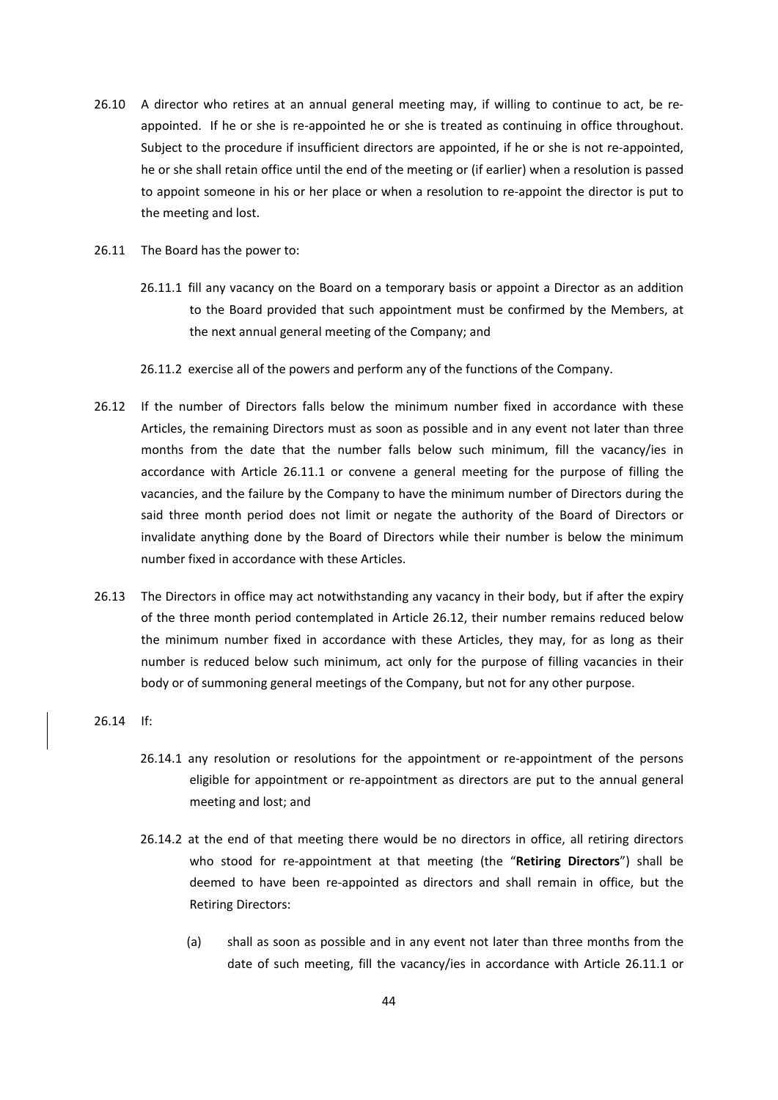- 26.10 A director who retires at an annual general meeting may, if willing to continue to act, be reappointed. If he or she is re-appointed he or she is treated as continuing in office throughout. Subject to the procedure if insufficient directors are appointed, if he or she is not re-appointed, he or she shall retain office until the end of the meeting or (if earlier) when a resolution is passed to appoint someone in his or her place or when a resolution to re-appoint the director is put to the meeting and lost.
- 26.11 The Board has the power to:
	- 26.11.1 fill any vacancy on the Board on a temporary basis or appoint a Director as an addition to the Board provided that such appointment must be confirmed by the Members, at the next annual general meeting of the Company; and
	- 26.11.2 exercise all of the powers and perform any of the functions of the Company.
- 26.12 If the number of Directors falls below the minimum number fixed in accordance with these Articles, the remaining Directors must as soon as possible and in any event not later than three months from the date that the number falls below such minimum, fill the vacancy/ies in accordance with Article 26.11.1 or convene a general meeting for the purpose of filling the vacancies, and the failure by the Company to have the minimum number of Directors during the said three month period does not limit or negate the authority of the Board of Directors or invalidate anything done by the Board of Directors while their number is below the minimum number fixed in accordance with these Articles.
- 26.13 The Directors in office may act notwithstanding any vacancy in their body, but if after the expiry of the three month period contemplated in Article 26.12, their number remains reduced below the minimum number fixed in accordance with these Articles, they may, for as long as their number is reduced below such minimum, act only for the purpose of filling vacancies in their body or of summoning general meetings of the Company, but not for any other purpose.
- 26.14 If:
	- 26.14.1 any resolution or resolutions for the appointment or re‐appointment of the persons eligible for appointment or re-appointment as directors are put to the annual general meeting and lost; and
	- 26.14.2 at the end of that meeting there would be no directors in office, all retiring directors who stood for re‐appointment at that meeting (the "**Retiring Directors**") shall be deemed to have been re‐appointed as directors and shall remain in office, but the Retiring Directors:
		- (a) shall as soon as possible and in any event not later than three months from the date of such meeting, fill the vacancy/ies in accordance with Article 26.11.1 or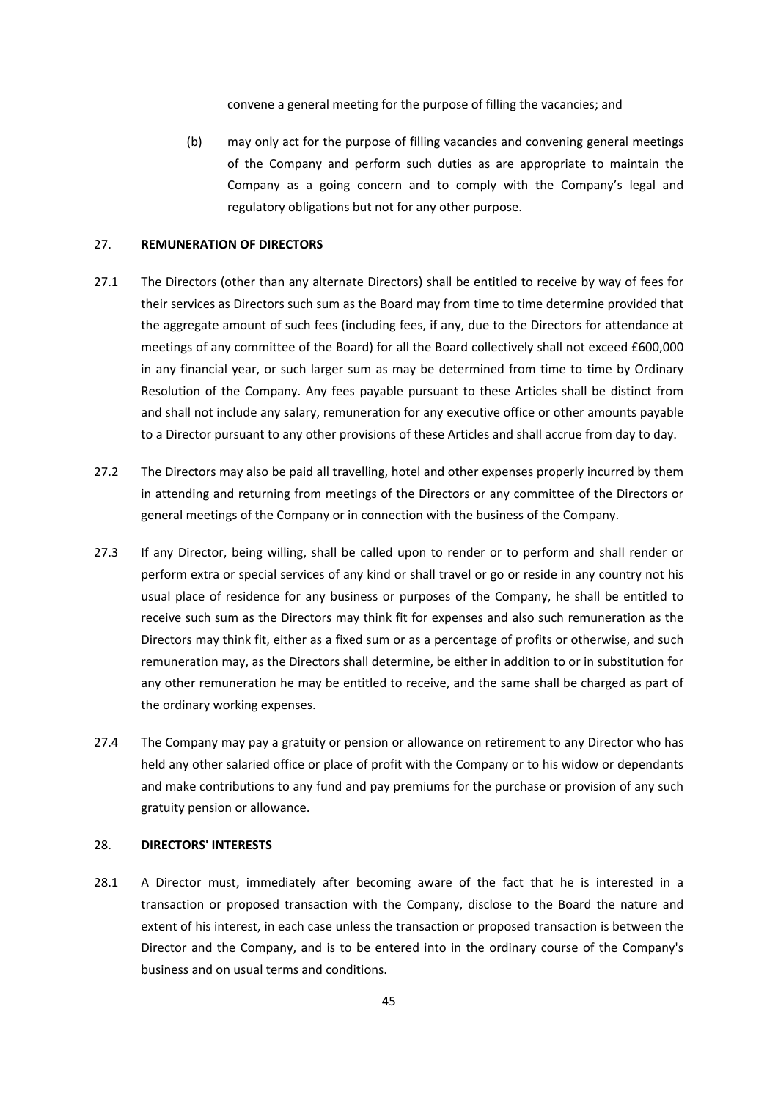convene a general meeting for the purpose of filling the vacancies; and

(b) may only act for the purpose of filling vacancies and convening general meetings of the Company and perform such duties as are appropriate to maintain the Company as a going concern and to comply with the Company's legal and regulatory obligations but not for any other purpose.

#### 27. **REMUNERATION OF DIRECTORS**

- 27.1 The Directors (other than any alternate Directors) shall be entitled to receive by way of fees for their services as Directors such sum as the Board may from time to time determine provided that the aggregate amount of such fees (including fees, if any, due to the Directors for attendance at meetings of any committee of the Board) for all the Board collectively shall not exceed £600,000 in any financial year, or such larger sum as may be determined from time to time by Ordinary Resolution of the Company. Any fees payable pursuant to these Articles shall be distinct from and shall not include any salary, remuneration for any executive office or other amounts payable to a Director pursuant to any other provisions of these Articles and shall accrue from day to day.
- 27.2 The Directors may also be paid all travelling, hotel and other expenses properly incurred by them in attending and returning from meetings of the Directors or any committee of the Directors or general meetings of the Company or in connection with the business of the Company.
- 27.3 If any Director, being willing, shall be called upon to render or to perform and shall render or perform extra or special services of any kind or shall travel or go or reside in any country not his usual place of residence for any business or purposes of the Company, he shall be entitled to receive such sum as the Directors may think fit for expenses and also such remuneration as the Directors may think fit, either as a fixed sum or as a percentage of profits or otherwise, and such remuneration may, as the Directors shall determine, be either in addition to or in substitution for any other remuneration he may be entitled to receive, and the same shall be charged as part of the ordinary working expenses.
- 27.4 The Company may pay a gratuity or pension or allowance on retirement to any Director who has held any other salaried office or place of profit with the Company or to his widow or dependants and make contributions to any fund and pay premiums for the purchase or provision of any such gratuity pension or allowance.

## 28. **DIRECTORS' INTERESTS**

28.1 A Director must, immediately after becoming aware of the fact that he is interested in a transaction or proposed transaction with the Company, disclose to the Board the nature and extent of his interest, in each case unless the transaction or proposed transaction is between the Director and the Company, and is to be entered into in the ordinary course of the Company's business and on usual terms and conditions.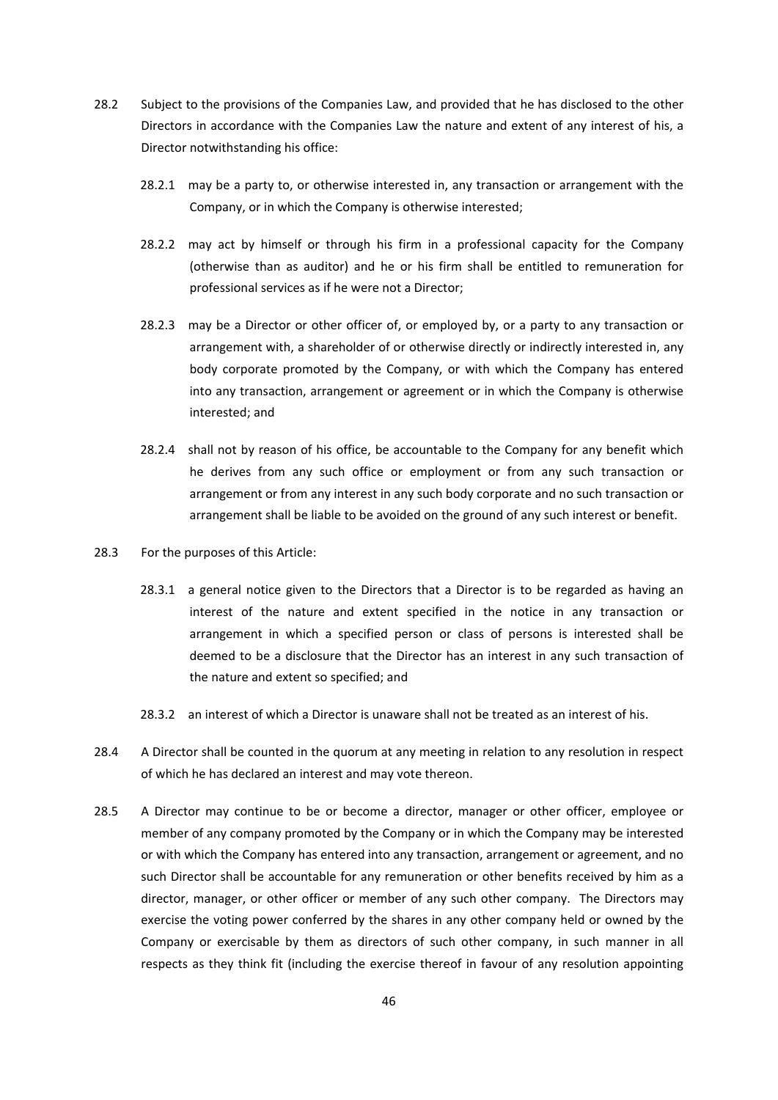- 28.2 Subject to the provisions of the Companies Law, and provided that he has disclosed to the other Directors in accordance with the Companies Law the nature and extent of any interest of his, a Director notwithstanding his office:
	- 28.2.1 may be a party to, or otherwise interested in, any transaction or arrangement with the Company, or in which the Company is otherwise interested;
	- 28.2.2 may act by himself or through his firm in a professional capacity for the Company (otherwise than as auditor) and he or his firm shall be entitled to remuneration for professional services as if he were not a Director;
	- 28.2.3 may be a Director or other officer of, or employed by, or a party to any transaction or arrangement with, a shareholder of or otherwise directly or indirectly interested in, any body corporate promoted by the Company, or with which the Company has entered into any transaction, arrangement or agreement or in which the Company is otherwise interested; and
	- 28.2.4 shall not by reason of his office, be accountable to the Company for any benefit which he derives from any such office or employment or from any such transaction or arrangement or from any interest in any such body corporate and no such transaction or arrangement shall be liable to be avoided on the ground of any such interest or benefit.
- 28.3 For the purposes of this Article:
	- 28.3.1 a general notice given to the Directors that a Director is to be regarded as having an interest of the nature and extent specified in the notice in any transaction or arrangement in which a specified person or class of persons is interested shall be deemed to be a disclosure that the Director has an interest in any such transaction of the nature and extent so specified; and
	- 28.3.2 an interest of which a Director is unaware shall not be treated as an interest of his.
- 28.4 A Director shall be counted in the quorum at any meeting in relation to any resolution in respect of which he has declared an interest and may vote thereon.
- 28.5 A Director may continue to be or become a director, manager or other officer, employee or member of any company promoted by the Company or in which the Company may be interested or with which the Company has entered into any transaction, arrangement or agreement, and no such Director shall be accountable for any remuneration or other benefits received by him as a director, manager, or other officer or member of any such other company. The Directors may exercise the voting power conferred by the shares in any other company held or owned by the Company or exercisable by them as directors of such other company, in such manner in all respects as they think fit (including the exercise thereof in favour of any resolution appointing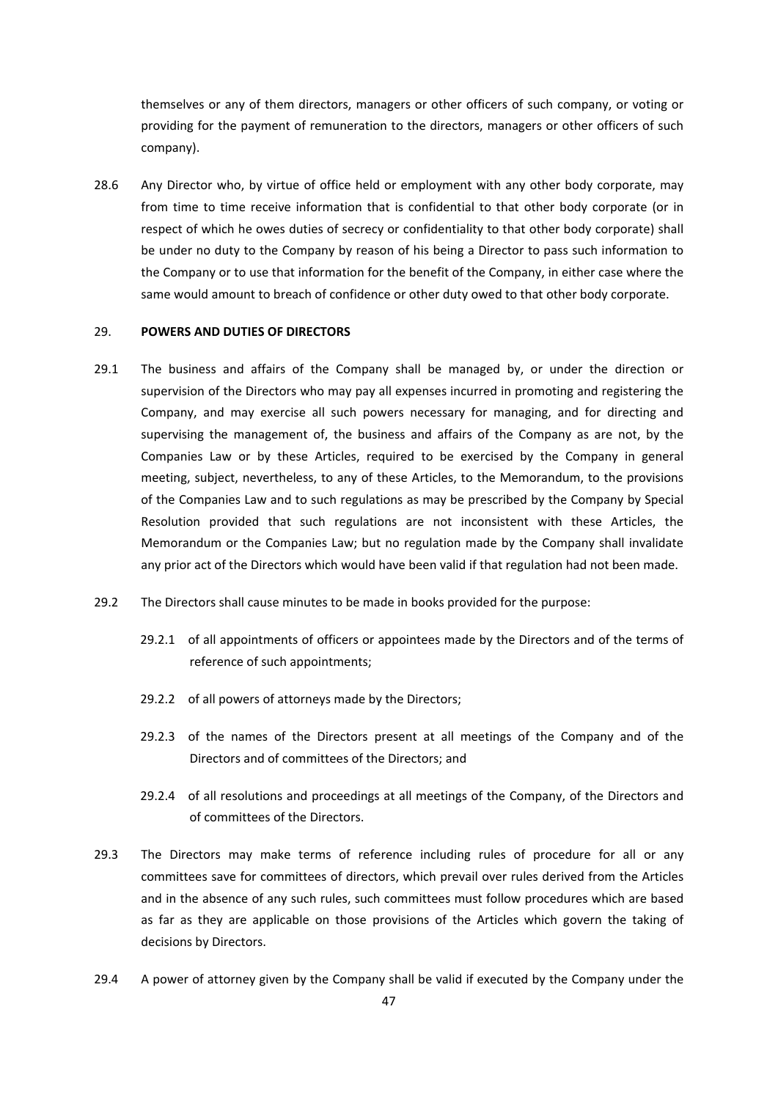themselves or any of them directors, managers or other officers of such company, or voting or providing for the payment of remuneration to the directors, managers or other officers of such company).

28.6 Any Director who, by virtue of office held or employment with any other body corporate, may from time to time receive information that is confidential to that other body corporate (or in respect of which he owes duties of secrecy or confidentiality to that other body corporate) shall be under no duty to the Company by reason of his being a Director to pass such information to the Company or to use that information for the benefit of the Company, in either case where the same would amount to breach of confidence or other duty owed to that other body corporate.

## 29. **POWERS AND DUTIES OF DIRECTORS**

- 29.1 The business and affairs of the Company shall be managed by, or under the direction or supervision of the Directors who may pay all expenses incurred in promoting and registering the Company, and may exercise all such powers necessary for managing, and for directing and supervising the management of, the business and affairs of the Company as are not, by the Companies Law or by these Articles, required to be exercised by the Company in general meeting, subject, nevertheless, to any of these Articles, to the Memorandum, to the provisions of the Companies Law and to such regulations as may be prescribed by the Company by Special Resolution provided that such regulations are not inconsistent with these Articles, the Memorandum or the Companies Law; but no regulation made by the Company shall invalidate any prior act of the Directors which would have been valid if that regulation had not been made.
- 29.2 The Directors shall cause minutes to be made in books provided for the purpose:
	- 29.2.1 of all appointments of officers or appointees made by the Directors and of the terms of reference of such appointments;
	- 29.2.2 of all powers of attorneys made by the Directors;
	- 29.2.3 of the names of the Directors present at all meetings of the Company and of the Directors and of committees of the Directors; and
	- 29.2.4 of all resolutions and proceedings at all meetings of the Company, of the Directors and of committees of the Directors.
- 29.3 The Directors may make terms of reference including rules of procedure for all or any committees save for committees of directors, which prevail over rules derived from the Articles and in the absence of any such rules, such committees must follow procedures which are based as far as they are applicable on those provisions of the Articles which govern the taking of decisions by Directors.
- 29.4 A power of attorney given by the Company shall be valid if executed by the Company under the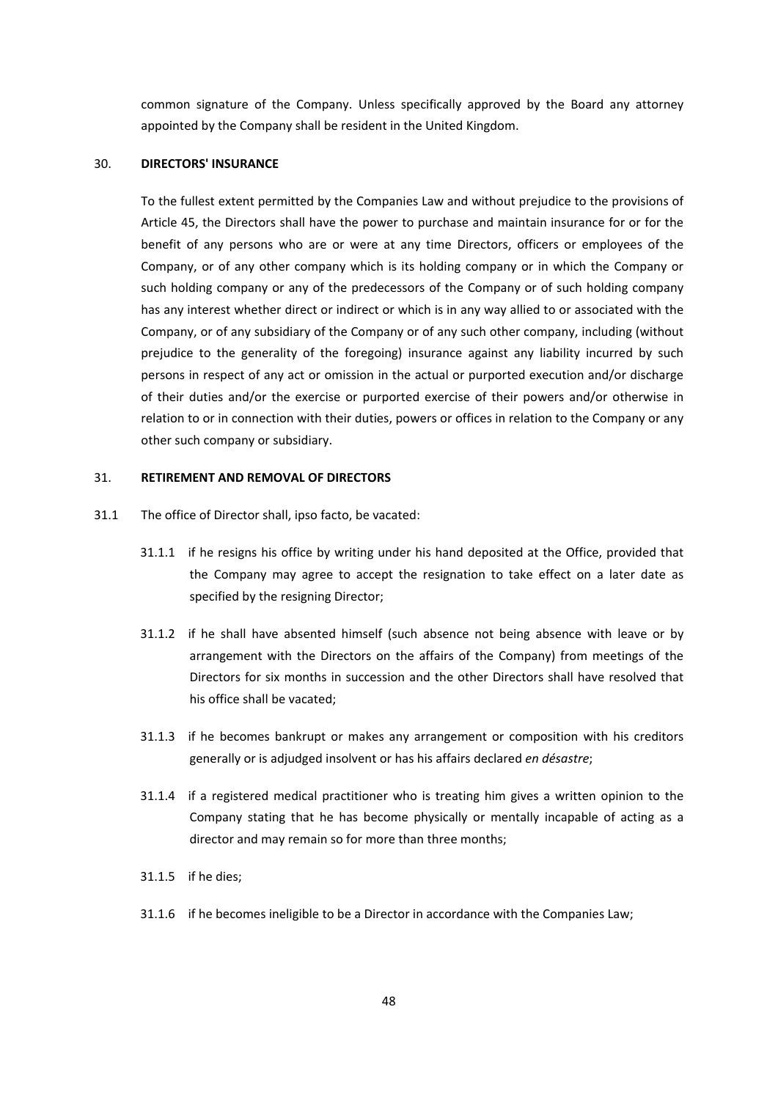common signature of the Company. Unless specifically approved by the Board any attorney appointed by the Company shall be resident in the United Kingdom.

## 30. **DIRECTORS' INSURANCE**

To the fullest extent permitted by the Companies Law and without prejudice to the provisions of Article 45, the Directors shall have the power to purchase and maintain insurance for or for the benefit of any persons who are or were at any time Directors, officers or employees of the Company, or of any other company which is its holding company or in which the Company or such holding company or any of the predecessors of the Company or of such holding company has any interest whether direct or indirect or which is in any way allied to or associated with the Company, or of any subsidiary of the Company or of any such other company, including (without prejudice to the generality of the foregoing) insurance against any liability incurred by such persons in respect of any act or omission in the actual or purported execution and/or discharge of their duties and/or the exercise or purported exercise of their powers and/or otherwise in relation to or in connection with their duties, powers or offices in relation to the Company or any other such company or subsidiary.

## 31. **RETIREMENT AND REMOVAL OF DIRECTORS**

- 31.1 The office of Director shall, ipso facto, be vacated:
	- 31.1.1 if he resigns his office by writing under his hand deposited at the Office, provided that the Company may agree to accept the resignation to take effect on a later date as specified by the resigning Director;
	- 31.1.2 if he shall have absented himself (such absence not being absence with leave or by arrangement with the Directors on the affairs of the Company) from meetings of the Directors for six months in succession and the other Directors shall have resolved that his office shall be vacated;
	- 31.1.3 if he becomes bankrupt or makes any arrangement or composition with his creditors generally or is adjudged insolvent or has his affairs declared *en désastre*;
	- 31.1.4 if a registered medical practitioner who is treating him gives a written opinion to the Company stating that he has become physically or mentally incapable of acting as a director and may remain so for more than three months;
	- 31.1.5 if he dies;
	- 31.1.6 if he becomes ineligible to be a Director in accordance with the Companies Law;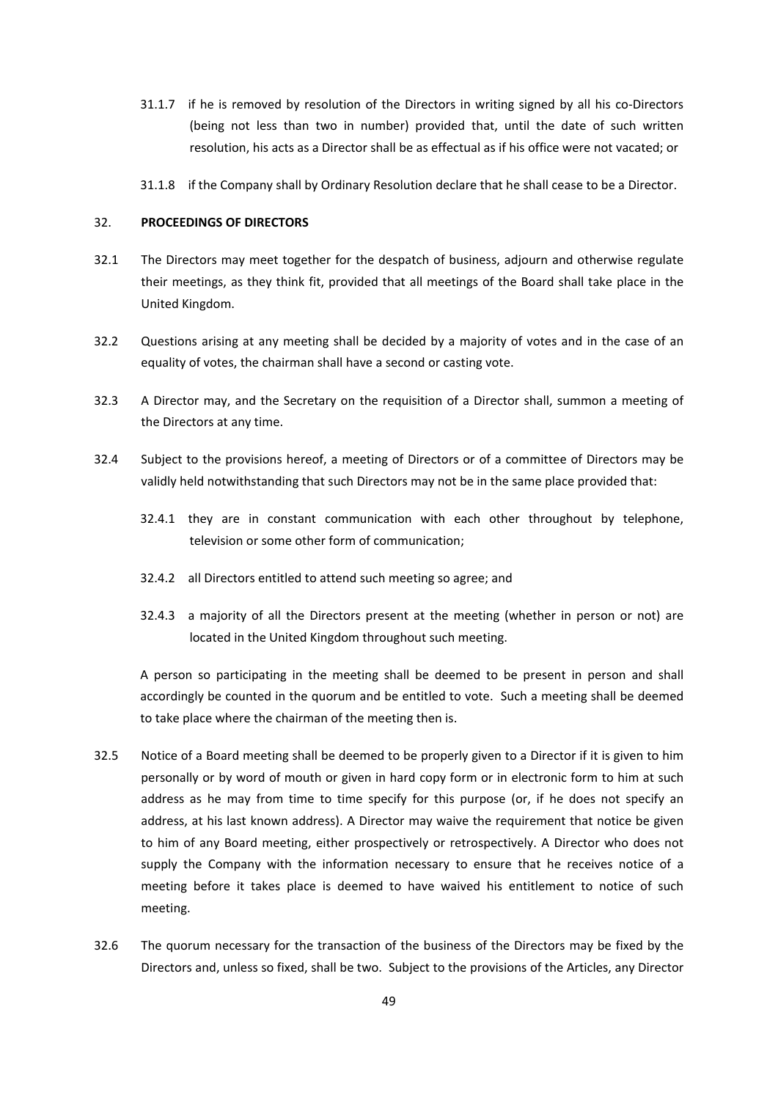- 31.1.7 if he is removed by resolution of the Directors in writing signed by all his co-Directors (being not less than two in number) provided that, until the date of such written resolution, his acts as a Director shall be as effectual as if his office were not vacated; or
- 31.1.8 if the Company shall by Ordinary Resolution declare that he shall cease to be a Director.

# 32. **PROCEEDINGS OF DIRECTORS**

- 32.1 The Directors may meet together for the despatch of business, adjourn and otherwise regulate their meetings, as they think fit, provided that all meetings of the Board shall take place in the United Kingdom.
- 32.2 Questions arising at any meeting shall be decided by a majority of votes and in the case of an equality of votes, the chairman shall have a second or casting vote.
- 32.3 A Director may, and the Secretary on the requisition of a Director shall, summon a meeting of the Directors at any time.
- 32.4 Subject to the provisions hereof, a meeting of Directors or of a committee of Directors may be validly held notwithstanding that such Directors may not be in the same place provided that:
	- 32.4.1 they are in constant communication with each other throughout by telephone, television or some other form of communication;
	- 32.4.2 all Directors entitled to attend such meeting so agree; and
	- 32.4.3 a majority of all the Directors present at the meeting (whether in person or not) are located in the United Kingdom throughout such meeting.

A person so participating in the meeting shall be deemed to be present in person and shall accordingly be counted in the quorum and be entitled to vote. Such a meeting shall be deemed to take place where the chairman of the meeting then is.

- 32.5 Notice of a Board meeting shall be deemed to be properly given to a Director if it is given to him personally or by word of mouth or given in hard copy form or in electronic form to him at such address as he may from time to time specify for this purpose (or, if he does not specify an address, at his last known address). A Director may waive the requirement that notice be given to him of any Board meeting, either prospectively or retrospectively. A Director who does not supply the Company with the information necessary to ensure that he receives notice of a meeting before it takes place is deemed to have waived his entitlement to notice of such meeting.
- 32.6 The quorum necessary for the transaction of the business of the Directors may be fixed by the Directors and, unless so fixed, shall be two. Subject to the provisions of the Articles, any Director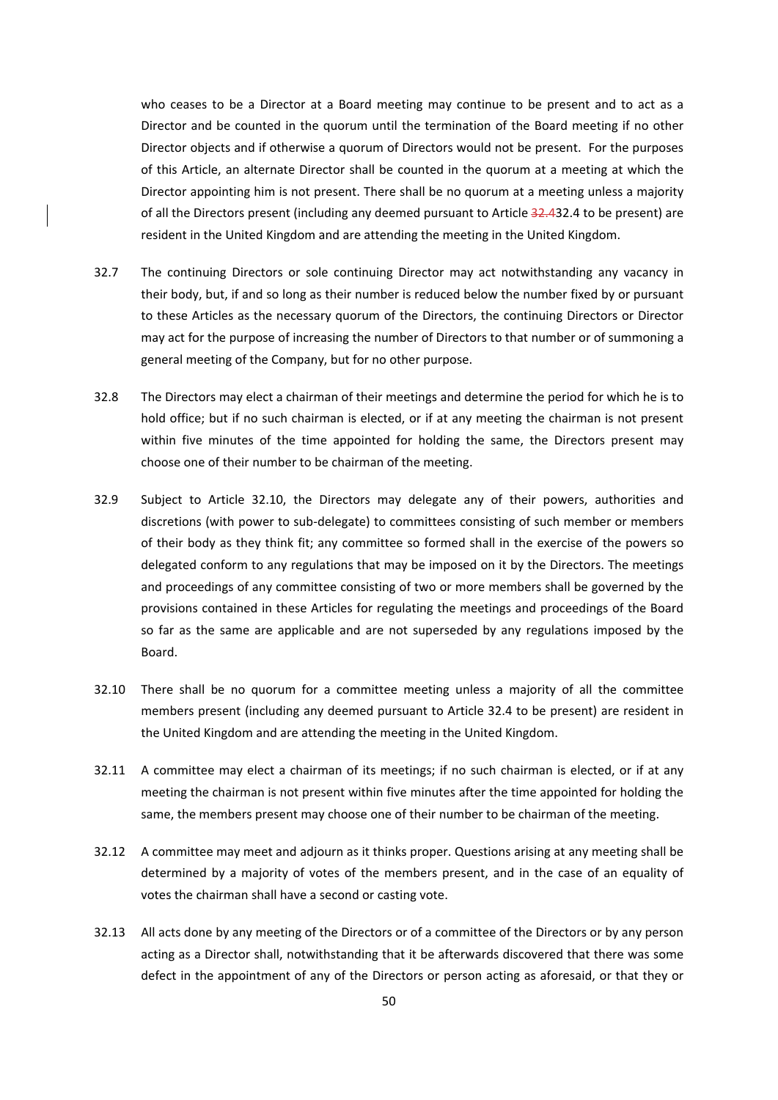who ceases to be a Director at a Board meeting may continue to be present and to act as a Director and be counted in the quorum until the termination of the Board meeting if no other Director objects and if otherwise a quorum of Directors would not be present. For the purposes of this Article, an alternate Director shall be counted in the quorum at a meeting at which the Director appointing him is not present. There shall be no quorum at a meeting unless a majority of all the Directors present (including any deemed pursuant to Article 32.432.4 to be present) are resident in the United Kingdom and are attending the meeting in the United Kingdom.

- 32.7 The continuing Directors or sole continuing Director may act notwithstanding any vacancy in their body, but, if and so long as their number is reduced below the number fixed by or pursuant to these Articles as the necessary quorum of the Directors, the continuing Directors or Director may act for the purpose of increasing the number of Directors to that number or of summoning a general meeting of the Company, but for no other purpose.
- 32.8 The Directors may elect a chairman of their meetings and determine the period for which he is to hold office; but if no such chairman is elected, or if at any meeting the chairman is not present within five minutes of the time appointed for holding the same, the Directors present may choose one of their number to be chairman of the meeting.
- 32.9 Subject to Article 32.10, the Directors may delegate any of their powers, authorities and discretions (with power to sub‐delegate) to committees consisting of such member or members of their body as they think fit; any committee so formed shall in the exercise of the powers so delegated conform to any regulations that may be imposed on it by the Directors. The meetings and proceedings of any committee consisting of two or more members shall be governed by the provisions contained in these Articles for regulating the meetings and proceedings of the Board so far as the same are applicable and are not superseded by any regulations imposed by the Board.
- 32.10 There shall be no quorum for a committee meeting unless a majority of all the committee members present (including any deemed pursuant to Article 32.4 to be present) are resident in the United Kingdom and are attending the meeting in the United Kingdom.
- 32.11 A committee may elect a chairman of its meetings; if no such chairman is elected, or if at any meeting the chairman is not present within five minutes after the time appointed for holding the same, the members present may choose one of their number to be chairman of the meeting.
- 32.12 A committee may meet and adjourn as it thinks proper. Questions arising at any meeting shall be determined by a majority of votes of the members present, and in the case of an equality of votes the chairman shall have a second or casting vote.
- 32.13 All acts done by any meeting of the Directors or of a committee of the Directors or by any person acting as a Director shall, notwithstanding that it be afterwards discovered that there was some defect in the appointment of any of the Directors or person acting as aforesaid, or that they or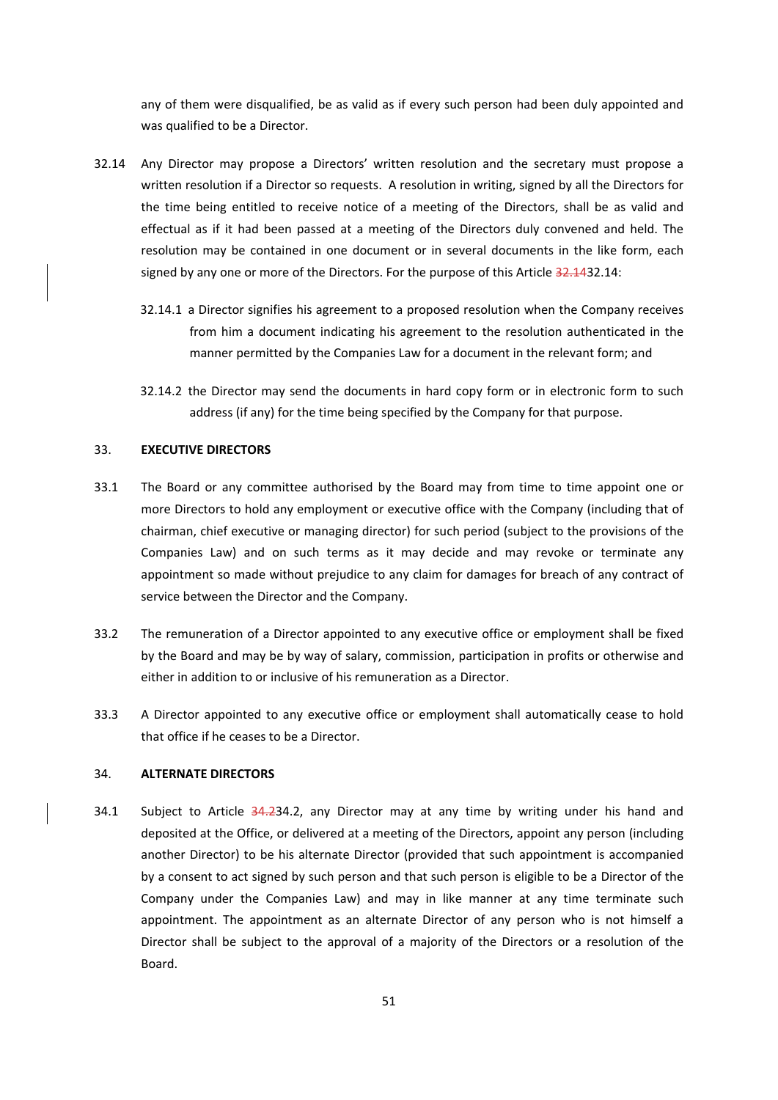any of them were disqualified, be as valid as if every such person had been duly appointed and was qualified to be a Director.

- 32.14 Any Director may propose a Directors' written resolution and the secretary must propose a written resolution if a Director so requests. A resolution in writing, signed by all the Directors for the time being entitled to receive notice of a meeting of the Directors, shall be as valid and effectual as if it had been passed at a meeting of the Directors duly convened and held. The resolution may be contained in one document or in several documents in the like form, each signed by any one or more of the Directors. For the purpose of this Article 32.1432.14:
	- 32.14.1 a Director signifies his agreement to a proposed resolution when the Company receives from him a document indicating his agreement to the resolution authenticated in the manner permitted by the Companies Law for a document in the relevant form; and
	- 32.14.2 the Director may send the documents in hard copy form or in electronic form to such address (if any) for the time being specified by the Company for that purpose.

# 33. **EXECUTIVE DIRECTORS**

- 33.1 The Board or any committee authorised by the Board may from time to time appoint one or more Directors to hold any employment or executive office with the Company (including that of chairman, chief executive or managing director) for such period (subject to the provisions of the Companies Law) and on such terms as it may decide and may revoke or terminate any appointment so made without prejudice to any claim for damages for breach of any contract of service between the Director and the Company.
- 33.2 The remuneration of a Director appointed to any executive office or employment shall be fixed by the Board and may be by way of salary, commission, participation in profits or otherwise and either in addition to or inclusive of his remuneration as a Director.
- 33.3 A Director appointed to any executive office or employment shall automatically cease to hold that office if he ceases to be a Director.

# 34. **ALTERNATE DIRECTORS**

34.1 Subject to Article 34.234.2, any Director may at any time by writing under his hand and deposited at the Office, or delivered at a meeting of the Directors, appoint any person (including another Director) to be his alternate Director (provided that such appointment is accompanied by a consent to act signed by such person and that such person is eligible to be a Director of the Company under the Companies Law) and may in like manner at any time terminate such appointment. The appointment as an alternate Director of any person who is not himself a Director shall be subject to the approval of a majority of the Directors or a resolution of the Board.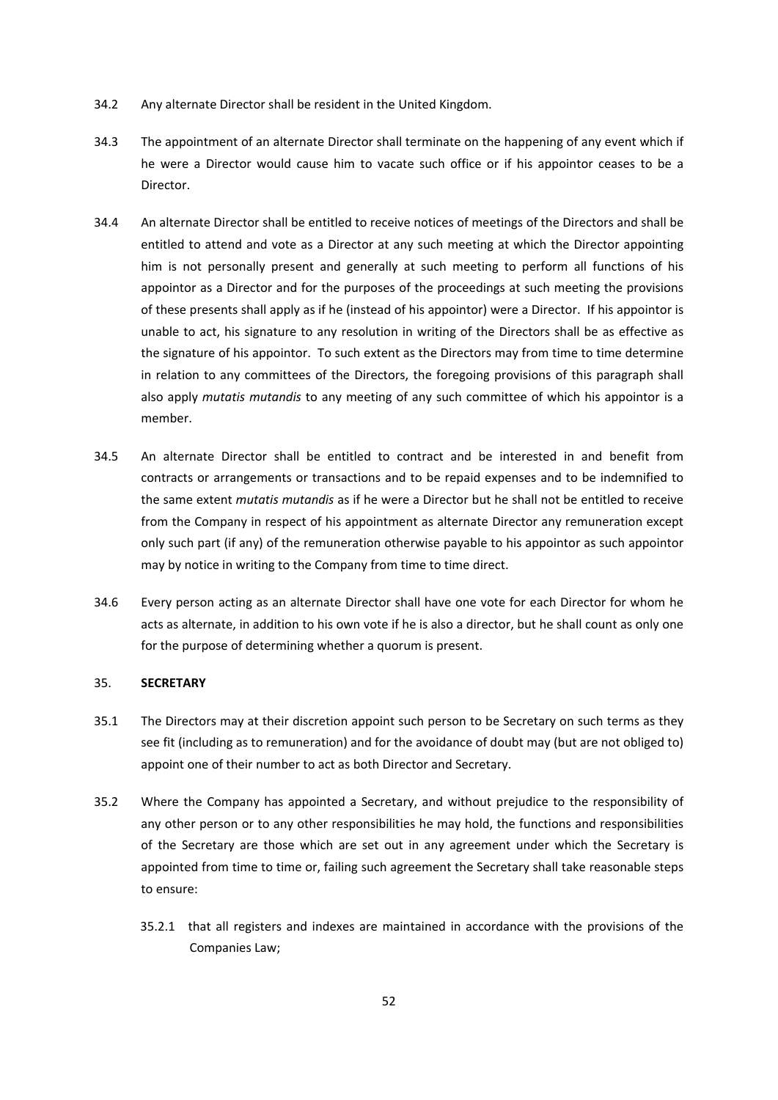- 34.2 Any alternate Director shall be resident in the United Kingdom.
- 34.3 The appointment of an alternate Director shall terminate on the happening of any event which if he were a Director would cause him to vacate such office or if his appointor ceases to be a Director.
- 34.4 An alternate Director shall be entitled to receive notices of meetings of the Directors and shall be entitled to attend and vote as a Director at any such meeting at which the Director appointing him is not personally present and generally at such meeting to perform all functions of his appointor as a Director and for the purposes of the proceedings at such meeting the provisions of these presents shall apply as if he (instead of his appointor) were a Director. If his appointor is unable to act, his signature to any resolution in writing of the Directors shall be as effective as the signature of his appointor. To such extent as the Directors may from time to time determine in relation to any committees of the Directors, the foregoing provisions of this paragraph shall also apply *mutatis mutandis* to any meeting of any such committee of which his appointor is a member.
- 34.5 An alternate Director shall be entitled to contract and be interested in and benefit from contracts or arrangements or transactions and to be repaid expenses and to be indemnified to the same extent *mutatis mutandis* as if he were a Director but he shall not be entitled to receive from the Company in respect of his appointment as alternate Director any remuneration except only such part (if any) of the remuneration otherwise payable to his appointor as such appointor may by notice in writing to the Company from time to time direct.
- 34.6 Every person acting as an alternate Director shall have one vote for each Director for whom he acts as alternate, in addition to his own vote if he is also a director, but he shall count as only one for the purpose of determining whether a quorum is present.

# 35. **SECRETARY**

- 35.1 The Directors may at their discretion appoint such person to be Secretary on such terms as they see fit (including as to remuneration) and for the avoidance of doubt may (but are not obliged to) appoint one of their number to act as both Director and Secretary.
- 35.2 Where the Company has appointed a Secretary, and without prejudice to the responsibility of any other person or to any other responsibilities he may hold, the functions and responsibilities of the Secretary are those which are set out in any agreement under which the Secretary is appointed from time to time or, failing such agreement the Secretary shall take reasonable steps to ensure:
	- 35.2.1 that all registers and indexes are maintained in accordance with the provisions of the Companies Law;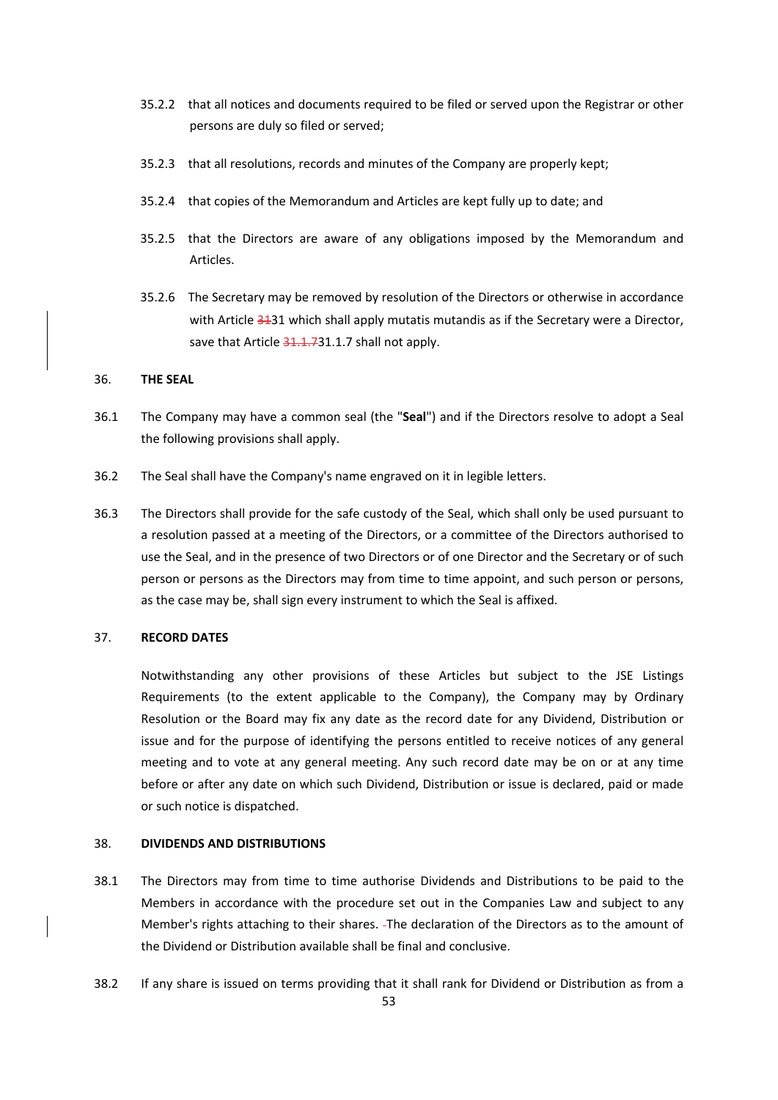- 35.2.2 that all notices and documents required to be filed or served upon the Registrar or other persons are duly so filed or served;
- 35.2.3 that all resolutions, records and minutes of the Company are properly kept;
- 35.2.4 that copies of the Memorandum and Articles are kept fully up to date; and
- 35.2.5 that the Directors are aware of any obligations imposed by the Memorandum and Articles.
- 35.2.6 The Secretary may be removed by resolution of the Directors or otherwise in accordance with Article 3131 which shall apply mutatis mutandis as if the Secretary were a Director, save that Article  $31.1.731.1.7$  shall not apply.

# 36. **THE SEAL**

- 36.1 The Company may have a common seal (the "**Seal**") and if the Directors resolve to adopt a Seal the following provisions shall apply.
- 36.2 The Seal shall have the Company's name engraved on it in legible letters.
- 36.3 The Directors shall provide for the safe custody of the Seal, which shall only be used pursuant to a resolution passed at a meeting of the Directors, or a committee of the Directors authorised to use the Seal, and in the presence of two Directors or of one Director and the Secretary or of such person or persons as the Directors may from time to time appoint, and such person or persons, as the case may be, shall sign every instrument to which the Seal is affixed.

# 37. **RECORD DATES**

Notwithstanding any other provisions of these Articles but subject to the JSE Listings Requirements (to the extent applicable to the Company), the Company may by Ordinary Resolution or the Board may fix any date as the record date for any Dividend, Distribution or issue and for the purpose of identifying the persons entitled to receive notices of any general meeting and to vote at any general meeting. Any such record date may be on or at any time before or after any date on which such Dividend, Distribution or issue is declared, paid or made or such notice is dispatched.

## 38. **DIVIDENDS AND DISTRIBUTIONS**

- 38.1 The Directors may from time to time authorise Dividends and Distributions to be paid to the Members in accordance with the procedure set out in the Companies Law and subject to any Member's rights attaching to their shares. The declaration of the Directors as to the amount of the Dividend or Distribution available shall be final and conclusive.
- 38.2 If any share is issued on terms providing that it shall rank for Dividend or Distribution as from a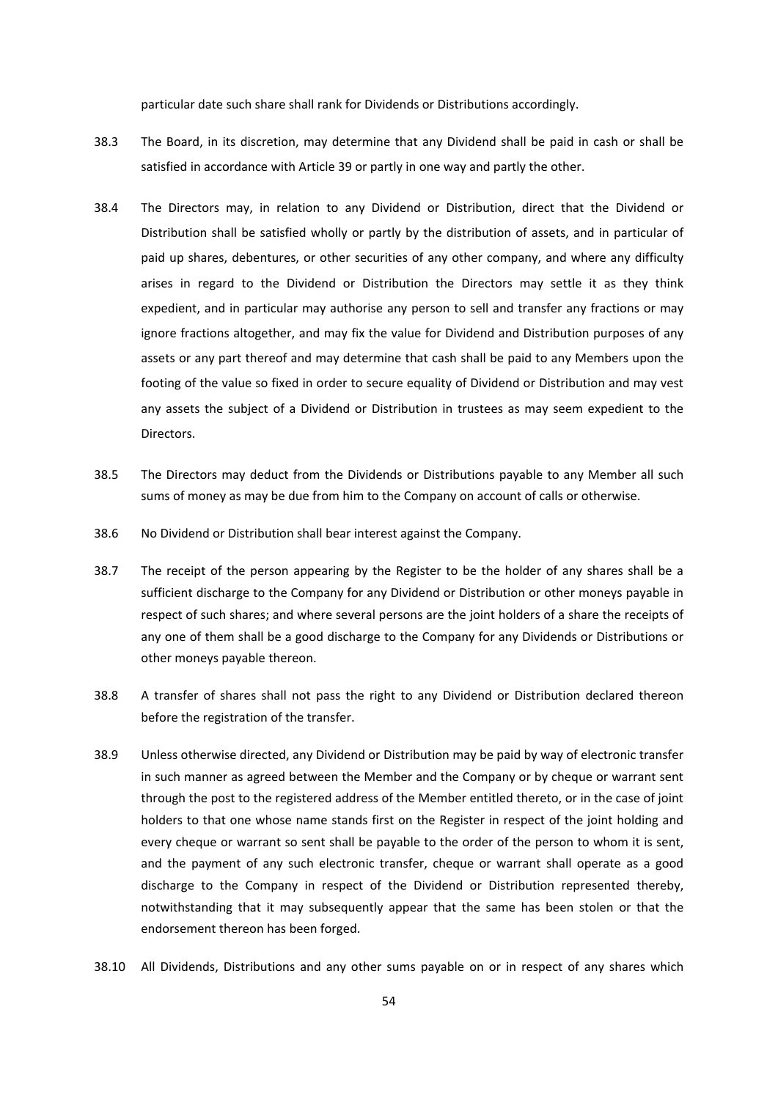particular date such share shall rank for Dividends or Distributions accordingly.

- 38.3 The Board, in its discretion, may determine that any Dividend shall be paid in cash or shall be satisfied in accordance with Article 39 or partly in one way and partly the other.
- 38.4 The Directors may, in relation to any Dividend or Distribution, direct that the Dividend or Distribution shall be satisfied wholly or partly by the distribution of assets, and in particular of paid up shares, debentures, or other securities of any other company, and where any difficulty arises in regard to the Dividend or Distribution the Directors may settle it as they think expedient, and in particular may authorise any person to sell and transfer any fractions or may ignore fractions altogether, and may fix the value for Dividend and Distribution purposes of any assets or any part thereof and may determine that cash shall be paid to any Members upon the footing of the value so fixed in order to secure equality of Dividend or Distribution and may vest any assets the subject of a Dividend or Distribution in trustees as may seem expedient to the Directors.
- 38.5 The Directors may deduct from the Dividends or Distributions payable to any Member all such sums of money as may be due from him to the Company on account of calls or otherwise.
- 38.6 No Dividend or Distribution shall bear interest against the Company.
- 38.7 The receipt of the person appearing by the Register to be the holder of any shares shall be a sufficient discharge to the Company for any Dividend or Distribution or other moneys payable in respect of such shares; and where several persons are the joint holders of a share the receipts of any one of them shall be a good discharge to the Company for any Dividends or Distributions or other moneys payable thereon.
- 38.8 A transfer of shares shall not pass the right to any Dividend or Distribution declared thereon before the registration of the transfer.
- 38.9 Unless otherwise directed, any Dividend or Distribution may be paid by way of electronic transfer in such manner as agreed between the Member and the Company or by cheque or warrant sent through the post to the registered address of the Member entitled thereto, or in the case of joint holders to that one whose name stands first on the Register in respect of the joint holding and every cheque or warrant so sent shall be payable to the order of the person to whom it is sent, and the payment of any such electronic transfer, cheque or warrant shall operate as a good discharge to the Company in respect of the Dividend or Distribution represented thereby, notwithstanding that it may subsequently appear that the same has been stolen or that the endorsement thereon has been forged.
- 38.10 All Dividends, Distributions and any other sums payable on or in respect of any shares which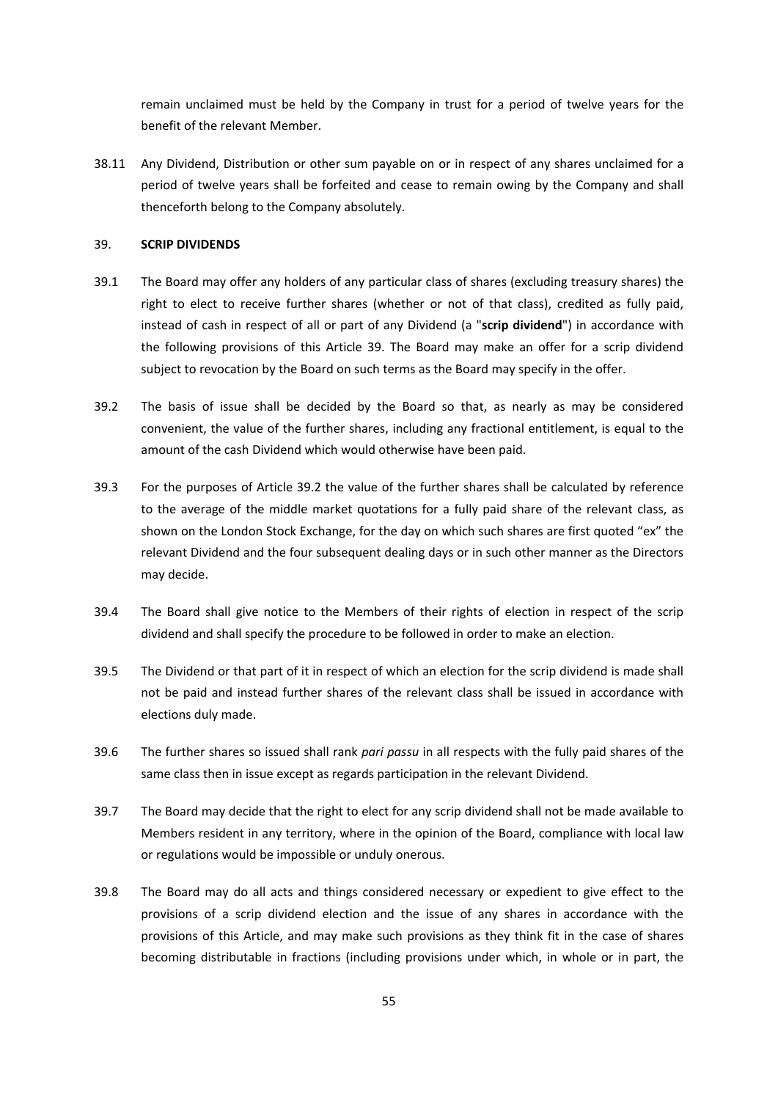remain unclaimed must be held by the Company in trust for a period of twelve years for the benefit of the relevant Member.

38.11 Any Dividend, Distribution or other sum payable on or in respect of any shares unclaimed for a period of twelve years shall be forfeited and cease to remain owing by the Company and shall thenceforth belong to the Company absolutely.

#### 39. **SCRIP DIVIDENDS**

- 39.1 The Board may offer any holders of any particular class of shares (excluding treasury shares) the right to elect to receive further shares (whether or not of that class), credited as fully paid, instead of cash in respect of all or part of any Dividend (a "**scrip dividend**") in accordance with the following provisions of this Article 39. The Board may make an offer for a scrip dividend subject to revocation by the Board on such terms as the Board may specify in the offer.
- 39.2 The basis of issue shall be decided by the Board so that, as nearly as may be considered convenient, the value of the further shares, including any fractional entitlement, is equal to the amount of the cash Dividend which would otherwise have been paid.
- 39.3 For the purposes of Article 39.2 the value of the further shares shall be calculated by reference to the average of the middle market quotations for a fully paid share of the relevant class, as shown on the London Stock Exchange, for the day on which such shares are first quoted "ex" the relevant Dividend and the four subsequent dealing days or in such other manner as the Directors may decide.
- 39.4 The Board shall give notice to the Members of their rights of election in respect of the scrip dividend and shall specify the procedure to be followed in order to make an election.
- 39.5 The Dividend or that part of it in respect of which an election for the scrip dividend is made shall not be paid and instead further shares of the relevant class shall be issued in accordance with elections duly made.
- 39.6 The further shares so issued shall rank *pari passu* in all respects with the fully paid shares of the same class then in issue except as regards participation in the relevant Dividend.
- 39.7 The Board may decide that the right to elect for any scrip dividend shall not be made available to Members resident in any territory, where in the opinion of the Board, compliance with local law or regulations would be impossible or unduly onerous.
- 39.8 The Board may do all acts and things considered necessary or expedient to give effect to the provisions of a scrip dividend election and the issue of any shares in accordance with the provisions of this Article, and may make such provisions as they think fit in the case of shares becoming distributable in fractions (including provisions under which, in whole or in part, the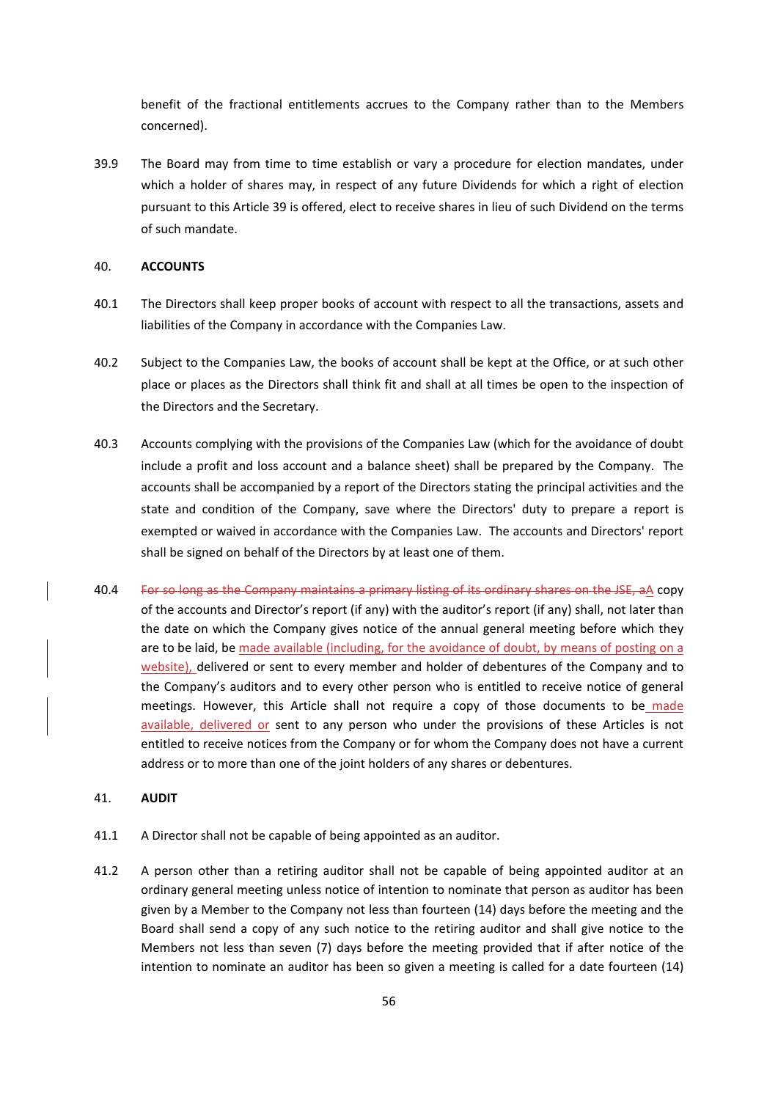benefit of the fractional entitlements accrues to the Company rather than to the Members concerned).

39.9 The Board may from time to time establish or vary a procedure for election mandates, under which a holder of shares may, in respect of any future Dividends for which a right of election pursuant to this Article 39 is offered, elect to receive shares in lieu of such Dividend on the terms of such mandate.

# 40. **ACCOUNTS**

- 40.1 The Directors shall keep proper books of account with respect to all the transactions, assets and liabilities of the Company in accordance with the Companies Law.
- 40.2 Subject to the Companies Law, the books of account shall be kept at the Office, or at such other place or places as the Directors shall think fit and shall at all times be open to the inspection of the Directors and the Secretary.
- 40.3 Accounts complying with the provisions of the Companies Law (which for the avoidance of doubt include a profit and loss account and a balance sheet) shall be prepared by the Company. The accounts shall be accompanied by a report of the Directors stating the principal activities and the state and condition of the Company, save where the Directors' duty to prepare a report is exempted or waived in accordance with the Companies Law. The accounts and Directors' report shall be signed on behalf of the Directors by at least one of them.
- 40.4 For so long as the Company maintains a primary listing of its ordinary shares on the JSE, aA copy of the accounts and Director's report (if any) with the auditor's report (if any) shall, not later than the date on which the Company gives notice of the annual general meeting before which they are to be laid, be made available (including, for the avoidance of doubt, by means of posting on a website), delivered or sent to every member and holder of debentures of the Company and to the Company's auditors and to every other person who is entitled to receive notice of general meetings. However, this Article shall not require a copy of those documents to be made available, delivered or sent to any person who under the provisions of these Articles is not entitled to receive notices from the Company or for whom the Company does not have a current address or to more than one of the joint holders of any shares or debentures.

## 41. **AUDIT**

- 41.1 A Director shall not be capable of being appointed as an auditor.
- 41.2 A person other than a retiring auditor shall not be capable of being appointed auditor at an ordinary general meeting unless notice of intention to nominate that person as auditor has been given by a Member to the Company not less than fourteen (14) days before the meeting and the Board shall send a copy of any such notice to the retiring auditor and shall give notice to the Members not less than seven (7) days before the meeting provided that if after notice of the intention to nominate an auditor has been so given a meeting is called for a date fourteen (14)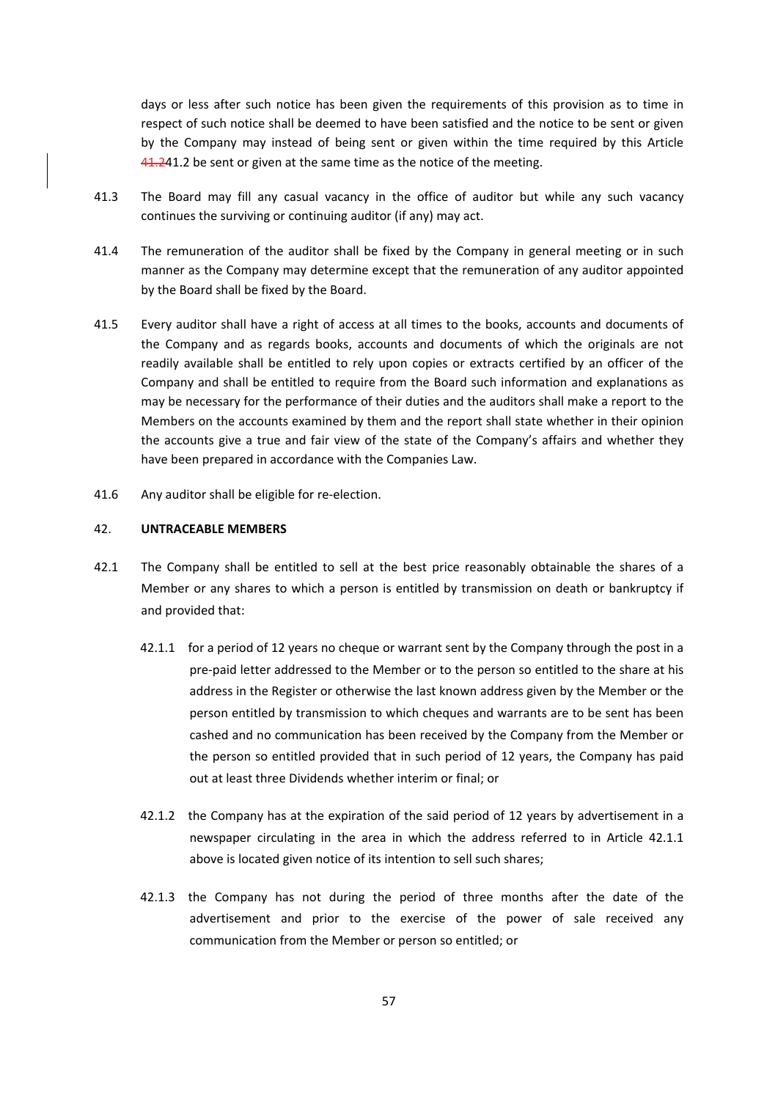days or less after such notice has been given the requirements of this provision as to time in respect of such notice shall be deemed to have been satisfied and the notice to be sent or given by the Company may instead of being sent or given within the time required by this Article 41.241.2 be sent or given at the same time as the notice of the meeting.

- 41.3 The Board may fill any casual vacancy in the office of auditor but while any such vacancy continues the surviving or continuing auditor (if any) may act.
- 41.4 The remuneration of the auditor shall be fixed by the Company in general meeting or in such manner as the Company may determine except that the remuneration of any auditor appointed by the Board shall be fixed by the Board.
- 41.5 Every auditor shall have a right of access at all times to the books, accounts and documents of the Company and as regards books, accounts and documents of which the originals are not readily available shall be entitled to rely upon copies or extracts certified by an officer of the Company and shall be entitled to require from the Board such information and explanations as may be necessary for the performance of their duties and the auditors shall make a report to the Members on the accounts examined by them and the report shall state whether in their opinion the accounts give a true and fair view of the state of the Company's affairs and whether they have been prepared in accordance with the Companies Law.
- 41.6 Any auditor shall be eligible for re-election.

## 42. **UNTRACEABLE MEMBERS**

- 42.1 The Company shall be entitled to sell at the best price reasonably obtainable the shares of a Member or any shares to which a person is entitled by transmission on death or bankruptcy if and provided that:
	- 42.1.1 for a period of 12 years no cheque or warrant sent by the Company through the post in a pre‐paid letter addressed to the Member or to the person so entitled to the share at his address in the Register or otherwise the last known address given by the Member or the person entitled by transmission to which cheques and warrants are to be sent has been cashed and no communication has been received by the Company from the Member or the person so entitled provided that in such period of 12 years, the Company has paid out at least three Dividends whether interim or final; or
	- 42.1.2 the Company has at the expiration of the said period of 12 years by advertisement in a newspaper circulating in the area in which the address referred to in Article 42.1.1 above is located given notice of its intention to sell such shares;
	- 42.1.3 the Company has not during the period of three months after the date of the advertisement and prior to the exercise of the power of sale received any communication from the Member or person so entitled; or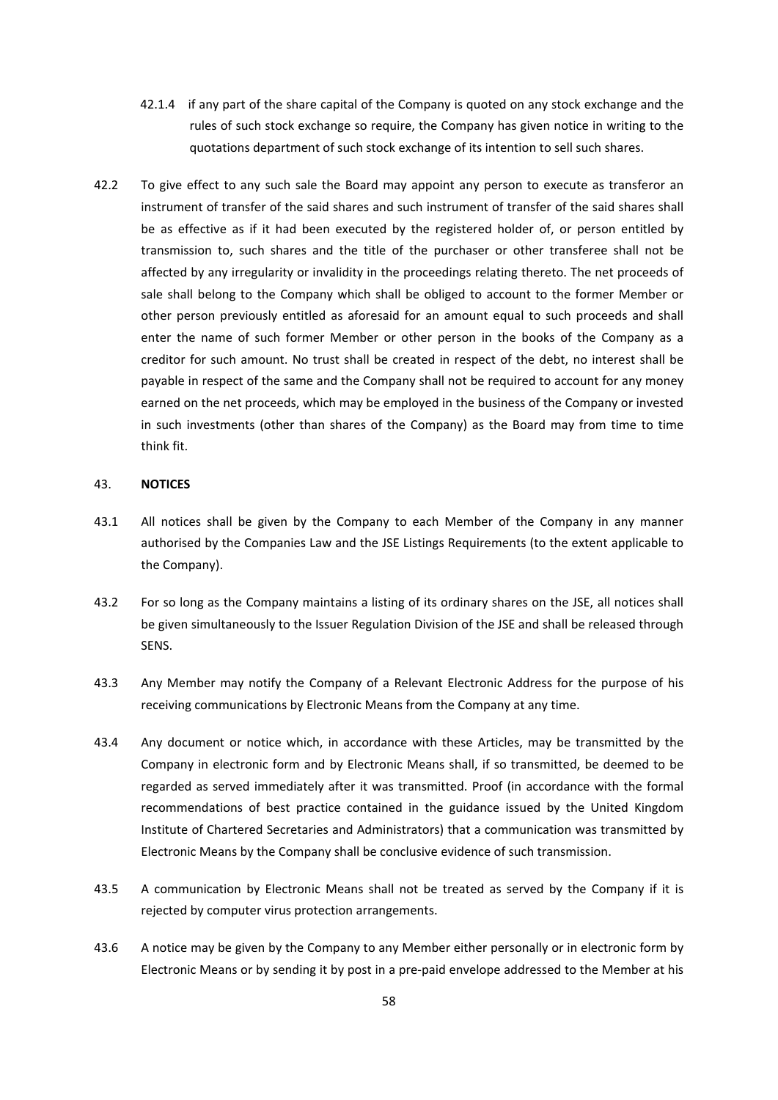- 42.1.4 if any part of the share capital of the Company is quoted on any stock exchange and the rules of such stock exchange so require, the Company has given notice in writing to the quotations department of such stock exchange of its intention to sell such shares.
- 42.2 To give effect to any such sale the Board may appoint any person to execute as transferor an instrument of transfer of the said shares and such instrument of transfer of the said shares shall be as effective as if it had been executed by the registered holder of, or person entitled by transmission to, such shares and the title of the purchaser or other transferee shall not be affected by any irregularity or invalidity in the proceedings relating thereto. The net proceeds of sale shall belong to the Company which shall be obliged to account to the former Member or other person previously entitled as aforesaid for an amount equal to such proceeds and shall enter the name of such former Member or other person in the books of the Company as a creditor for such amount. No trust shall be created in respect of the debt, no interest shall be payable in respect of the same and the Company shall not be required to account for any money earned on the net proceeds, which may be employed in the business of the Company or invested in such investments (other than shares of the Company) as the Board may from time to time think fit.

## 43. **NOTICES**

- 43.1 All notices shall be given by the Company to each Member of the Company in any manner authorised by the Companies Law and the JSE Listings Requirements (to the extent applicable to the Company).
- 43.2 For so long as the Company maintains a listing of its ordinary shares on the JSE, all notices shall be given simultaneously to the Issuer Regulation Division of the JSE and shall be released through SENS.
- 43.3 Any Member may notify the Company of a Relevant Electronic Address for the purpose of his receiving communications by Electronic Means from the Company at any time.
- 43.4 Any document or notice which, in accordance with these Articles, may be transmitted by the Company in electronic form and by Electronic Means shall, if so transmitted, be deemed to be regarded as served immediately after it was transmitted. Proof (in accordance with the formal recommendations of best practice contained in the guidance issued by the United Kingdom Institute of Chartered Secretaries and Administrators) that a communication was transmitted by Electronic Means by the Company shall be conclusive evidence of such transmission.
- 43.5 A communication by Electronic Means shall not be treated as served by the Company if it is rejected by computer virus protection arrangements.
- 43.6 A notice may be given by the Company to any Member either personally or in electronic form by Electronic Means or by sending it by post in a pre‐paid envelope addressed to the Member at his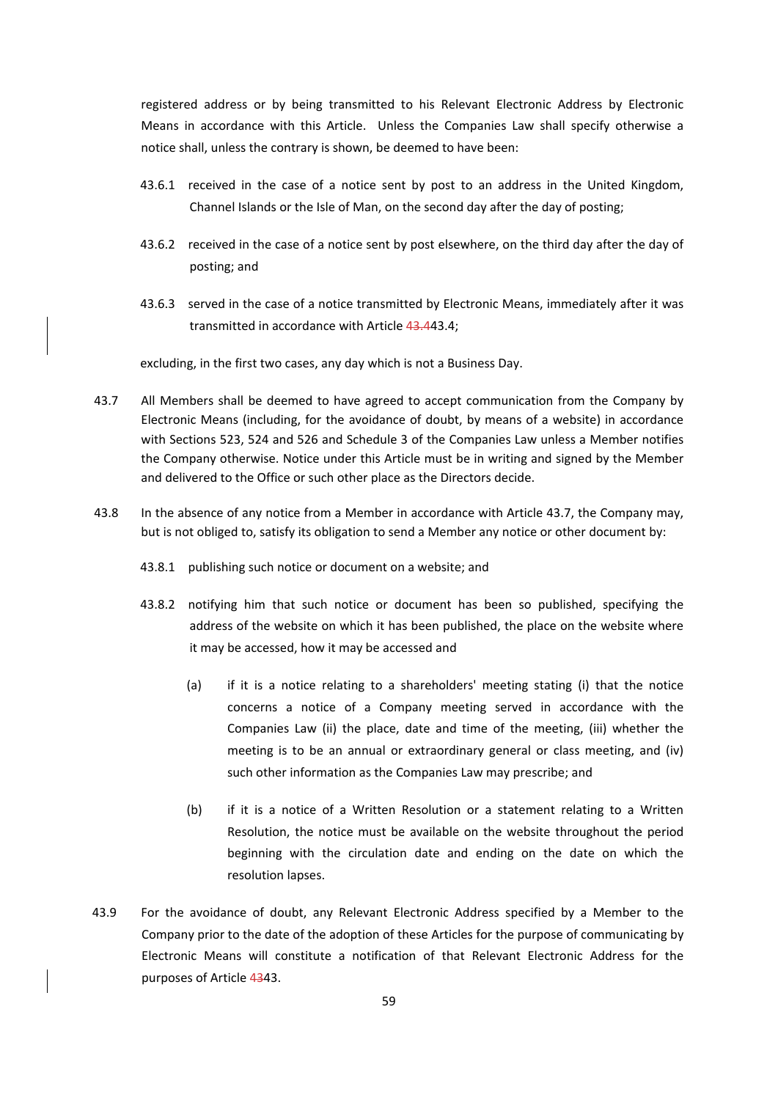registered address or by being transmitted to his Relevant Electronic Address by Electronic Means in accordance with this Article. Unless the Companies Law shall specify otherwise a notice shall, unless the contrary is shown, be deemed to have been:

- 43.6.1 received in the case of a notice sent by post to an address in the United Kingdom, Channel Islands or the Isle of Man, on the second day after the day of posting;
- 43.6.2 received in the case of a notice sent by post elsewhere, on the third day after the day of posting; and
- 43.6.3 served in the case of a notice transmitted by Electronic Means, immediately after it was transmitted in accordance with Article 43.443.4;

excluding, in the first two cases, any day which is not a Business Day.

- 43.7 All Members shall be deemed to have agreed to accept communication from the Company by Electronic Means (including, for the avoidance of doubt, by means of a website) in accordance with Sections 523, 524 and 526 and Schedule 3 of the Companies Law unless a Member notifies the Company otherwise. Notice under this Article must be in writing and signed by the Member and delivered to the Office or such other place as the Directors decide.
- 43.8 In the absence of any notice from a Member in accordance with Article 43.7, the Company may, but is not obliged to, satisfy its obligation to send a Member any notice or other document by:
	- 43.8.1 publishing such notice or document on a website; and
	- 43.8.2 notifying him that such notice or document has been so published, specifying the address of the website on which it has been published, the place on the website where it may be accessed, how it may be accessed and
		- (a) if it is a notice relating to a shareholders' meeting stating (i) that the notice concerns a notice of a Company meeting served in accordance with the Companies Law (ii) the place, date and time of the meeting, (iii) whether the meeting is to be an annual or extraordinary general or class meeting, and (iv) such other information as the Companies Law may prescribe; and
		- (b) if it is a notice of a Written Resolution or a statement relating to a Written Resolution, the notice must be available on the website throughout the period beginning with the circulation date and ending on the date on which the resolution lapses.
- 43.9 For the avoidance of doubt, any Relevant Electronic Address specified by a Member to the Company prior to the date of the adoption of these Articles for the purpose of communicating by Electronic Means will constitute a notification of that Relevant Electronic Address for the purposes of Article 4343.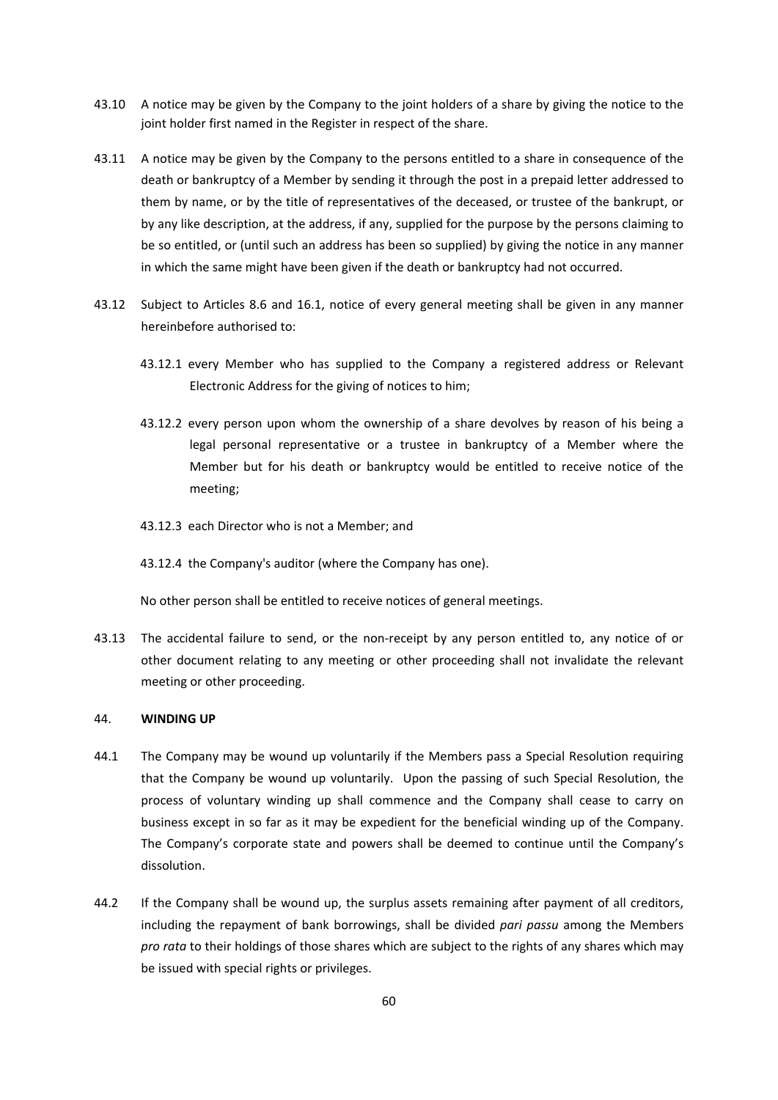- 43.10 A notice may be given by the Company to the joint holders of a share by giving the notice to the joint holder first named in the Register in respect of the share.
- 43.11 A notice may be given by the Company to the persons entitled to a share in consequence of the death or bankruptcy of a Member by sending it through the post in a prepaid letter addressed to them by name, or by the title of representatives of the deceased, or trustee of the bankrupt, or by any like description, at the address, if any, supplied for the purpose by the persons claiming to be so entitled, or (until such an address has been so supplied) by giving the notice in any manner in which the same might have been given if the death or bankruptcy had not occurred.
- 43.12 Subject to Articles 8.6 and 16.1, notice of every general meeting shall be given in any manner hereinbefore authorised to:
	- 43.12.1 every Member who has supplied to the Company a registered address or Relevant Electronic Address for the giving of notices to him;
	- 43.12.2 every person upon whom the ownership of a share devolves by reason of his being a legal personal representative or a trustee in bankruptcy of a Member where the Member but for his death or bankruptcy would be entitled to receive notice of the meeting;
	- 43.12.3 each Director who is not a Member; and
	- 43.12.4 the Company's auditor (where the Company has one).

No other person shall be entitled to receive notices of general meetings.

43.13 The accidental failure to send, or the non-receipt by any person entitled to, any notice of or other document relating to any meeting or other proceeding shall not invalidate the relevant meeting or other proceeding.

## 44. **WINDING UP**

- 44.1 The Company may be wound up voluntarily if the Members pass a Special Resolution requiring that the Company be wound up voluntarily. Upon the passing of such Special Resolution, the process of voluntary winding up shall commence and the Company shall cease to carry on business except in so far as it may be expedient for the beneficial winding up of the Company. The Company's corporate state and powers shall be deemed to continue until the Company's dissolution.
- 44.2 If the Company shall be wound up, the surplus assets remaining after payment of all creditors, including the repayment of bank borrowings, shall be divided *pari passu* among the Members *pro rata* to their holdings of those shares which are subject to the rights of any shares which may be issued with special rights or privileges.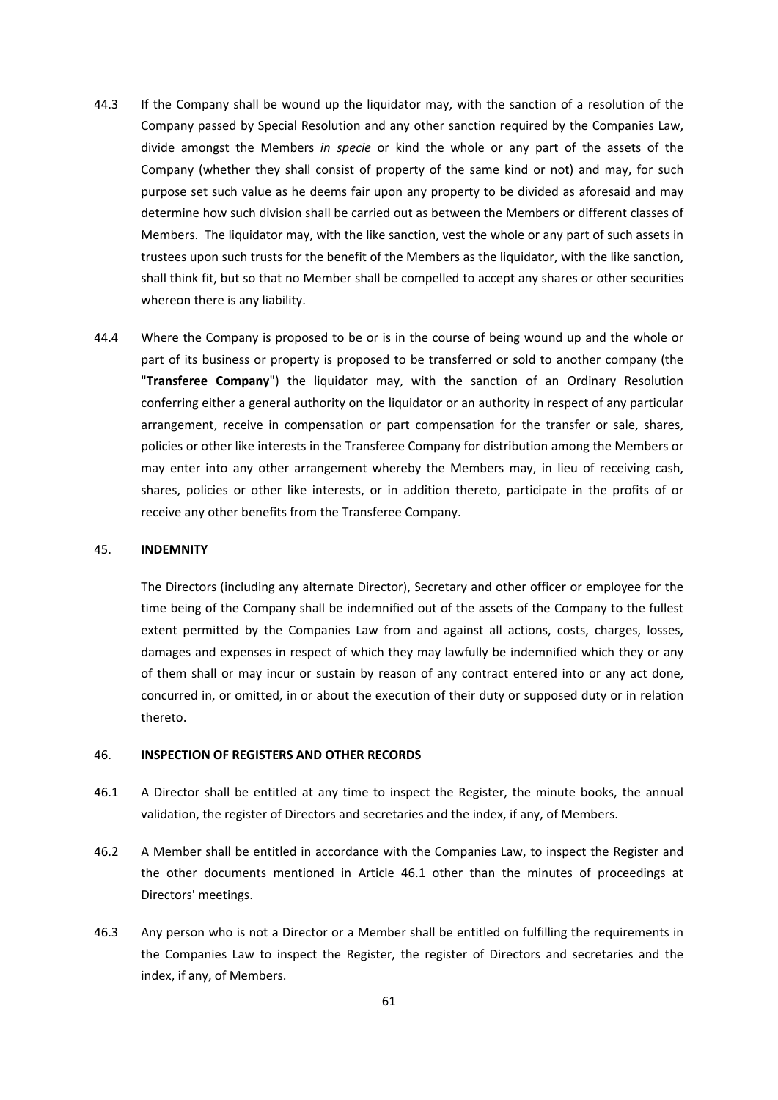- 44.3 If the Company shall be wound up the liquidator may, with the sanction of a resolution of the Company passed by Special Resolution and any other sanction required by the Companies Law, divide amongst the Members *in specie* or kind the whole or any part of the assets of the Company (whether they shall consist of property of the same kind or not) and may, for such purpose set such value as he deems fair upon any property to be divided as aforesaid and may determine how such division shall be carried out as between the Members or different classes of Members. The liquidator may, with the like sanction, vest the whole or any part of such assets in trustees upon such trusts for the benefit of the Members as the liquidator, with the like sanction, shall think fit, but so that no Member shall be compelled to accept any shares or other securities whereon there is any liability.
- 44.4 Where the Company is proposed to be or is in the course of being wound up and the whole or part of its business or property is proposed to be transferred or sold to another company (the "**Transferee Company**") the liquidator may, with the sanction of an Ordinary Resolution conferring either a general authority on the liquidator or an authority in respect of any particular arrangement, receive in compensation or part compensation for the transfer or sale, shares, policies or other like interests in the Transferee Company for distribution among the Members or may enter into any other arrangement whereby the Members may, in lieu of receiving cash, shares, policies or other like interests, or in addition thereto, participate in the profits of or receive any other benefits from the Transferee Company.

#### 45. **INDEMNITY**

The Directors (including any alternate Director), Secretary and other officer or employee for the time being of the Company shall be indemnified out of the assets of the Company to the fullest extent permitted by the Companies Law from and against all actions, costs, charges, losses, damages and expenses in respect of which they may lawfully be indemnified which they or any of them shall or may incur or sustain by reason of any contract entered into or any act done, concurred in, or omitted, in or about the execution of their duty or supposed duty or in relation thereto.

#### 46. **INSPECTION OF REGISTERS AND OTHER RECORDS**

- 46.1 A Director shall be entitled at any time to inspect the Register, the minute books, the annual validation, the register of Directors and secretaries and the index, if any, of Members.
- 46.2 A Member shall be entitled in accordance with the Companies Law, to inspect the Register and the other documents mentioned in Article 46.1 other than the minutes of proceedings at Directors' meetings.
- 46.3 Any person who is not a Director or a Member shall be entitled on fulfilling the requirements in the Companies Law to inspect the Register, the register of Directors and secretaries and the index, if any, of Members.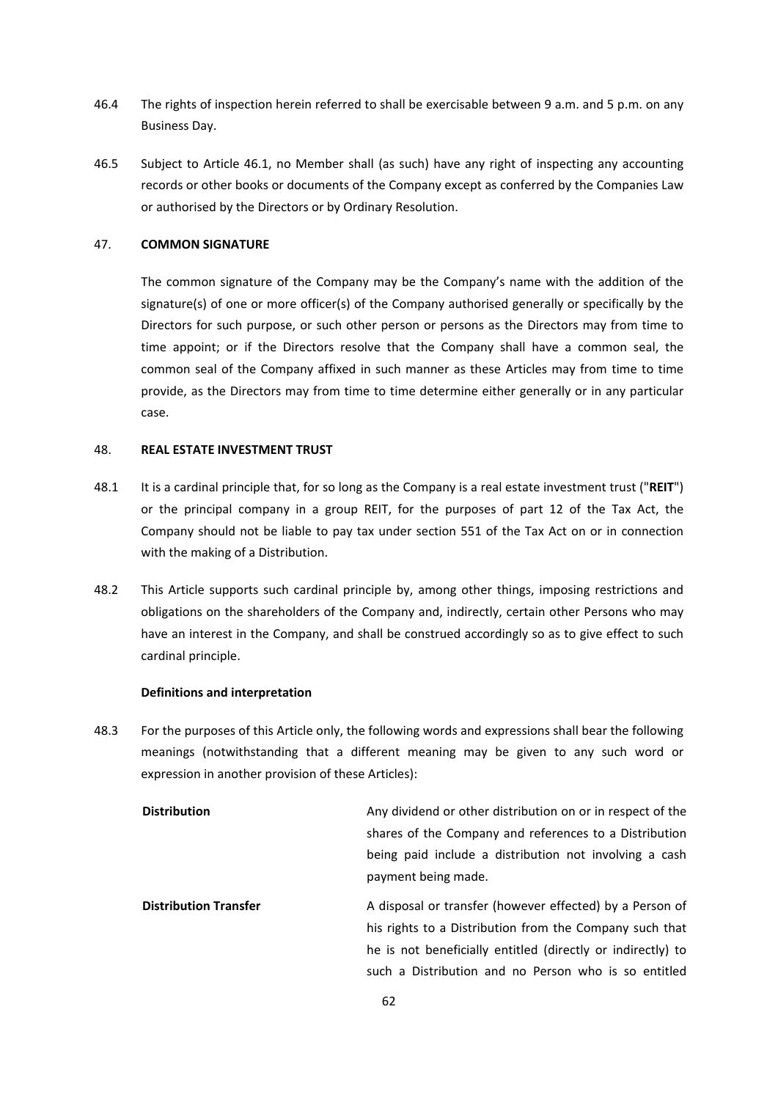- 46.4 The rights of inspection herein referred to shall be exercisable between 9 a.m. and 5 p.m. on any Business Day.
- 46.5 Subject to Article 46.1, no Member shall (as such) have any right of inspecting any accounting records or other books or documents of the Company except as conferred by the Companies Law or authorised by the Directors or by Ordinary Resolution.

## 47. **COMMON SIGNATURE**

The common signature of the Company may be the Company's name with the addition of the signature(s) of one or more officer(s) of the Company authorised generally or specifically by the Directors for such purpose, or such other person or persons as the Directors may from time to time appoint; or if the Directors resolve that the Company shall have a common seal, the common seal of the Company affixed in such manner as these Articles may from time to time provide, as the Directors may from time to time determine either generally or in any particular case.

#### 48. **REAL ESTATE INVESTMENT TRUST**

- 48.1 It is a cardinal principle that, for so long as the Company is a real estate investment trust ("**REIT**") or the principal company in a group REIT, for the purposes of part 12 of the Tax Act, the Company should not be liable to pay tax under section 551 of the Tax Act on or in connection with the making of a Distribution.
- 48.2 This Article supports such cardinal principle by, among other things, imposing restrictions and obligations on the shareholders of the Company and, indirectly, certain other Persons who may have an interest in the Company, and shall be construed accordingly so as to give effect to such cardinal principle.

#### **Definitions and interpretation**

48.3 For the purposes of this Article only, the following words and expressions shall bear the following meanings (notwithstanding that a different meaning may be given to any such word or expression in another provision of these Articles):

| <b>Distribution</b>          | Any dividend or other distribution on or in respect of the  |
|------------------------------|-------------------------------------------------------------|
|                              | shares of the Company and references to a Distribution      |
|                              | being paid include a distribution not involving a cash      |
|                              | payment being made.                                         |
| <b>Distribution Transfer</b> | A disposal or transfer (however effected) by a Person of    |
|                              | his rights to a Distribution from the Company such that     |
|                              | he is not beneficially entitled (directly or indirectly) to |
|                              | such a Distribution and no Person who is so entitled        |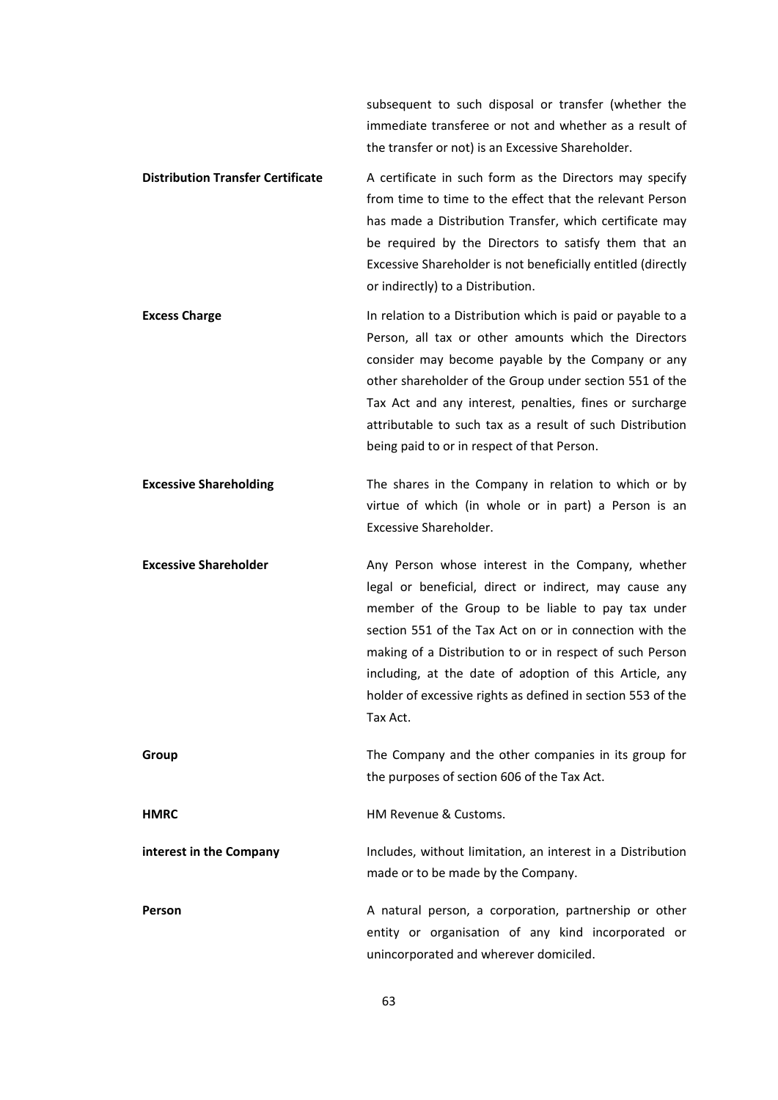subsequent to such disposal or transfer (whether the immediate transferee or not and whether as a result of the transfer or not) is an Excessive Shareholder.

# **Distribution Transfer Certificate**  A certificate in such form as the Directors may specify from time to time to the effect that the relevant Person has made a Distribution Transfer, which certificate may be required by the Directors to satisfy them that an Excessive Shareholder is not beneficially entitled (directly or indirectly) to a Distribution.

**Excess Charge 12 Charge 12 Charge 12 Charge 12 Charge 12 Charge 12 Charge 12 Charge 12 Charge 12 Charge 12 Charge 12 Charge 12 Charge 12 Charge 12 Charge 12 Charge 12 Charge 12 Charge 12 Charge 12 Charge 12 Charge 12** Person, all tax or other amounts which the Directors consider may become payable by the Company or any other shareholder of the Group under section 551 of the Tax Act and any interest, penalties, fines or surcharge attributable to such tax as a result of such Distribution being paid to or in respect of that Person.

**Excessive Shareholding** The shares in the Company in relation to which or by virtue of which (in whole or in part) a Person is an Excessive Shareholder.

**Excessive Shareholder 18 Any Person whose interest in the Company, whether** legal or beneficial, direct or indirect, may cause any member of the Group to be liable to pay tax under section 551 of the Tax Act on or in connection with the making of a Distribution to or in respect of such Person including, at the date of adoption of this Article, any holder of excessive rights as defined in section 553 of the Tax Act.

**Group The Company and the other companies in its group for** the purposes of section 606 of the Tax Act.

**HMRC** HM Revenue & Customs.

**interest in the Company example 10 Includes, without limitation, an interest in a Distribution** made or to be made by the Company.

**Person A** natural person, a corporation, partnership or other entity or organisation of any kind incorporated or unincorporated and wherever domiciled.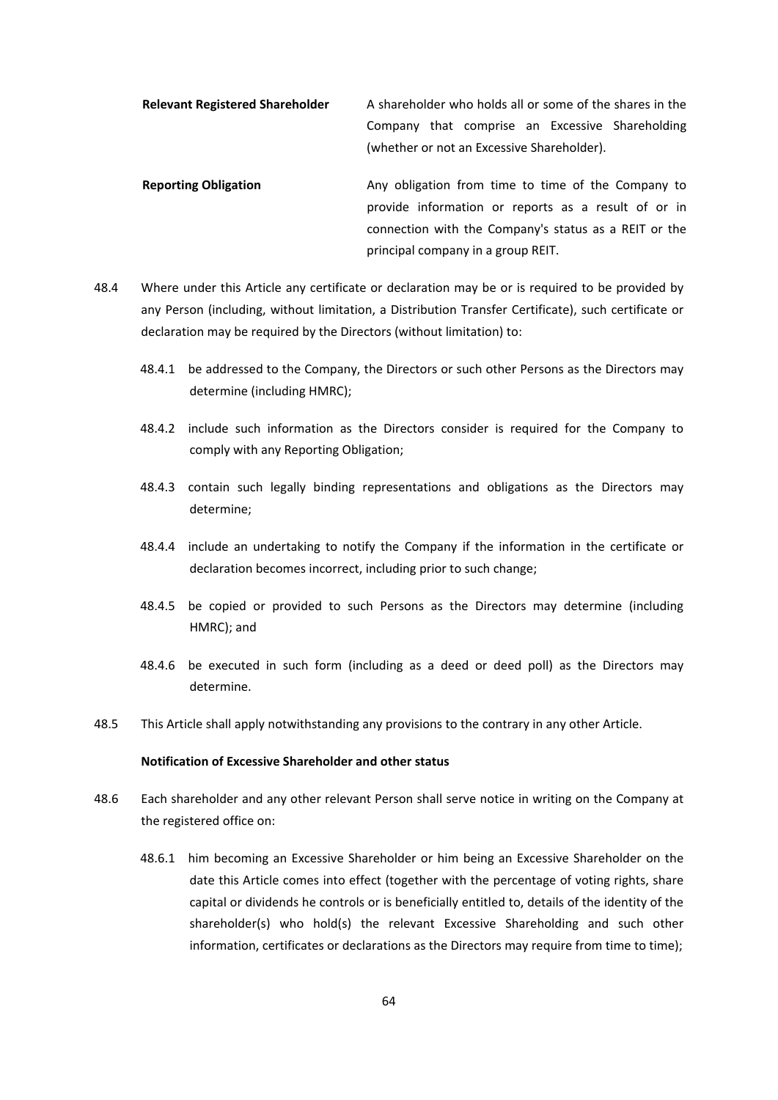**Relevant Registered Shareholder**  A shareholder who holds all or some of the shares in the Company that comprise an Excessive Shareholding (whether or not an Excessive Shareholder).

- **Reporting Obligation 19.13 Any obligation** from time to time of the Company to provide information or reports as a result of or in connection with the Company's status as a REIT or the principal company in a group REIT.
- 48.4 Where under this Article any certificate or declaration may be or is required to be provided by any Person (including, without limitation, a Distribution Transfer Certificate), such certificate or declaration may be required by the Directors (without limitation) to:
	- 48.4.1 be addressed to the Company, the Directors or such other Persons as the Directors may determine (including HMRC);
	- 48.4.2 include such information as the Directors consider is required for the Company to comply with any Reporting Obligation;
	- 48.4.3 contain such legally binding representations and obligations as the Directors may determine;
	- 48.4.4 include an undertaking to notify the Company if the information in the certificate or declaration becomes incorrect, including prior to such change;
	- 48.4.5 be copied or provided to such Persons as the Directors may determine (including HMRC); and
	- 48.4.6 be executed in such form (including as a deed or deed poll) as the Directors may determine.
- 48.5 This Article shall apply notwithstanding any provisions to the contrary in any other Article.

# **Notification of Excessive Shareholder and other status**

- 48.6 Each shareholder and any other relevant Person shall serve notice in writing on the Company at the registered office on:
	- 48.6.1 him becoming an Excessive Shareholder or him being an Excessive Shareholder on the date this Article comes into effect (together with the percentage of voting rights, share capital or dividends he controls or is beneficially entitled to, details of the identity of the shareholder(s) who hold(s) the relevant Excessive Shareholding and such other information, certificates or declarations as the Directors may require from time to time);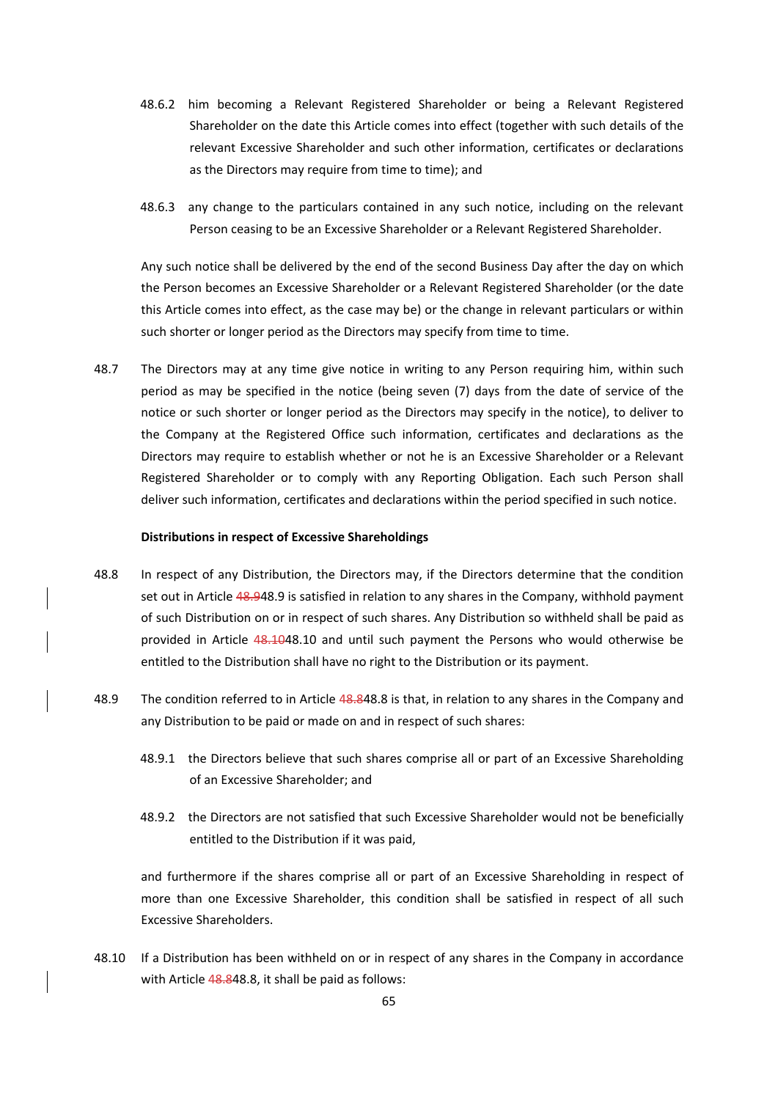- 48.6.2 him becoming a Relevant Registered Shareholder or being a Relevant Registered Shareholder on the date this Article comes into effect (together with such details of the relevant Excessive Shareholder and such other information, certificates or declarations as the Directors may require from time to time); and
- 48.6.3 any change to the particulars contained in any such notice, including on the relevant Person ceasing to be an Excessive Shareholder or a Relevant Registered Shareholder.

Any such notice shall be delivered by the end of the second Business Day after the day on which the Person becomes an Excessive Shareholder or a Relevant Registered Shareholder (or the date this Article comes into effect, as the case may be) or the change in relevant particulars or within such shorter or longer period as the Directors may specify from time to time.

48.7 The Directors may at any time give notice in writing to any Person requiring him, within such period as may be specified in the notice (being seven (7) days from the date of service of the notice or such shorter or longer period as the Directors may specify in the notice), to deliver to the Company at the Registered Office such information, certificates and declarations as the Directors may require to establish whether or not he is an Excessive Shareholder or a Relevant Registered Shareholder or to comply with any Reporting Obligation. Each such Person shall deliver such information, certificates and declarations within the period specified in such notice.

#### **Distributions in respect of Excessive Shareholdings**

- 48.8 In respect of any Distribution, the Directors may, if the Directors determine that the condition set out in Article 48.948.9 is satisfied in relation to any shares in the Company, withhold payment of such Distribution on or in respect of such shares. Any Distribution so withheld shall be paid as provided in Article 48.1048.10 and until such payment the Persons who would otherwise be entitled to the Distribution shall have no right to the Distribution or its payment.
- 48.9 The condition referred to in Article 48.848.8 is that, in relation to any shares in the Company and any Distribution to be paid or made on and in respect of such shares:
	- 48.9.1 the Directors believe that such shares comprise all or part of an Excessive Shareholding of an Excessive Shareholder; and
	- 48.9.2 the Directors are not satisfied that such Excessive Shareholder would not be beneficially entitled to the Distribution if it was paid,

and furthermore if the shares comprise all or part of an Excessive Shareholding in respect of more than one Excessive Shareholder, this condition shall be satisfied in respect of all such Excessive Shareholders.

48.10 If a Distribution has been withheld on or in respect of any shares in the Company in accordance with Article 48.848.8, it shall be paid as follows: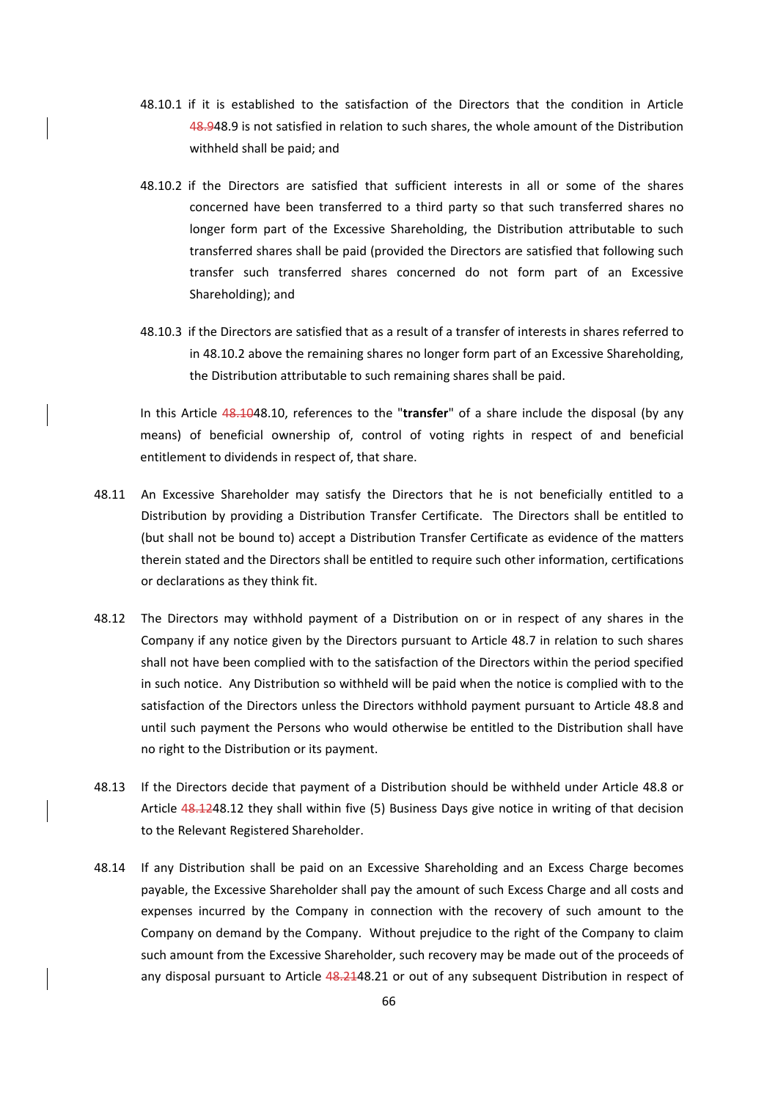- 48.10.1 if it is established to the satisfaction of the Directors that the condition in Article 48.948.9 is not satisfied in relation to such shares, the whole amount of the Distribution withheld shall be paid; and
- 48.10.2 if the Directors are satisfied that sufficient interests in all or some of the shares concerned have been transferred to a third party so that such transferred shares no longer form part of the Excessive Shareholding, the Distribution attributable to such transferred shares shall be paid (provided the Directors are satisfied that following such transfer such transferred shares concerned do not form part of an Excessive Shareholding); and
- 48.10.3 if the Directors are satisfied that as a result of a transfer of interests in shares referred to in 48.10.2 above the remaining shares no longer form part of an Excessive Shareholding, the Distribution attributable to such remaining shares shall be paid.

In this Article 48.1048.10, references to the "**transfer**" of a share include the disposal (by any means) of beneficial ownership of, control of voting rights in respect of and beneficial entitlement to dividends in respect of, that share.

- 48.11 An Excessive Shareholder may satisfy the Directors that he is not beneficially entitled to a Distribution by providing a Distribution Transfer Certificate. The Directors shall be entitled to (but shall not be bound to) accept a Distribution Transfer Certificate as evidence of the matters therein stated and the Directors shall be entitled to require such other information, certifications or declarations as they think fit.
- 48.12 The Directors may withhold payment of a Distribution on or in respect of any shares in the Company if any notice given by the Directors pursuant to Article 48.7 in relation to such shares shall not have been complied with to the satisfaction of the Directors within the period specified in such notice. Any Distribution so withheld will be paid when the notice is complied with to the satisfaction of the Directors unless the Directors withhold payment pursuant to Article 48.8 and until such payment the Persons who would otherwise be entitled to the Distribution shall have no right to the Distribution or its payment.
- 48.13 If the Directors decide that payment of a Distribution should be withheld under Article 48.8 or Article 48.1248.12 they shall within five (5) Business Days give notice in writing of that decision to the Relevant Registered Shareholder.
- 48.14 If any Distribution shall be paid on an Excessive Shareholding and an Excess Charge becomes payable, the Excessive Shareholder shall pay the amount of such Excess Charge and all costs and expenses incurred by the Company in connection with the recovery of such amount to the Company on demand by the Company. Without prejudice to the right of the Company to claim such amount from the Excessive Shareholder, such recovery may be made out of the proceeds of any disposal pursuant to Article 48.2148.21 or out of any subsequent Distribution in respect of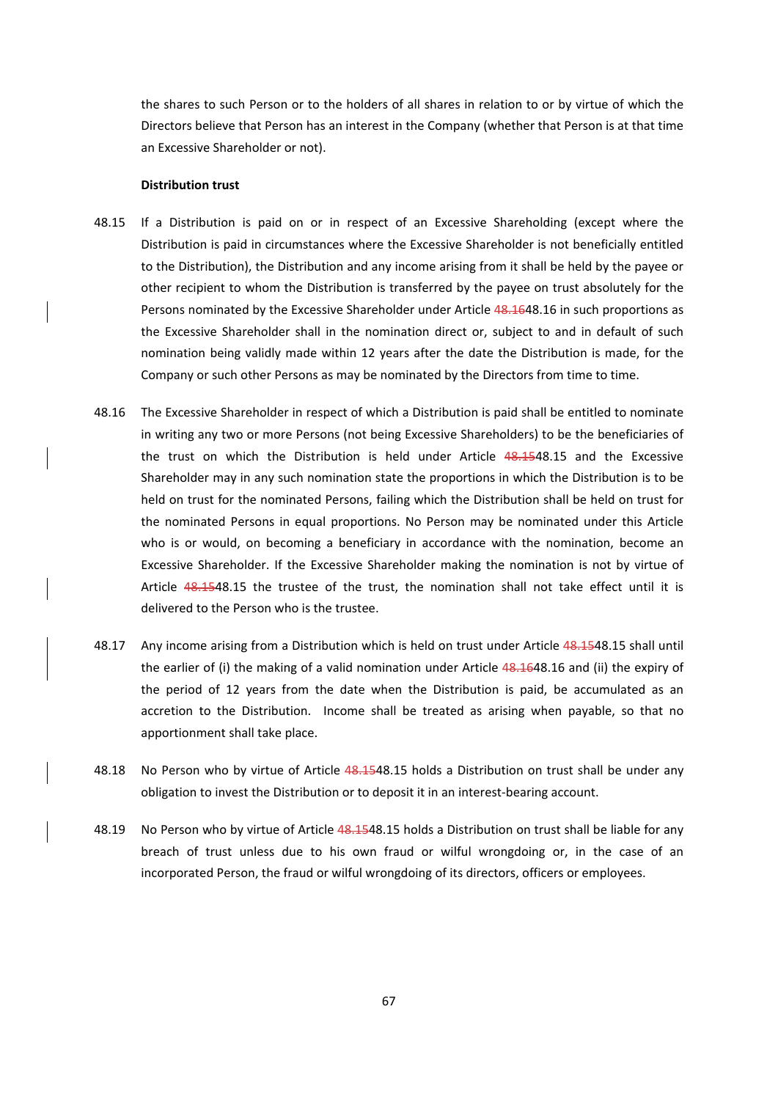the shares to such Person or to the holders of all shares in relation to or by virtue of which the Directors believe that Person has an interest in the Company (whether that Person is at that time an Excessive Shareholder or not).

#### **Distribution trust**

- 48.15 If a Distribution is paid on or in respect of an Excessive Shareholding (except where the Distribution is paid in circumstances where the Excessive Shareholder is not beneficially entitled to the Distribution), the Distribution and any income arising from it shall be held by the payee or other recipient to whom the Distribution is transferred by the payee on trust absolutely for the Persons nominated by the Excessive Shareholder under Article 48.1648.16 in such proportions as the Excessive Shareholder shall in the nomination direct or, subject to and in default of such nomination being validly made within 12 years after the date the Distribution is made, for the Company or such other Persons as may be nominated by the Directors from time to time.
- 48.16 The Excessive Shareholder in respect of which a Distribution is paid shall be entitled to nominate in writing any two or more Persons (not being Excessive Shareholders) to be the beneficiaries of the trust on which the Distribution is held under Article 48.1548.15 and the Excessive Shareholder may in any such nomination state the proportions in which the Distribution is to be held on trust for the nominated Persons, failing which the Distribution shall be held on trust for the nominated Persons in equal proportions. No Person may be nominated under this Article who is or would, on becoming a beneficiary in accordance with the nomination, become an Excessive Shareholder. If the Excessive Shareholder making the nomination is not by virtue of Article 48.1548.15 the trustee of the trust, the nomination shall not take effect until it is delivered to the Person who is the trustee.
- 48.17 Any income arising from a Distribution which is held on trust under Article 48.1548.15 shall until the earlier of (i) the making of a valid nomination under Article 48.1648.16 and (ii) the expiry of the period of 12 years from the date when the Distribution is paid, be accumulated as an accretion to the Distribution. Income shall be treated as arising when payable, so that no apportionment shall take place.
- 48.18 No Person who by virtue of Article 48.1548.15 holds a Distribution on trust shall be under any obligation to invest the Distribution or to deposit it in an interest‐bearing account.
- 48.19 No Person who by virtue of Article 48.1548.15 holds a Distribution on trust shall be liable for any breach of trust unless due to his own fraud or wilful wrongdoing or, in the case of an incorporated Person, the fraud or wilful wrongdoing of its directors, officers or employees.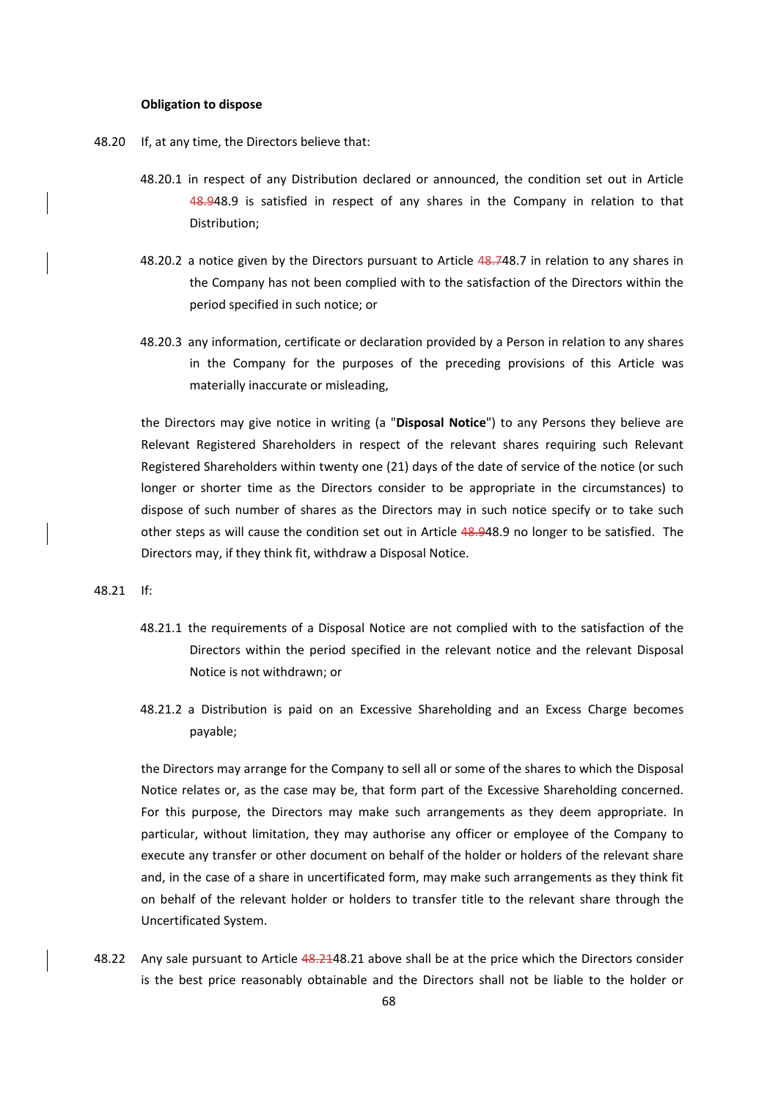### **Obligation to dispose**

- 48.20 If, at any time, the Directors believe that:
	- 48.20.1 in respect of any Distribution declared or announced, the condition set out in Article 48.948.9 is satisfied in respect of any shares in the Company in relation to that Distribution;
	- 48.20.2 a notice given by the Directors pursuant to Article 48.748.7 in relation to any shares in the Company has not been complied with to the satisfaction of the Directors within the period specified in such notice; or
	- 48.20.3 any information, certificate or declaration provided by a Person in relation to any shares in the Company for the purposes of the preceding provisions of this Article was materially inaccurate or misleading,

the Directors may give notice in writing (a "**Disposal Notice**") to any Persons they believe are Relevant Registered Shareholders in respect of the relevant shares requiring such Relevant Registered Shareholders within twenty one (21) days of the date of service of the notice (or such longer or shorter time as the Directors consider to be appropriate in the circumstances) to dispose of such number of shares as the Directors may in such notice specify or to take such other steps as will cause the condition set out in Article 48.948.9 no longer to be satisfied. The Directors may, if they think fit, withdraw a Disposal Notice.

### 48.21 If:

- 48.21.1 the requirements of a Disposal Notice are not complied with to the satisfaction of the Directors within the period specified in the relevant notice and the relevant Disposal Notice is not withdrawn; or
- 48.21.2 a Distribution is paid on an Excessive Shareholding and an Excess Charge becomes payable;

the Directors may arrange for the Company to sell all or some of the shares to which the Disposal Notice relates or, as the case may be, that form part of the Excessive Shareholding concerned. For this purpose, the Directors may make such arrangements as they deem appropriate. In particular, without limitation, they may authorise any officer or employee of the Company to execute any transfer or other document on behalf of the holder or holders of the relevant share and, in the case of a share in uncertificated form, may make such arrangements as they think fit on behalf of the relevant holder or holders to transfer title to the relevant share through the Uncertificated System.

48.22 Any sale pursuant to Article 48.2148.21 above shall be at the price which the Directors consider is the best price reasonably obtainable and the Directors shall not be liable to the holder or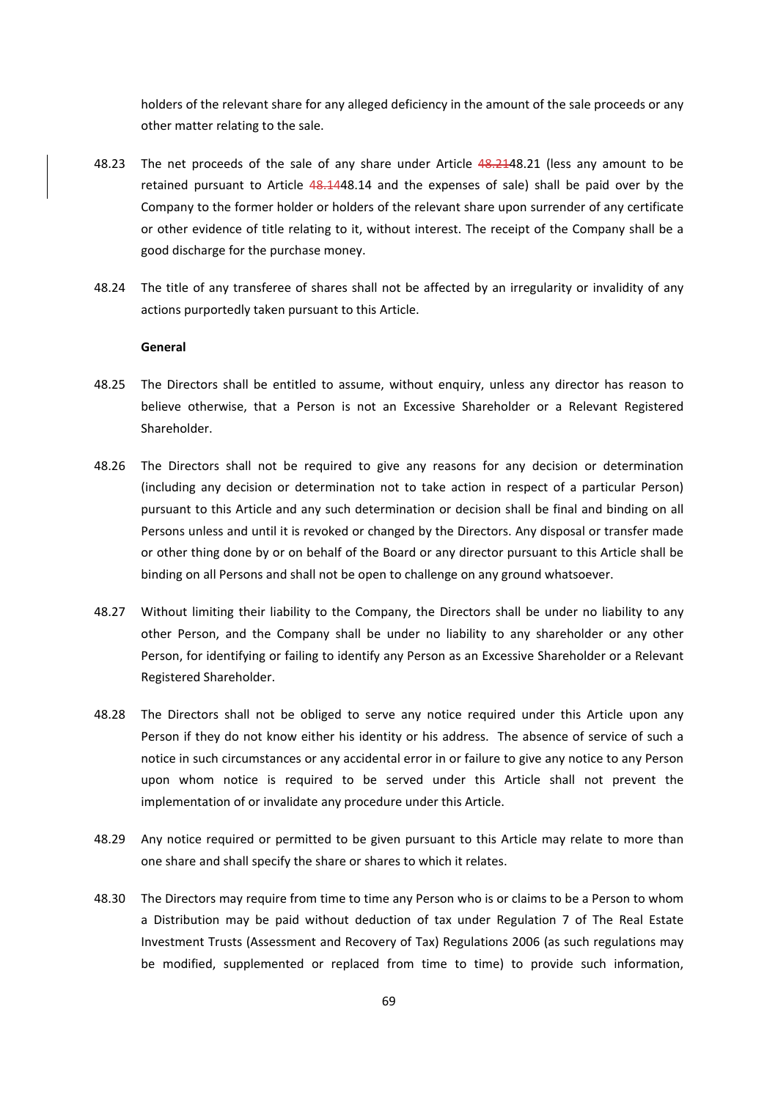holders of the relevant share for any alleged deficiency in the amount of the sale proceeds or any other matter relating to the sale.

- 48.23 The net proceeds of the sale of any share under Article 48.2148.21 (less any amount to be retained pursuant to Article 48.1448.14 and the expenses of sale) shall be paid over by the Company to the former holder or holders of the relevant share upon surrender of any certificate or other evidence of title relating to it, without interest. The receipt of the Company shall be a good discharge for the purchase money.
- 48.24 The title of any transferee of shares shall not be affected by an irregularity or invalidity of any actions purportedly taken pursuant to this Article.

### **General**

- 48.25 The Directors shall be entitled to assume, without enquiry, unless any director has reason to believe otherwise, that a Person is not an Excessive Shareholder or a Relevant Registered Shareholder.
- 48.26 The Directors shall not be required to give any reasons for any decision or determination (including any decision or determination not to take action in respect of a particular Person) pursuant to this Article and any such determination or decision shall be final and binding on all Persons unless and until it is revoked or changed by the Directors. Any disposal or transfer made or other thing done by or on behalf of the Board or any director pursuant to this Article shall be binding on all Persons and shall not be open to challenge on any ground whatsoever.
- 48.27 Without limiting their liability to the Company, the Directors shall be under no liability to any other Person, and the Company shall be under no liability to any shareholder or any other Person, for identifying or failing to identify any Person as an Excessive Shareholder or a Relevant Registered Shareholder.
- 48.28 The Directors shall not be obliged to serve any notice required under this Article upon any Person if they do not know either his identity or his address. The absence of service of such a notice in such circumstances or any accidental error in or failure to give any notice to any Person upon whom notice is required to be served under this Article shall not prevent the implementation of or invalidate any procedure under this Article.
- 48.29 Any notice required or permitted to be given pursuant to this Article may relate to more than one share and shall specify the share or shares to which it relates.
- 48.30 The Directors may require from time to time any Person who is or claims to be a Person to whom a Distribution may be paid without deduction of tax under Regulation 7 of The Real Estate Investment Trusts (Assessment and Recovery of Tax) Regulations 2006 (as such regulations may be modified, supplemented or replaced from time to time) to provide such information,